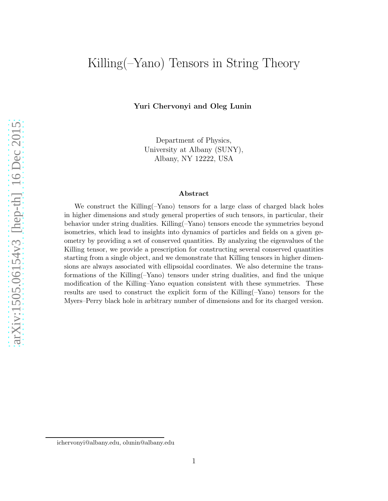# Killing(–Yano) Tensors in String Theory

Yuri Chervonyi and Oleg Lunin

Department of Physics, University at Albany (SUNY), Albany, NY 12222, USA

#### Abstract

We construct the Killing(–Yano) tensors for a large class of charged black holes in higher dimensions and study general properties of such tensors, in particular, their behavior under string dualities. Killing(–Yano) tensors encode the symmetries beyond isometries, which lead to insights into dynamics of particles and fields on a given geometry by providing a set of conserved quantities. By analyzing the eigenvalues of the Killing tensor, we provide a prescription for constructing several conserved quantities starting from a single object, and we demonstrate that Killing tensors in higher dimensions are always associated with ellipsoidal coordinates. We also determine the transformations of the Killing(–Yano) tensors under string dualities, and find the unique modification of the Killing–Yano equation consistent with these symmetries. These results are used to construct the explicit form of the Killing(–Yano) tensors for the Myers–Perry black hole in arbitrary number of dimensions and for its charged version.

ichervonyi@albany.edu, olunin@albany.edu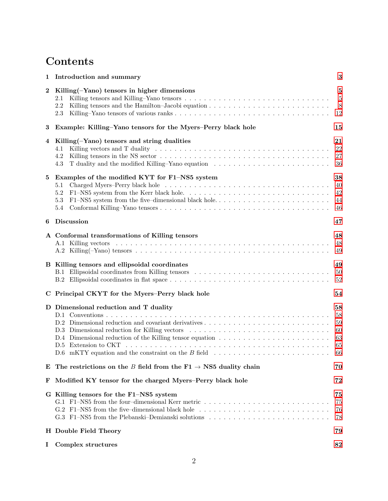# Contents

| 1                | Introduction and summary                                                                                                                                                                                                                                                | $\bf{3}$                                   |
|------------------|-------------------------------------------------------------------------------------------------------------------------------------------------------------------------------------------------------------------------------------------------------------------------|--------------------------------------------|
| $\boldsymbol{2}$ | Killing $(-Yano)$ tensors in higher dimensions<br>2.1<br>2.2<br>2.3                                                                                                                                                                                                     | $\bf{5}$<br>$5\phantom{.0}$<br>8<br>12     |
| 3                | Example: Killing-Yano tensors for the Myers-Perry black hole                                                                                                                                                                                                            | 15                                         |
| 4                | Killing(-Yano) tensors and string dualities<br>4.1<br>4.2<br>T duality and the modified Killing–Yano equation<br>4.3                                                                                                                                                    | 21<br>22<br>$27\,$<br>36                   |
| 5                | Examples of the modified KYT for F1-NS5 system<br>5.1<br>5.2<br>5.3<br>5.4                                                                                                                                                                                              | 38<br>40<br>42<br>44<br>46                 |
| 6                | <b>Discussion</b>                                                                                                                                                                                                                                                       | 47                                         |
|                  | A Conformal transformations of Killing tensors                                                                                                                                                                                                                          | 48<br>48<br>49                             |
|                  | B Killing tensors and ellipsoidal coordinates<br>B.1 Ellipsoidal coordinates from Killing tensors                                                                                                                                                                       | 49<br>$50\,$<br>$52\,$                     |
|                  | C Principal CKYT for the Myers-Perry black hole                                                                                                                                                                                                                         | 54                                         |
|                  | D Dimensional reduction and T duality<br>D.2 Dimensional reduction and covariant derivatives<br>D.3 Dimensional reduction for Killing vectors<br>D.5 Extension to CKT<br>$D.6$ mKTY equation and the constraint on the B field                                          | 58<br>58<br>$59\,$<br>60<br>63<br>65<br>66 |
| Е                | The restrictions on the B field from the $F1 \rightarrow NS5$ duality chain                                                                                                                                                                                             | 70                                         |
| F                | Modified KY tensor for the charged Myers–Perry black hole                                                                                                                                                                                                               | 72                                         |
|                  | G Killing tensors for the F1-NS5 system<br>G.1 F1-NS5 from the four-dimensional Kerr metric<br>G.2 F1-NS5 from the five-dimensional black hole $\dots \dots \dots \dots \dots \dots \dots \dots \dots \dots \dots$<br>G.3 F1-NS5 from the Plebanski-Demianski solutions | 75<br>75<br>76<br>78                       |
|                  | H Double Field Theory                                                                                                                                                                                                                                                   | 79                                         |
| 1                | Complex structures                                                                                                                                                                                                                                                      | 82                                         |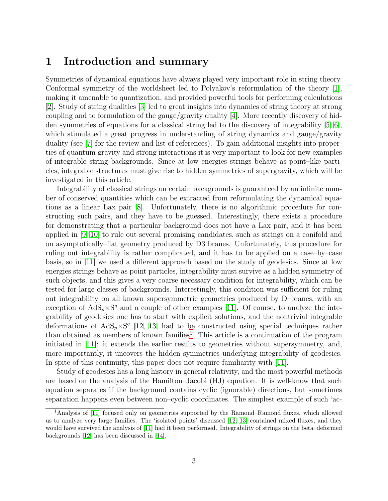## <span id="page-2-0"></span>1 Introduction and summary

Symmetries of dynamical equations have always played very important role in string theory. Conformal symmetry of the worldsheet led to Polyakov's reformulation of the theory [\[1\]](#page-82-0), making it amenable to quantization, and provided powerful tools for performing calculations [\[2\]](#page-82-1). Study of string dualities [\[3\]](#page-82-2) led to great insights into dynamics of string theory at strong coupling and to formulation of the gauge/gravity duality [\[4\]](#page-82-3). More recently discovery of hidden symmetries of equations for a classical string led to the discovery of integrability [\[5,](#page-82-4) [6\]](#page-82-5), which stimulated a great progress in understanding of string dynamics and gauge/gravity duality (see [\[7\]](#page-82-6) for the review and list of references). To gain additional insights into properties of quantum gravity and strong interactions it is very important to look for new examples of integrable string backgrounds. Since at low energies strings behave as point–like particles, integrable structures must give rise to hidden symmetries of supergravity, which will be investigated in this article.

Integrability of classical strings on certain backgrounds is guaranteed by an infinite number of conserved quantities which can be extracted from reformulating the dynamical equations as a linear Lax pair [\[8\]](#page-82-7). Unfortunately, there is no algorithmic procedure for constructing such pairs, and they have to be guessed. Interestingly, there exists a procedure for demonstrating that a particular background does not have a Lax pair, and it has been applied in [\[9,](#page-82-8) [10\]](#page-83-0) to rule out several promising candidates, such as strings on a conifold and on asymptotically–flat geometry produced by D3 branes. Unfortunately, this procedure for ruling out integrability is rather complicated, and it has to be applied on a case–by–case basis, so in [\[11\]](#page-83-1) we used a different approach based on the study of geodesics. Since at low energies strings behave as point particles, integrability must survive as a hidden symmetry of such objects, and this gives a very coarse necessary condition for integrability, which can be tested for large classes of backgrounds. Interestingly, this condition was sufficient for ruling out integrability on all known supersymmetric geometries produced by D–branes, with an exception of  $AdS_p \times S^q$  and a couple of other examples [\[11\]](#page-83-1). Of course, to analyze the integrability of geodesics one has to start with explicit solutions, and the nontrivial integrable deformations of  $AdS_p \times S^q$  [\[12,](#page-83-2) [13\]](#page-83-3) had to be constructed using special techniques rather than obtained as members of known families<sup>[1](#page-2-1)</sup>. This article is a continuation of the program initiated in [\[11\]](#page-83-1): it extends the earlier results to geometries without supersymmetry, and, more importantly, it uncovers the hidden symmetries underlying integrability of geodesics. In spite of this continuity, this paper does not require familiarity with [\[11\]](#page-83-1).

Study of geodesics has a long history in general relativity, and the most powerful methods are based on the analysis of the Hamilton–Jacobi (HJ) equation. It is well-know that such equation separates if the background contains cyclic (ignorable) directions, but sometimes separation happens even between non–cyclic coordinates. The simplest example of such 'ac-

<span id="page-2-1"></span><sup>1</sup>Analysis of [\[11\]](#page-83-1) focused only on geometries supported by the Ramond–Ramond fluxes, which allowed us to analyze very large families. The 'isolated points' discussed [\[12,](#page-83-2) [13\]](#page-83-3) contained mixed fluxes, and they would have survived the analysis of [\[11\]](#page-83-1) had it been performed. Integrability of strings on the beta–deformed backgrounds [\[12\]](#page-83-2) has been discussed in [\[14\]](#page-83-4).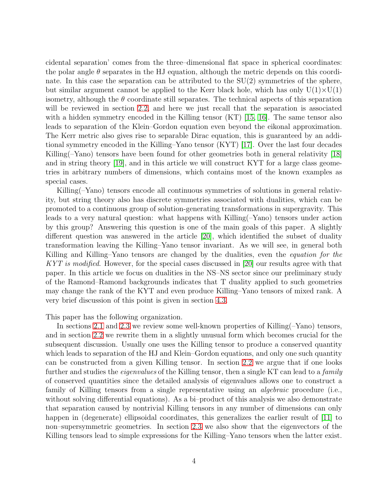cidental separation' comes from the three–dimensional flat space in spherical coordinates: the polar angle  $\theta$  separates in the HJ equation, although the metric depends on this coordinate. In this case the separation can be attributed to the  $SU(2)$  symmetries of the sphere, but similar argument cannot be applied to the Kerr black hole, which has only  $U(1)\times U(1)$ isometry, although the  $\theta$  coordinate still separates. The technical aspects of this separation will be reviewed in section [2.2,](#page-7-0) and here we just recall that the separation is associated with a hidden symmetry encoded in the Killing tensor (KT) [\[15,](#page-83-5) [16\]](#page-83-6). The same tensor also leads to separation of the Klein–Gordon equation even beyond the eikonal approximation. The Kerr metric also gives rise to separable Dirac equation, this is guaranteed by an additional symmetry encoded in the Killing–Yano tensor (KYT) [\[17\]](#page-83-7). Over the last four decades Killing(–Yano) tensors have been found for other geometries both in general relativity [\[18\]](#page-83-8) and in string theory [\[19\]](#page-83-9), and in this article we will construct KYT for a large class geometries in arbitrary numbers of dimensions, which contains most of the known examples as special cases.

Killing(–Yano) tensors encode all continuous symmetries of solutions in general relativity, but string theory also has discrete symmetries associated with dualities, which can be promoted to a continuous group of solution-generating transformations in supergravity. This leads to a very natural question: what happens with Killing(–Yano) tensors under action by this group? Answering this question is one of the main goals of this paper. A slightly different question was answered in the article [\[20\]](#page-83-10), which identified the subset of duality transformation leaving the Killing–Yano tensor invariant. As we will see, in general both Killing and Killing–Yano tensors are changed by the dualities, even the *equation for the* KYT is modified. However, for the special cases discussed in  $[20]$  our results agree with that paper. In this article we focus on dualities in the NS–NS sector since our preliminary study of the Ramond–Ramond backgrounds indicates that T duality applied to such geometries may change the rank of the KYT and even produce Killing–Yano tensors of mixed rank. A very brief discussion of this point is given in section [4.3.](#page-35-0)

This paper has the following organization.

In sections [2.1](#page-4-1) and [2.3](#page-11-0) we review some well-known properties of Killing(–Yano) tensors, and in section [2.2](#page-7-0) we rewrite them in a slightly unusual form which becomes crucial for the subsequent discussion. Usually one uses the Killing tensor to produce a conserved quantity which leads to separation of the HJ and Klein–Gordon equations, and only one such quantity can be constructed from a given Killing tensor. In section [2.2](#page-7-0) we argue that if one looks further and studies the *eigenvalues* of the Killing tensor, then a single KT can lead to a *family* of conserved quantities since the detailed analysis of eigenvalues allows one to construct a family of Killing tensors from a single representative using an *algebraic* procedure (i.e., without solving differential equations). As a bi–product of this analysis we also demonstrate that separation caused by nontrivial Killing tensors in any number of dimensions can only happen in (degenerate) ellipsoidal coordinates, this generalizes the earlier result of [\[11\]](#page-83-1) to non–supersymmetric geometries. In section [2.3](#page-11-0) we also show that the eigenvectors of the Killing tensors lead to simple expressions for the Killing–Yano tensors when the latter exist.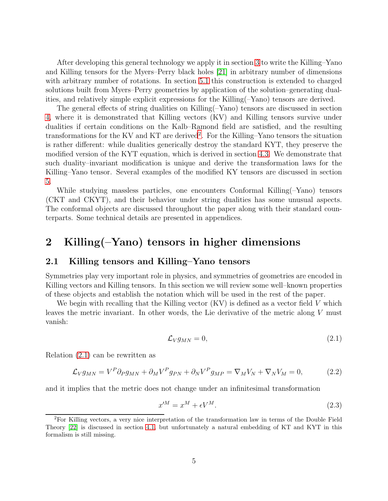After developing this general technology we apply it in section [3](#page-14-0) to write the Killing–Yano and Killing tensors for the Myers–Perry black holes [\[21\]](#page-84-0) in arbitrary number of dimensions with arbitrary number of rotations. In section [5.1](#page-39-0) this construction is extended to charged solutions built from Myers–Perry geometries by application of the solution–generating dualities, and relatively simple explicit expressions for the Killing(–Yano) tensors are derived.

The general effects of string dualities on Killing(–Yano) tensors are discussed in section [4,](#page-20-0) where it is demonstrated that Killing vectors (KV) and Killing tensors survive under dualities if certain conditions on the Kalb–Ramond field are satisfied, and the resulting transformations for the KV and KT are derived<sup>[2](#page-4-2)</sup>. For the Killing–Yano tensors the situation is rather different: while dualities generically destroy the standard KYT, they preserve the modified version of the KYT equation, which is derived in section [4.3.](#page-35-0) We demonstrate that such duality–invariant modification is unique and derive the transformation laws for the Killing–Yano tensor. Several examples of the modified KY tensors are discussed in section [5.](#page-37-0)

While studying massless particles, one encounters Conformal Killing(–Yano) tensors (CKT and CKYT), and their behavior under string dualities has some unusual aspects. The conformal objects are discussed throughout the paper along with their standard counterparts. Some technical details are presented in appendices.

## <span id="page-4-0"></span>2 Killing(–Yano) tensors in higher dimensions

## <span id="page-4-1"></span>2.1 Killing tensors and Killing–Yano tensors

Symmetries play very important role in physics, and symmetries of geometries are encoded in Killing vectors and Killing tensors. In this section we will review some well–known properties of these objects and establish the notation which will be used in the rest of the paper.

We begin with recalling that the Killing vector (KV) is defined as a vector field V which leaves the metric invariant. In other words, the Lie derivative of the metric along V must vanish:

<span id="page-4-3"></span>
$$
\mathcal{L}_V g_{MN} = 0,\t\t(2.1)
$$

Relation [\(2.1\)](#page-4-3) can be rewritten as

$$
\mathcal{L}_V g_{MN} = V^P \partial_P g_{MN} + \partial_M V^P g_{PN} + \partial_N V^P g_{MP} = \nabla_M V_N + \nabla_N V_M = 0, \tag{2.2}
$$

and it implies that the metric does not change under an infinitesimal transformation

$$
x^{\prime M} = x^M + \epsilon V^M. \tag{2.3}
$$

<span id="page-4-2"></span><sup>2</sup>For Killing vectors, a very nice interpretation of the transformation law in terms of the Double Field Theory [\[22\]](#page-84-1) is discussed in section [4.1,](#page-21-0) but unfortunately a natural embedding of KT and KYT in this formalism is still missing.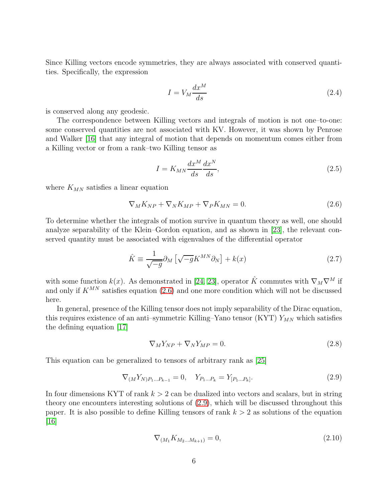Since Killing vectors encode symmetries, they are always associated with conserved quantities. Specifically, the expression

$$
I = V_M \frac{dx^M}{ds} \tag{2.4}
$$

is conserved along any geodesic.

The correspondence between Killing vectors and integrals of motion is not one–to-one: some conserved quantities are not associated with KV. However, it was shown by Penrose and Walker [\[16\]](#page-83-6) that any integral of motion that depends on momentum comes either from a Killing vector or from a rank–two Killing tensor as

$$
I = K_{MN} \frac{dx^M}{ds} \frac{dx^N}{ds},\tag{2.5}
$$

where  $K_{MN}$  satisfies a linear equation

<span id="page-5-0"></span>
$$
\nabla_M K_{NP} + \nabla_N K_{MP} + \nabla_P K_{MN} = 0.
$$
\n(2.6)

To determine whether the integrals of motion survive in quantum theory as well, one should analyze separability of the Klein–Gordon equation, and as shown in [\[23\]](#page-84-2), the relevant conserved quantity must be associated with eigenvalues of the differential operator

$$
\hat{K} \equiv \frac{1}{\sqrt{-g}} \partial_M \left[ \sqrt{-g} K^{MN} \partial_N \right] + k(x) \tag{2.7}
$$

with some function k(x). As demonstrated in [\[24,](#page-84-3) [23\]](#page-84-2), operator  $\hat{K}$  commutes with  $\nabla_M\nabla^M$  if and only if  $K^{MN}$  satisfies equation [\(2.6\)](#page-5-0) and one more condition which will not be discussed here.

In general, presence of the Killing tensor does not imply separability of the Dirac equation, this requires existence of an anti–symmetric Killing–Yano tensor (KYT)  $Y_{MN}$  which satisfies the defining equation [\[17\]](#page-83-7)

<span id="page-5-2"></span>
$$
\nabla_M Y_{NP} + \nabla_N Y_{MP} = 0. \tag{2.8}
$$

This equation can be generalized to tensors of arbitrary rank as [\[25\]](#page-84-4)

<span id="page-5-1"></span>
$$
\nabla_{(M} Y_{N)P_1...P_{k-1}} = 0, \quad Y_{P_1...P_k} = Y_{[P_1...P_k]}.
$$
\n(2.9)

In four dimensions KYT of rank  $k > 2$  can be dualized into vectors and scalars, but in string theory one encounters interesting solutions of [\(2.9\)](#page-5-1), which will be discussed throughout this paper. It is also possible to define Killing tensors of rank  $k > 2$  as solutions of the equation  $|16|$ 

$$
\nabla_{(M_1} K_{M_2...M_{k+1})} = 0,\t\t(2.10)
$$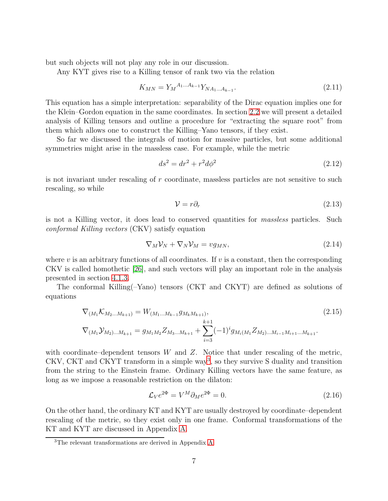but such objects will not play any role in our discussion.

Any KYT gives rise to a Killing tensor of rank two via the relation

<span id="page-6-1"></span>
$$
K_{MN} = Y_M^{A_1...A_{k-1}} Y_{NA_1...A_{k-1}}.\tag{2.11}
$$

This equation has a simple interpretation: separability of the Dirac equation implies one for the Klein–Gordon equation in the same coordinates. In section [2.2](#page-7-0) we will present a detailed analysis of Killing tensors and outline a procedure for "extracting the square root" from them which allows one to construct the Killing–Yano tensors, if they exist.

So far we discussed the integrals of motion for massive particles, but some additional symmetries might arise in the massless case. For example, while the metric

$$
ds^2 = dr^2 + r^2 d\phi^2 \tag{2.12}
$$

is not invariant under rescaling of  $r$  coordinate, massless particles are not sensitive to such rescaling, so while

$$
\mathcal{V} = r\partial_r \tag{2.13}
$$

is not a Killing vector, it does lead to conserved quantities for massless particles. Such conformal Killing vectors (CKV) satisfy equation

$$
\nabla_M \mathcal{V}_N + \nabla_N \mathcal{V}_M = v g_{MN},\tag{2.14}
$$

where  $v$  is an arbitrary functions of all coordinates. If  $v$  is a constant, then the corresponding CKV is called homothetic [\[26\]](#page-84-5), and such vectors will play an important role in the analysis presented in section [4.1.3.](#page-25-0)

The conformal Killing(–Yano) tensors (CKT and CKYT) are defined as solutions of equations

<span id="page-6-2"></span>
$$
\nabla_{(M_1} \mathcal{K}_{M_2...M_{k+1})} = W_{(M_1...M_{k-1}} g_{M_k M_{k+1})},
$$
\n
$$
\nabla_{(M_1} \mathcal{Y}_{M_2)...M_{k+1}} = g_{M_1 M_2} Z_{M_3...M_{k+1}} + \sum_{i=3}^{k+1} (-1)^i g_{M_i (M_1} Z_{M_2)...M_{i-1} M_{i+1}...M_{k+1}}.
$$
\n(2.15)

with coordinate–dependent tensors W and  $Z$ . Notice that under rescaling of the metric, CKV, CKT and CKYT transform in a simple way<sup>[3](#page-6-0)</sup>, so they survive S duality and transition from the string to the Einstein frame. Ordinary Killing vectors have the same feature, as long as we impose a reasonable restriction on the dilaton:

$$
\mathcal{L}_V e^{2\Phi} = V^M \partial_M e^{2\Phi} = 0. \tag{2.16}
$$

On the other hand, the ordinary KT and KYT are usually destroyed by coordinate–dependent rescaling of the metric, so they exist only in one frame. Conformal transformations of the KT and KYT are discussed in Appendix [A.](#page-47-0)

<span id="page-6-0"></span><sup>3</sup>The relevant transformations are derived in Appendix [A.](#page-47-0)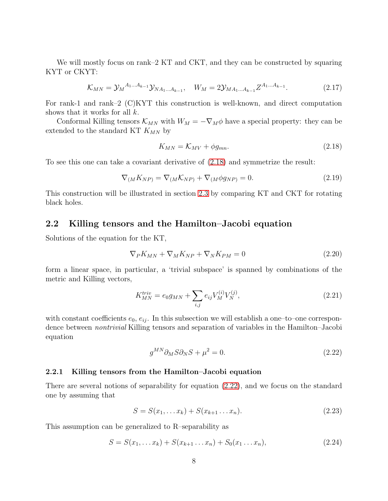We will mostly focus on rank–2 KT and CKT, and they can be constructed by squaring KYT or CKYT:

<span id="page-7-6"></span>
$$
\mathcal{K}_{MN} = \mathcal{Y}_M{}^{A_1 \dots A_{k-1}} \mathcal{Y}_{NA_1 \dots A_{k-1}}, \quad W_M = 2 \mathcal{Y}_{MA_1 \dots A_{k-1}} Z^{A_1 \dots A_{k-1}}.
$$
 (2.17)

For rank-1 and rank–2 (C)KYT this construction is well-known, and direct computation shows that it works for all  $k$ .

Conformal Killing tensors  $\mathcal{K}_{MN}$  with  $W_M = -\nabla_M \phi$  have a special property: they can be extended to the standard KT  $K_{MN}$  by

<span id="page-7-1"></span>
$$
K_{MN} = K_{MV} + \phi g_{mn}.\tag{2.18}
$$

To see this one can take a covariant derivative of [\(2.18\)](#page-7-1) and symmetrize the result:

$$
\nabla_{(M}K_{NP)} = \nabla_{(M}\mathcal{K}_{NP)} + \nabla_{(M}\phi g_{NP)} = 0.
$$
\n(2.19)

This construction will be illustrated in section [2.3](#page-11-0) by comparing KT and CKT for rotating black holes.

## <span id="page-7-0"></span>2.2 Killing tensors and the Hamilton–Jacobi equation

Solutions of the equation for the KT,

<span id="page-7-5"></span>
$$
\nabla_P K_{MN} + \nabla_M K_{NP} + \nabla_N K_{PM} = 0 \tag{2.20}
$$

form a linear space, in particular, a 'trivial subspace' is spanned by combinations of the metric and Killing vectors,

$$
K_{MN}^{triv} = e_0 g_{MN} + \sum_{i,j} e_{ij} V_M^{(i)} V_N^{(j)},
$$
\n(2.21)

with constant coefficients  $e_0, e_{ij}$ . In this subsection we will establish a one-to-one correspondence between nontrivial Killing tensors and separation of variables in the Hamilton–Jacobi equation

<span id="page-7-2"></span>
$$
g^{MN}\partial_M S \partial_N S + \mu^2 = 0. \tag{2.22}
$$

#### 2.2.1 Killing tensors from the Hamilton–Jacobi equation

There are several notions of separability for equation [\(2.22\)](#page-7-2), and we focus on the standard one by assuming that

<span id="page-7-3"></span>
$$
S = S(x_1, \dots x_k) + S(x_{k+1} \dots x_n). \tag{2.23}
$$

This assumption can be generalized to R–separability as

<span id="page-7-4"></span>
$$
S = S(x_1, \dots, x_k) + S(x_{k+1} \dots x_n) + S_0(x_1 \dots x_n), \tag{2.24}
$$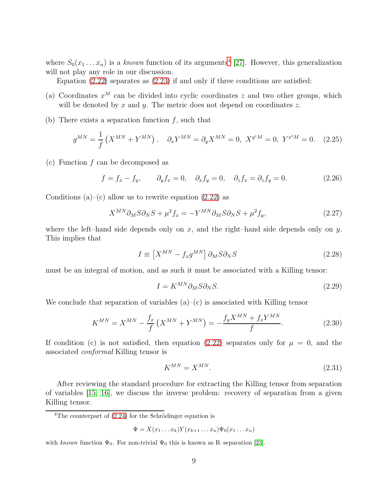where  $S_0(x_1 \ldots x_n)$  is a known function of its arguments<sup>[4](#page-8-0)</sup> [\[27\]](#page-84-6). However, this generalization will not play any role in our discussion.

Equation [\(2.22\)](#page-7-2) separates as [\(2.23\)](#page-7-3) if and only if three conditions are satisfied:

- (a) Coordinates  $x^M$  can be divided into cyclic coordinates z and two other groups, which will be denoted by  $x$  and  $y$ . The metric does not depend on coordinates  $z$ .
- (b) There exists a separation function  $f$ , such that

<span id="page-8-3"></span>
$$
g^{MN} = \frac{1}{f} \left( X^{MN} + Y^{MN} \right), \quad \partial_x Y^{MN} = \partial_y X^{MN} = 0, \ X^{y^i M} = 0, \ Y^{x^i M} = 0. \tag{2.25}
$$

(c) Function  $f$  can be decomposed as

<span id="page-8-5"></span>
$$
f = f_x - f_y, \qquad \partial_y f_x = 0, \quad \partial_x f_y = 0, \quad \partial_z f_x = \partial_z f_y = 0. \tag{2.26}
$$

Conditions (a)–(c) allow us to rewrite equation  $(2.22)$  as

$$
X^{MN}\partial_M S\partial_N S + \mu^2 f_x = -Y^{MN}\partial_M S\partial_N S + \mu^2 f_y,\tag{2.27}
$$

where the left–hand side depends only on x, and the right–hand side depends only on y. This implies that

<span id="page-8-2"></span>
$$
I \equiv \left[ X^{MN} - f_x g^{MN} \right] \partial_M S \partial_N S \tag{2.28}
$$

must be an integral of motion, and as such it must be associated with a Killing tensor:

<span id="page-8-1"></span>
$$
I = K^{MN} \partial_M S \partial_N S. \tag{2.29}
$$

We conclude that separation of variables  $(a)$ – $(c)$  is associated with Killing tensor

<span id="page-8-4"></span>
$$
K^{MN} = X^{MN} - \frac{f_x}{f} \left( X^{MN} + Y^{MN} \right) = -\frac{f_y X^{MN} + f_x Y^{MN}}{f}.
$$
 (2.30)

If condition (c) is not satisfied, then equation [\(2.22\)](#page-7-2) separates only for  $\mu = 0$ , and the associated conformal Killing tensor is

$$
K^{MN} = X^{MN}.\tag{2.31}
$$

After reviewing the standard procedure for extracting the Killing tensor from separation of variables [\[15,](#page-83-5) [16\]](#page-83-6), we discuss the inverse problem: recovery of separation from a given Killing tensor.

$$
\Psi = X(x_1 \dots x_k) Y(x_{k+1} \dots x_n) \Psi_0(x_1 \dots x_n)
$$

with known function  $\Psi_0$ . For non-trivial  $\Psi_0$  this is known as R–separation [\[23\]](#page-84-2).

<span id="page-8-0"></span> $4$ The counterpart of  $(2.24)$  for the Schrödinger equation is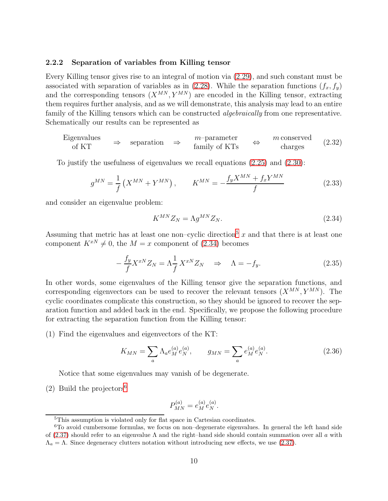#### <span id="page-9-5"></span>2.2.2 Separation of variables from Killing tensor

Every Killing tensor gives rise to an integral of motion via [\(2.29\)](#page-8-1), and such constant must be associated with separation of variables as in [\(2.28\)](#page-8-2). While the separation functions  $(f_x, f_y)$ and the corresponding tensors  $(X^{MN}, Y^{MN})$  are encoded in the Killing tensor, extracting them requires further analysis, and as we will demonstrate, this analysis may lead to an entire family of the Killing tensors which can be constructed *algebraically* from one representative. Schematically our results can be represented as

<span id="page-9-4"></span>Eigenvalues  
of KT 
$$
\Rightarrow
$$
 separation  $\Rightarrow$   $m$ -parameter  
family of KTs  $\Rightarrow$   $m$  conserved  
charges (2.32)

To justify the usefulness of eigenvalues we recall equations [\(2.25\)](#page-8-3) and [\(2.30\)](#page-8-4):

$$
g^{MN} = \frac{1}{f} \left( X^{MN} + Y^{MN} \right), \qquad K^{MN} = -\frac{f_y X^{MN} + f_x Y^{MN}}{f} \tag{2.33}
$$

and consider an eigenvalue problem:

<span id="page-9-1"></span>
$$
K^{MN}Z_N = \Lambda g^{MN}Z_N. \tag{2.34}
$$

Assuming that metric has at least one non–cyclic direction<sup>[5](#page-9-0)</sup> x and that there is at least one component  $K^{xN} \neq 0$ , the  $M = x$  component of [\(2.34\)](#page-9-1) becomes

$$
-\frac{f_y}{f}X^{xN}Z_N = \Lambda \frac{1}{f}X^{xN}Z_N \quad \Rightarrow \quad \Lambda = -f_y. \tag{2.35}
$$

In other words, some eigenvalues of the Killing tensor give the separation functions, and corresponding eigenvectors can be used to recover the relevant tensors  $(X^{MN}, Y^{MN})$ . The cyclic coordinates complicate this construction, so they should be ignored to recover the separation function and added back in the end. Specifically, we propose the following procedure for extracting the separation function from the Killing tensor:

(1) Find the eigenvalues and eigenvectors of the KT:

<span id="page-9-3"></span>
$$
K_{MN} = \sum_{a} \Lambda_a e_M^{(a)} e_N^{(a)}, \qquad g_{MN} = \sum_{a} e_M^{(a)} e_N^{(a)}.
$$
 (2.36)

Notice that some eigenvalues may vanish of be degenerate.

(2) Build the projectors<sup>[6](#page-9-2)</sup>

$$
P_{MN}^{(a)} = e_M^{(a)} e_N^{(a)}.
$$

<span id="page-9-0"></span><sup>5</sup>This assumption is violated only for flat space in Cartesian coordinates.

<span id="page-9-2"></span> ${}^{6}$ To avoid cumbersome formulas, we focus on non-degenerate eigenvalues. In general the left hand side of [\(2.37\)](#page-10-0) should refer to an eigenvalue  $\Lambda$  and the right–hand side should contain summation over all a with  $\Lambda_a = \Lambda$ . Since degeneracy clutters notation without introducing new effects, we use [\(2.37\)](#page-10-0).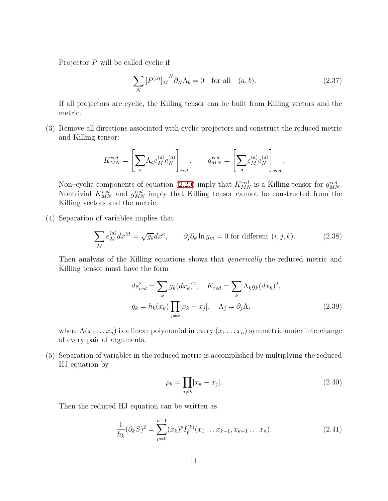Projector P will be called cyclic if

<span id="page-10-0"></span>
$$
\sum_{N} [P^{(a)}]_{M}^{N} \partial_{N} \Lambda_{b} = 0 \quad \text{for all} \quad (a, b). \tag{2.37}
$$

.

If all projectors are cyclic, the Killing tensor can be built from Killing vectors and the metric.

(3) Remove all directions associated with cyclic projectors and construct the reduced metric and Killing tensor:

$$
K_{MN}^{red} = \left[\sum_{a} \Lambda_a e_M^{(a)} e_N^{(a)}\right]_{red}, \qquad g_{MN}^{red} = \left[\sum_{a} e_M^{(a)} e_N^{(a)}\right]_{red}
$$

Non–cyclic components of equation [\(2.20\)](#page-7-5) imply that  $K_{MN}^{red}$  is a Killing tensor for  $g_{MN}^{red}$ . Nontrivial  $K_{MN}^{red}$  and  $g_{MN}^{red}$  imply that Killing tensor cannot be constructed from the Killing vectors and the metric.

(4) Separation of variables implies that

$$
\sum_{M} e_M^{(a)} dx^M = \sqrt{g_a} dx^a, \qquad \partial_j \partial_k \ln g_m = 0 \text{ for different } (i, j, k). \tag{2.38}
$$

Then analysis of the Killing equations shows that *generically* the reduced metric and Killing tensor must have the form

<span id="page-10-3"></span>
$$
ds_{red}^2 = \sum_k g_k(dx_k)^2, \quad K_{red} = \sum_k \Lambda_k g_k(dx_k)^2,
$$
  

$$
g_k = h_k(x_k) \prod_{j \neq k} [x_k - x_j], \quad \Lambda_j = \partial_j \Lambda,
$$
 (2.39)

where  $\Lambda(x_1 \ldots x_n)$  is a linear polynomial in every  $(x_1 \ldots x_n)$  symmetric under interchange of every pair of arguments.

(5) Separation of variables in the reduced metric is accomplished by multiplying the reduced HJ equation by

<span id="page-10-1"></span>
$$
\rho_k = \prod_{j \neq k} [x_k - x_j]. \tag{2.40}
$$

Then the reduced HJ equation can be written as

<span id="page-10-2"></span>
$$
\frac{1}{h_k}(\partial_k S)^2 = \sum_{p=0}^{n-1} (x_k)^p I_p^{(k)}(x_1 \dots x_{k-1}, x_{k+1} \dots x_n), \tag{2.41}
$$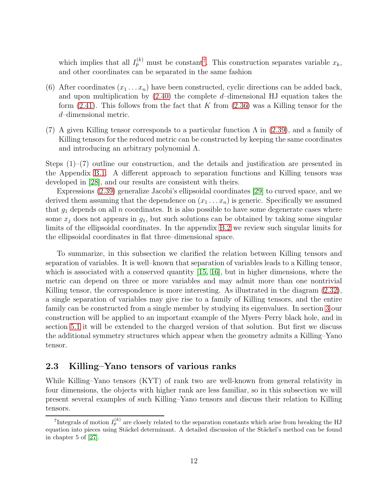which implies that all  $I_p^{(k)}$  must be constant<sup>[7](#page-11-1)</sup>. This construction separates variable  $x_k$ , and other coordinates can be separated in the same fashion

- (6) After coordinates  $(x_1 \ldots x_n)$  have been constructed, cyclic directions can be added back, and upon multiplication by  $(2.40)$  the complete d–dimensional HJ equation takes the form  $(2.41)$ . This follows from the fact that K from  $(2.36)$  was a Killing tensor for the d–dimensional metric.
- (7) A given Killing tensor corresponds to a particular function  $\Lambda$  in [\(2.39\)](#page-10-3), and a family of Killing tensors for the reduced metric can be constructed by keeping the same coordinates and introducing an arbitrary polynomial Λ.

Steps  $(1)$ – $(7)$  outline our construction, and the details and justification are presented in the Appendix [B.1.](#page-49-0) A different approach to separation functions and Killing tensors was developed in [\[28\]](#page-84-7), and our results are consistent with theirs.

Expressions [\(2.39\)](#page-10-3) generalize Jacobi's ellipsoidal coordinates [\[29\]](#page-84-8) to curved space, and we derived them assuming that the dependence on  $(x_1 \ldots x_n)$  is generic. Specifically we assumed that  $g_1$  depends on all n coordinates. It is also possible to have some degenerate cases where some  $x_i$  does not appears in  $g_1$ , but such solutions can be obtained by taking some singular limits of the ellipsoidal coordinates. In the appendix [B.2](#page-51-0) we review such singular limits for the ellipsoidal coordinates in flat three–dimensional space.

To summarize, in this subsection we clarified the relation between Killing tensors and separation of variables. It is well–known that separation of variables leads to a Killing tensor, which is associated with a conserved quantity [\[15,](#page-83-5) [16\]](#page-83-6), but in higher dimensions, where the metric can depend on three or more variables and may admit more than one nontrivial Killing tensor, the correspondence is more interesting. As illustrated in the diagram  $(2.32)$ , a single separation of variables may give rise to a family of Killing tensors, and the entire family can be constructed from a single member by studying its eigenvalues. In section [3](#page-14-0) our construction will be applied to an important example of the Myers–Perry black hole, and in section [5.1](#page-39-0) it will be extended to the charged version of that solution. But first we discuss the additional symmetry structures which appear when the geometry admits a Killing–Yano tensor.

## <span id="page-11-0"></span>2.3 Killing–Yano tensors of various ranks

While Killing–Yano tensors (KYT) of rank two are well-known from general relativity in four dimensions, the objects with higher rank are less familiar, so in this subsection we will present several examples of such Killing–Yano tensors and discuss their relation to Killing tensors.

<span id="page-11-1"></span><sup>&</sup>lt;sup>7</sup>Integrals of motion  $I_p^{(k)}$  are closely related to the separation constants which arise from breaking the HJ equation into pieces using Stäckel determinant. A detailed discussion of the Stäckel's method can be found in chapter 5 of [\[27\]](#page-84-6).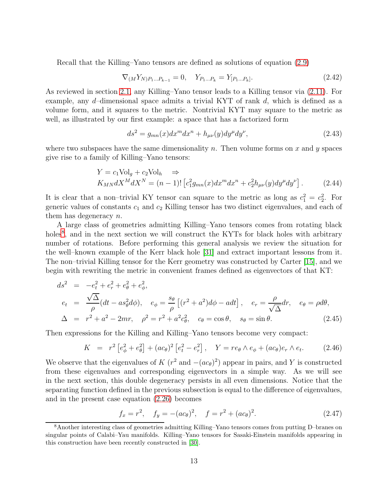Recall that the Killing–Yano tensors are defined as solutions of equation [\(2.9\)](#page-5-1)

$$
\nabla_{(M} Y_{N)P_1...P_{k-1}} = 0, \quad Y_{P_1...P_k} = Y_{[P_1...P_k]}.
$$
\n(2.42)

As reviewed in section [2.1,](#page-4-1) any Killing–Yano tensor leads to a Killing tensor via [\(2.11\)](#page-6-1). For example, any d–dimensional space admits a trivial KYT of rank d, which is defined as a volume form, and it squares to the metric. Nontrivial KYT may square to the metric as well, as illustrated by our first example: a space that has a factorized form

$$
ds^2 = g_{mn}(x)dx^m dx^n + h_{\mu\nu}(y)dy^\mu dy^\nu,
$$
\n(2.43)

where two subspaces have the same dimensionality n. Then volume forms on x and y spaces give rise to a family of Killing–Yano tensors:

$$
Y = c_1 \text{Vol}_g + c_2 \text{Vol}_h \implies
$$
  
\n
$$
K_{MN} dX^M dX^N = (n-1)! \left[ c_1^2 g_{mn}(x) dx^m dx^n + c_2^2 h_{\mu\nu}(y) dy^\mu dy^\nu \right].
$$
 (2.44)

It is clear that a non-trivial KY tensor can square to the metric as long as  $c_1^2 = c_2^2$ . For generic values of constants  $c_1$  and  $c_2$  Killing tensor has two distinct eigenvalues, and each of them has degeneracy n.

A large class of geometries admitting Killing–Yano tensors comes from rotating black holes<sup>[8](#page-12-0)</sup>, and in the next section we will construct the KYTs for black holes with arbitrary number of rotations. Before performing this general analysis we review the situation for the well–known example of the Kerr black hole [\[31\]](#page-84-9) and extract important lessons from it. The non–trivial Killing tensor for the Kerr geometry was constructed by Carter [\[15\]](#page-83-5), and we begin with rewriting the metric in convenient frames defined as eigenvectors of that KT:

<span id="page-12-1"></span>
$$
ds^{2} = -e_{t}^{2} + e_{r}^{2} + e_{\theta}^{2} + e_{\phi}^{2},
$$
  
\n
$$
e_{t} = \frac{\sqrt{\Delta}}{\rho} (dt - as_{\theta}^{2} d\phi), \quad e_{\phi} = \frac{s_{\theta}}{\rho} [(r^{2} + a^{2}) d\phi - adt], \quad e_{r} = \frac{\rho}{\sqrt{\Delta}} dr, \quad e_{\theta} = \rho d\theta,
$$
  
\n
$$
\Delta = r^{2} + a^{2} - 2mr, \quad \rho^{2} = r^{2} + a^{2}c_{\theta}^{2}, \quad c_{\theta} = \cos\theta, \quad s_{\theta} = \sin\theta.
$$
 (2.45)

Then expressions for the Killing and Killing–Yano tensors become very compact:

<span id="page-12-2"></span>
$$
K = r^{2} \left[ e_{\phi}^{2} + e_{\theta}^{2} \right] + (ac_{\theta})^{2} \left[ e_{t}^{2} - e_{r}^{2} \right], \quad Y = re_{\theta} \wedge e_{\phi} + (ac_{\theta}) e_{r} \wedge e_{t}.
$$
 (2.46)

We observe that the eigenvalues of K  $(r^2 \text{ and } -(ac_\theta)^2)$  appear in pairs, and Y is constructed from these eigenvalues and corresponding eigenvectors in a simple way. As we will see in the next section, this double degeneracy persists in all even dimensions. Notice that the separating function defined in the previous subsection is equal to the difference of eigenvalues, and in the present case equation [\(2.26\)](#page-8-5) becomes

$$
f_x = r^2, \quad f_y = -(ac_\theta)^2, \quad f = r^2 + (ac_\theta)^2. \tag{2.47}
$$

<span id="page-12-0"></span><sup>8</sup>Another interesting class of geometries admitting Killing–Yano tensors comes from putting D–branes on singular points of Calabi–Yau manifolds. Killing–Yano tensors for Sasaki-Einstein manifolds appearing in this construction have been recently constructed in [\[30\]](#page-84-10).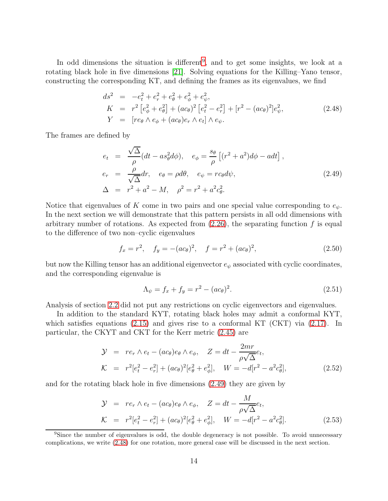In odd dimensions the situation is different<sup>[9](#page-13-0)</sup>, and to get some insights, we look at a rotating black hole in five dimensions [\[21\]](#page-84-0). Solving equations for the Killing–Yano tensor, constructing the corresponding KT, and defining the frames as its eigenvalues, we find

<span id="page-13-2"></span>
$$
ds^{2} = -e_{t}^{2} + e_{r}^{2} + e_{\theta}^{2} + e_{\phi}^{2} + e_{\psi}^{2},
$$
  
\n
$$
K = r^{2} \left[ e_{\phi}^{2} + e_{\theta}^{2} \right] + (ac_{\theta})^{2} \left[ e_{t}^{2} - e_{r}^{2} \right] + \left[ r^{2} - (ac_{\theta})^{2} \right] e_{\psi}^{2},
$$
  
\n
$$
Y = \left[ re_{\theta} \wedge e_{\phi} + (ac_{\theta}) e_{r} \wedge e_{t} \right] \wedge e_{\psi}.
$$
\n(2.48)

The frames are defined by

<span id="page-13-1"></span>
$$
e_t = \frac{\sqrt{\Delta}}{\rho} (dt - as_\theta^2 d\phi), \quad e_\phi = \frac{s_\theta}{\rho} \left[ (r^2 + a^2) d\phi - adt \right],
$$
  
\n
$$
e_r = \frac{\rho}{\sqrt{\Delta}} dr, \quad e_\theta = \rho d\theta, \quad e_\psi = rc_\theta d\psi,
$$
  
\n
$$
\Delta = r^2 + a^2 - M, \quad \rho^2 = r^2 + a^2 c_\theta^2.
$$
\n(2.49)

Notice that eigenvalues of K come in two pairs and one special value corresponding to  $e_{\psi}$ . In the next section we will demonstrate that this pattern persists in all odd dimensions with arbitrary number of rotations. As expected from  $(2.26)$ , the separating function f is equal to the difference of two non–cyclic eigenvalues

$$
f_x = r^2, \quad f_y = -(ac_\theta)^2, \quad f = r^2 + (ac_\theta)^2,\tag{2.50}
$$

but now the Killing tensor has an additional eigenvector  $e_{\psi}$  associated with cyclic coordinates, and the corresponding eigenvalue is

$$
\Lambda_{\psi} = f_x + f_y = r^2 - (ac_{\theta})^2.
$$
\n(2.51)

Analysis of section [2.2](#page-7-0) did not put any restrictions on cyclic eigenvectors and eigenvalues.

In addition to the standard KYT, rotating black holes may admit a conformal KYT, which satisfies equations [\(2.15\)](#page-6-2) and gives rise to a conformal KT (CKT) via [\(2.17\)](#page-7-6). In particular, the CKYT and CKT for the Kerr metric [\(2.45\)](#page-12-1) are

<span id="page-13-3"></span>
$$
\mathcal{Y} = re_r \wedge e_t - (ac_\theta)e_\theta \wedge e_\phi, \quad Z = dt - \frac{2mr}{\rho\sqrt{\Delta}}e_t, \n\mathcal{K} = r^2[e_t^2 - e_r^2] + (ac_\theta)^2[e_\theta^2 + e_\phi^2], \quad W = -d[r^2 - a^2c_\theta^2],
$$
\n(2.52)

and for the rotating black hole in five dimensions [\(2.49\)](#page-13-1) they are given by

<span id="page-13-4"></span>
$$
\mathcal{Y} = re_r \wedge e_t - (ac_\theta)e_\theta \wedge e_\phi, \quad Z = dt - \frac{M}{\rho\sqrt{\Delta}}e_t, \n\mathcal{K} = r^2[e_t^2 - e_r^2] + (ac_\theta)^2[e_\theta^2 + e_\phi^2], \quad W = -d[r^2 - a^2c_\theta^2].
$$
\n(2.53)

<span id="page-13-0"></span><sup>&</sup>lt;sup>9</sup>Since the number of eigenvalues is odd, the double degeneracy is not possible. To avoid unnecessary complications, we write [\(2.48\)](#page-13-2) for one rotation, more general case will be discussed in the next section.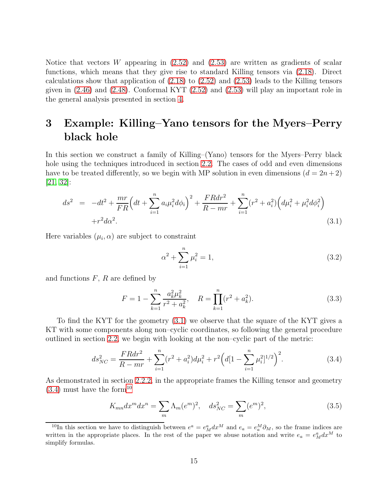Notice that vectors W appearing in  $(2.52)$  and  $(2.53)$  are written as gradients of scalar functions, which means that they give rise to standard Killing tensors via [\(2.18\)](#page-7-1). Direct calculations show that application of  $(2.18)$  to  $(2.52)$  and  $(2.53)$  leads to the Killing tensors given in [\(2.46\)](#page-12-2) and [\(2.48\)](#page-13-2). Conformal KYT [\(2.52\)](#page-13-3) and [\(2.53\)](#page-13-4) will play an important role in the general analysis presented in section [4.](#page-20-0)

## <span id="page-14-0"></span>3 Example: Killing–Yano tensors for the Myers–Perry black hole

In this section we construct a family of Killing–(Yano) tensors for the Myers–Perry black hole using the techniques introduced in section [2.2.](#page-7-0) The cases of odd and even dimensions have to be treated differently, so we begin with MP solution in even dimensions  $(d = 2n + 2)$  $|21, 32|$ :

<span id="page-14-1"></span>
$$
ds^{2} = -dt^{2} + \frac{mr}{FR} \left(dt + \sum_{i=1}^{n} a_{i}\mu_{i}^{2}d\phi_{i}\right)^{2} + \frac{FRdr^{2}}{R - mr} + \sum_{i=1}^{n} (r^{2} + a_{i}^{2})\left(d\mu_{i}^{2} + \mu_{i}^{2}d\phi_{i}^{2}\right) + r^{2}d\alpha^{2}.
$$
\n(3.1)

Here variables  $(\mu_i, \alpha)$  are subject to constraint

$$
\alpha^2 + \sum_{i=1}^n \mu_i^2 = 1,\tag{3.2}
$$

and functions  $F, R$  are defined by

<span id="page-14-5"></span>
$$
F = 1 - \sum_{k=1}^{n} \frac{a_k^2 \mu_k^2}{r^2 + a_k^2}, \quad R = \prod_{k=1}^{n} (r^2 + a_k^2).
$$
 (3.3)

To find the KYT for the geometry [\(3.1\)](#page-14-1) we observe that the square of the KYT gives a KT with some components along non–cyclic coordinates, so following the general procedure outlined in section [2.2,](#page-7-0) we begin with looking at the non–cyclic part of the metric:

<span id="page-14-2"></span>
$$
ds_{NC}^2 = \frac{FR dr^2}{R - mr} + \sum_{i=1}^n (r^2 + a_i^2) d\mu_i^2 + r^2 \left( d[1 - \sum_{i=1}^n \mu_i^2]^{1/2} \right)^2.
$$
 (3.4)

As demonstrated in section [2.2.2,](#page-9-5) in the appropriate frames the Killing tensor and geometry  $(3.4)$  must have the form<sup>[10](#page-14-3)</sup>

<span id="page-14-4"></span>
$$
K_{mn}dx^m dx^n = \sum_m \Lambda_m(e^m)^2, \quad ds_{NC}^2 = \sum_m (e^m)^2,\tag{3.5}
$$

<span id="page-14-3"></span><sup>&</sup>lt;sup>10</sup>In this section we have to distinguish between  $e^a = e^a_M dx^M$  and  $e_a = e^M_a \partial_M$ , so the frame indices are written in the appropriate places. In the rest of the paper we abuse notation and write  $e_a = e_M^a dx^M$  to simplify formulas.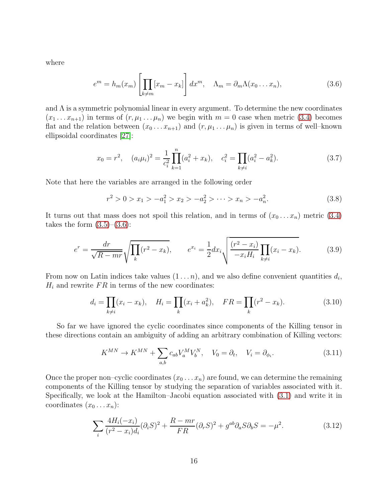where

<span id="page-15-0"></span>
$$
e^m = h_m(x_m) \left[ \prod_{k \neq m} [x_m - x_k] \right] dx^m, \quad \Lambda_m = \partial_m \Lambda(x_0 \dots x_n), \tag{3.6}
$$

and  $\Lambda$  is a symmetric polynomial linear in every argument. To determine the new coordinates  $(x_1 \ldots x_{n+1})$  in terms of  $(r, \mu_1 \ldots \mu_n)$  we begin with  $m = 0$  case when metric [\(3.4\)](#page-14-2) becomes flat and the relation between  $(x_0 \ldots x_{n+1})$  and  $(r, \mu_1 \ldots \mu_n)$  is given in terms of well–known ellipsoidal coordinates [\[27\]](#page-84-6):

<span id="page-15-3"></span>
$$
x_0 = r^2, \quad (a_i \mu_i)^2 = \frac{1}{c_i^2} \prod_{k=1}^n (a_i^2 + x_k), \quad c_i^2 = \prod_{k \neq i} (a_i^2 - a_k^2). \tag{3.7}
$$

Note that here the variables are arranged in the following order

$$
r^2 > 0 > x_1 > -a_1^2 > x_2 > -a_2^2 > \dots > x_n > -a_n^2.
$$
 (3.8)

It turns out that mass does not spoil this relation, and in terms of  $(x_0 \dots x_n)$  metric [\(3.4\)](#page-14-2) takes the form  $(3.5)-(3.6)$  $(3.5)-(3.6)$ :

<span id="page-15-4"></span>
$$
e^r = \frac{dr}{\sqrt{R - mr}} \sqrt{\prod_k (r^2 - x_k)}, \qquad e^{x_i} = \frac{1}{2} dx_i \sqrt{\frac{(r^2 - x_i)}{-x_i H_i} \prod_{k \neq i} (x_i - x_k)}.
$$
(3.9)

From now on Latin indices take values  $(1 \dots n)$ , and we also define convenient quantities  $d_i$ ,  $\mathcal{H}_i$  and rewrite  $\mathcal{FR}$  in terms of the new coordinates:

<span id="page-15-5"></span>
$$
d_i = \prod_{k \neq i} (x_i - x_k), \quad H_i = \prod_k (x_i + a_k^2), \quad FR = \prod_k (r^2 - x_k).
$$
 (3.10)

So far we have ignored the cyclic coordinates since components of the Killing tensor in these directions contain an ambiguity of adding an arbitrary combination of Killing vectors:

<span id="page-15-2"></span>
$$
K^{MN} \to K^{MN} + \sum_{a,b} c_{ab} V_a^M V_b^N, \quad V_0 = \partial_t, \quad V_i = \partial_{\phi_i}.
$$
 (3.11)

Once the proper non–cyclic coordinates  $(x_0 \ldots x_n)$  are found, we can determine the remaining components of the Killing tensor by studying the separation of variables associated with it. Specifically, we look at the Hamilton–Jacobi equation associated with [\(3.1\)](#page-14-1) and write it in coordinates  $(x_0 \ldots x_n)$ :

<span id="page-15-1"></span>
$$
\sum_{i} \frac{4H_i(-x_i)}{(r^2 - x_i)d_i} (\partial_i S)^2 + \frac{R - mr}{FR} (\partial_r S)^2 + g^{ab} \partial_a S \partial_b S = -\mu^2.
$$
 (3.12)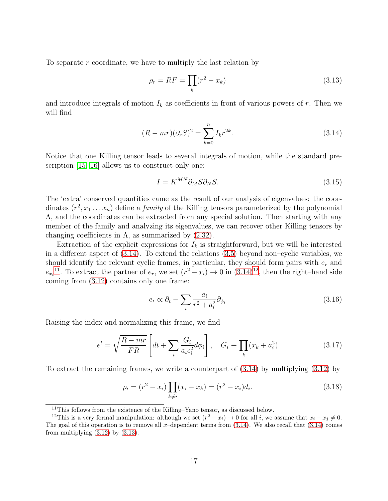To separate r coordinate, we have to multiply the last relation by

<span id="page-16-3"></span>
$$
\rho_r = RF = \prod_k (r^2 - x_k) \tag{3.13}
$$

and introduce integrals of motion  $I_k$  as coefficients in front of various powers of r. Then we will find

<span id="page-16-0"></span>
$$
(R - mr)(\partial_r S)^2 = \sum_{k=0}^n I_k r^{2k}.
$$
\n(3.14)

Notice that one Killing tensor leads to several integrals of motion, while the standard prescription [\[15,](#page-83-5) [16\]](#page-83-6) allows us to construct only one:

$$
I = K^{MN} \partial_M S \partial_N S. \tag{3.15}
$$

The 'extra' conserved quantities came as the result of our analysis of eigenvalues: the coordinates  $(r^2, x_1 \ldots x_n)$  define a *family* of the Killing tensors parameterized by the polynomial Λ, and the coordinates can be extracted from any special solution. Then starting with any member of the family and analyzing its eigenvalues, we can recover other Killing tensors by changing coefficients in  $\Lambda$ , as summarized by  $(2.32)$ .

Extraction of the explicit expressions for  $I_k$  is straightforward, but we will be interested in a different aspect of [\(3.14\)](#page-16-0). To extend the relations [\(3.5\)](#page-14-4) beyond non–cyclic variables, we should identify the relevant cyclic frames, in particular, they should form pairs with  $e_r$  and  $e_{x_i}$ <sup>[11](#page-16-1)</sup>. To extract the partner of  $e_r$ , we set  $(r^2 - x_i) \rightarrow 0$  in  $(3.14)^{12}$  $(3.14)^{12}$  $(3.14)^{12}$ , then the right–hand side coming from [\(3.12\)](#page-15-1) contains only one frame:

$$
e_t \propto \partial_t - \sum_i \frac{a_i}{r^2 + a_i^2} \partial_{\phi_i} \tag{3.16}
$$

Raising the index and normalizing this frame, we find

<span id="page-16-4"></span>
$$
e^t = \sqrt{\frac{R - mr}{FR}} \left[ dt + \sum_i \frac{G_i}{a_i c_i^2} d\phi_i \right], \quad G_i \equiv \prod_k (x_k + a_i^2) \tag{3.17}
$$

To extract the remaining frames, we write a counterpart of [\(3.14\)](#page-16-0) by multiplying [\(3.12\)](#page-15-1) by

<span id="page-16-5"></span>
$$
\rho_i = (r^2 - x_i) \prod_{k \neq i} (x_i - x_k) = (r^2 - x_i) d_i.
$$
\n(3.18)

<span id="page-16-1"></span> $11$ This follows from the existence of the Killing–Yano tensor, as discussed below.

<span id="page-16-2"></span><sup>&</sup>lt;sup>12</sup>This is a very formal manipulation: although we set  $(r^2 - x_i) \rightarrow 0$  for all i, we assume that  $x_i - x_j \neq 0$ . The goal of this operation is to remove all x–dependent terms from  $(3.14)$ . We also recall that  $(3.14)$  comes from multiplying  $(3.12)$  by  $(3.13)$ .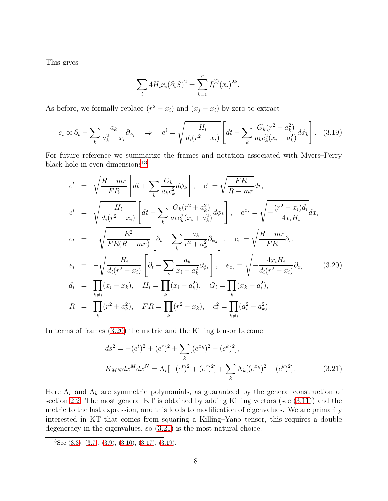This gives

$$
\sum_{i} 4H_i x_i (\partial_i S)^2 = \sum_{k=0}^n I_k^{(i)} (x_i)^{2k}.
$$

As before, we formally replace  $(r^2 - x_i)$  and  $(x_j - x_i)$  by zero to extract

<span id="page-17-3"></span>
$$
e_i \propto \partial_t - \sum_k \frac{a_k}{a_k^2 + x_i} \partial_{\phi_i} \quad \Rightarrow \quad e^i = \sqrt{\frac{H_i}{d_i (r^2 - x_i)}} \left[ dt + \sum_k \frac{G_k (r^2 + a_k^2)}{a_k c_k^2 (x_i + a_k^2)} d\phi_k \right]. \tag{3.19}
$$

For future reference we summarize the frames and notation associated with Myers–Perry black hole in even dimensions $^{13}$  $^{13}$  $^{13}$ 

<span id="page-17-1"></span>
$$
e^{t} = \sqrt{\frac{R - mr}{FR}} \left[ dt + \sum_{k} \frac{G_{k}}{a_{k}c_{k}^{2}} d\phi_{k} \right], \quad e^{r} = \sqrt{\frac{FR}{R - mr}} dr,
$$
  
\n
$$
e^{i} = \sqrt{\frac{H_{i}}{d_{i}(r^{2} - x_{i})}} \left[ dt + \sum_{k} \frac{G_{k}(r^{2} + a_{k}^{2})}{a_{k}c_{k}^{2}(x_{i} + a_{k}^{2})} d\phi_{k} \right], \quad e^{x_{i}} = \sqrt{-\frac{(r^{2} - x_{i})d_{i}}{4x_{i}H_{i}}} dx_{i}
$$
  
\n
$$
e_{t} = -\sqrt{\frac{R^{2}}{FR(R - mr)}} \left[ \partial_{t} - \sum_{k} \frac{a_{k}}{r^{2} + a_{k}^{2}} \partial_{\phi_{k}} \right], \quad e_{r} = \sqrt{\frac{R - mr}{FR}} \partial_{r},
$$
  
\n
$$
e_{i} = -\sqrt{\frac{H_{i}}{d_{i}(r^{2} - x_{i})}} \left[ \partial_{t} - \sum_{k} \frac{a_{k}}{x_{i} + a_{k}^{2}} \partial_{\phi_{k}} \right], \quad e_{x_{i}} = \sqrt{-\frac{4x_{i}H_{i}}{d_{i}(r^{2} - x_{i})}} \partial_{x_{i}} \qquad (3.20)
$$
  
\n
$$
d_{i} = \prod_{k \neq i} (x_{i} - x_{k}), \quad H_{i} = \prod_{k} (x_{i} + a_{k}^{2}), \quad G_{i} = \prod_{k} (x_{k} + a_{i}^{2}),
$$
  
\n
$$
R = \prod_{k} (r^{2} + a_{k}^{2}), \quad FR = \prod_{k} (r^{2} - x_{k}), \quad c_{i}^{2} = \prod_{k \neq i} (a_{i}^{2} - a_{k}^{2}).
$$

In terms of frames [\(3.20\)](#page-17-1) the metric and the Killing tensor become

<span id="page-17-2"></span>
$$
ds^{2} = -(e^{t})^{2} + (e^{r})^{2} + \sum_{k} [(e^{x_{k}})^{2} + (e^{k})^{2}],
$$
  
\n
$$
K_{MN} dx^{M} dx^{N} = \Lambda_{r} [-(e^{t})^{2} + (e^{r})^{2}] + \sum_{k} \Lambda_{k} [(e^{x_{k}})^{2} + (e^{k})^{2}].
$$
\n(3.21)

Here  $\Lambda_r$  and  $\Lambda_k$  are symmetric polynomials, as guaranteed by the general construction of section [2.2.](#page-7-0) The most general KT is obtained by adding Killing vectors (see [\(3.11\)](#page-15-2)) and the metric to the last expression, and this leads to modification of eigenvalues. We are primarily interested in KT that comes from squaring a Killing–Yano tensor, this requires a double degeneracy in the eigenvalues, so [\(3.21\)](#page-17-2) is the most natural choice.

<span id="page-17-0"></span><sup>&</sup>lt;sup>13</sup>See [\(3.3\)](#page-14-5), [\(3.7\)](#page-15-3), [\(3.9\)](#page-15-4), [\(3.10\)](#page-15-5), [\(3.17\)](#page-16-4), [\(3.19\)](#page-17-3).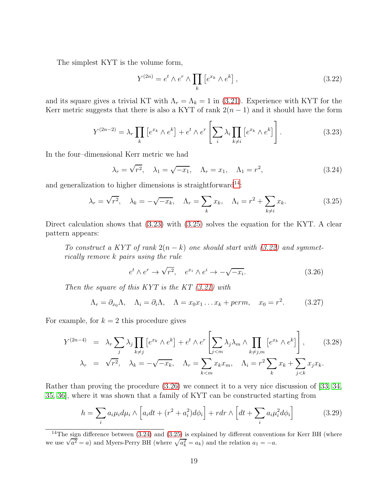The simplest KYT is the volume form,

<span id="page-18-3"></span>
$$
Y^{(2n)} = e^t \wedge e^r \wedge \prod_k \left[ e^{x_k} \wedge e^k \right],\tag{3.22}
$$

and its square gives a trivial KT with  $\Lambda_r = \Lambda_k = 1$  in [\(3.21\)](#page-17-2). Experience with KYT for the Kerr metric suggests that there is also a KYT of rank  $2(n-1)$  and it should have the form

<span id="page-18-1"></span>
$$
Y^{(2n-2)} = \lambda_r \prod_k \left[ e^{x_k} \wedge e^k \right] + e^t \wedge e^r \left[ \sum_i \lambda_i \prod_{k \neq i} \left[ e^{x_k} \wedge e^k \right] \right]. \tag{3.23}
$$

In the four–dimensional Kerr metric we had

<span id="page-18-5"></span>
$$
\lambda_r = \sqrt{r^2}, \quad \lambda_1 = \sqrt{-x_1}, \quad \Lambda_r = x_1, \quad \Lambda_1 = r^2,
$$
\n(3.24)

and generalization to higher dimensions is straightforward<sup>[14](#page-18-0)</sup>:

<span id="page-18-2"></span>
$$
\lambda_r = \sqrt{r^2}, \quad \lambda_k = -\sqrt{-x_k}, \quad \Lambda_r = \sum_k x_k, \quad \Lambda_i = r^2 + \sum_{k \neq i} x_k. \tag{3.25}
$$

Direct calculation shows that [\(3.23\)](#page-18-1) with [\(3.25\)](#page-18-2) solves the equation for the KYT. A clear pattern appears:

To construct a KYT of rank  $2(n-k)$  one should start with [\(3.22\)](#page-18-3) and symmetrically remove k pairs using the rule

<span id="page-18-4"></span>
$$
e^t \wedge e^r \to \sqrt{r^2}, \quad e^{x_i} \wedge e^i \to -\sqrt{-x_i}.\tag{3.26}
$$

Then the square of this  $KYT$  is the  $KT$   $(3.21)$  with

<span id="page-18-6"></span>
$$
\Lambda_r = \partial_{x_0} \Lambda, \quad \Lambda_i = \partial_i \Lambda, \quad \Lambda = x_0 x_1 \dots x_k + perm, \quad x_0 = r^2. \tag{3.27}
$$

For example, for  $k = 2$  this procedure gives

$$
Y^{(2n-4)} = \lambda_r \sum_j \lambda_j \prod_{k \neq j} \left[ e^{x_k} \wedge e^k \right] + e^t \wedge e^r \left[ \sum_{j < m} \lambda_j \lambda_m \wedge \prod_{k \neq j, m} \left[ e^{x_k} \wedge e^k \right] \right], \qquad (3.28)
$$
\n
$$
\lambda_r = \sqrt{r^2}, \quad \lambda_k = -\sqrt{-x_k}, \quad \Lambda_r = \sum_{k < m} x_k x_m, \quad \Lambda_i = r^2 \sum_k x_k + \sum_{j < k} x_j x_k.
$$

Rather than proving the procedure [\(3.26\)](#page-18-4) we connect it to a very nice discussion of [\[33,](#page-84-12) [34,](#page-85-0) [35,](#page-85-1) [36\]](#page-85-2), where it was shown that a family of KYT can be constructed starting from

<span id="page-18-7"></span>
$$
h = \sum_{i} a_i \mu_i d\mu_i \wedge \left[ a_i dt + (r^2 + a_i^2) d\phi_i \right] + r dr \wedge \left[ dt + \sum_{i} a_i \mu_i^2 d\phi_i \right] \tag{3.29}
$$

<span id="page-18-0"></span><sup>&</sup>lt;sup>14</sup>The sign difference between  $(3.24)$  and  $(3.25)$  is explained by different conventions for Kerr BH (where we use  $\sqrt{a^2} = a$ ) and Myers-Perry BH (where  $\sqrt{a_k^2} = a_k$ ) and the relation  $a_1 = -a$ .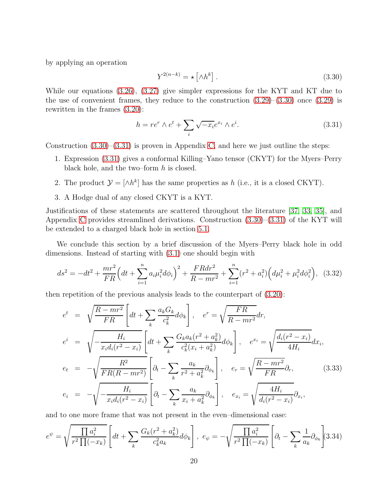by applying an operation

<span id="page-19-0"></span>
$$
Y^{2(n-k)} = \star \left[ \wedge h^k \right]. \tag{3.30}
$$

While our equations [\(3.26\)](#page-18-4), [\(3.27\)](#page-18-6) give simpler expressions for the KYT and KT due to the use of convenient frames, they reduce to the construction  $(3.29)$ – $(3.30)$  once  $(3.29)$  is rewritten in the frames [\(3.20\)](#page-17-1):

<span id="page-19-1"></span>
$$
h = re^r \wedge e^t + \sum_{i} \sqrt{-x_i} e^{x_i} \wedge e^i.
$$
 (3.31)

Construction  $(3.30)$ – $(3.31)$  is proven in Appendix [C,](#page-53-0) and here we just outline the steps:

- 1. Expression [\(3.31\)](#page-19-1) gives a conformal Killing–Yano tensor (CKYT) for the Myers–Perry black hole, and the two–form  $h$  is closed.
- 2. The product  $\mathcal{Y} = [\wedge h^k]$  has the same properties as h (i.e., it is a closed CKYT).
- 3. A Hodge dual of any closed CKYT is a KYT.

Justifications of these statements are scattered throughout the literature [\[37,](#page-85-3) [33,](#page-84-12) [35\]](#page-85-1), and Appendix [C](#page-53-0) provides streamlined derivations. Construction [\(3.30\)](#page-19-0)–[\(3.31\)](#page-19-1) of the KYT will be extended to a charged black hole in section [5.1.](#page-39-0)

We conclude this section by a brief discussion of the Myers–Perry black hole in odd dimensions. Instead of starting with [\(3.1\)](#page-14-1) one should begin with

$$
ds^{2} = -dt^{2} + \frac{mr^{2}}{FR} \left(dt + \sum_{i=1}^{n} a_{i}\mu_{i}^{2}d\phi_{i}\right)^{2} + \frac{FRdr^{2}}{R - mr^{2}} + \sum_{i=1}^{n} (r^{2} + a_{i}^{2})\left(d\mu_{i}^{2} + \mu_{i}^{2}d\phi_{i}^{2}\right), \quad (3.32)
$$

then repetition of the previous analysis leads to the counterpart of [\(3.20\)](#page-17-1):

$$
e^{t} = \sqrt{\frac{R - mr^{2}}{FR}} \left[ dt + \sum_{k} \frac{a_{k} G_{k}}{c_{k}^{2}} d\phi_{k} \right], \quad e^{r} = \sqrt{\frac{FR}{R - mr^{2}}} dr,
$$
  
\n
$$
e^{i} = \sqrt{-\frac{H_{i}}{x_{i} d_{i} (r^{2} - x_{i})}} \left[ dt + \sum_{k} \frac{G_{k} a_{k} (r^{2} + a_{k}^{2})}{c_{k}^{2} (x_{i} + a_{k}^{2})} d\phi_{k} \right], \quad e^{x_{i}} = \sqrt{\frac{d_{i} (r^{2} - x_{i})}{4H_{i}}} dx_{i},
$$
  
\n
$$
e_{t} = -\sqrt{\frac{R^{2}}{FR(R - mr^{2})}} \left[ \partial_{t} - \sum_{k} \frac{a_{k}}{r^{2} + a_{k}^{2}} \partial_{\phi_{k}} \right], \quad e_{r} = \sqrt{\frac{R - mr^{2}}{FR}} \partial_{r}, \tag{3.33}
$$
  
\n
$$
e_{i} = -\sqrt{-\frac{H_{i}}{x_{i} d_{i} (r^{2} - x_{i})}} \left[ \partial_{t} - \sum_{k} \frac{a_{k}}{x_{i} + a_{k}^{2}} \partial_{\phi_{k}} \right], \quad e_{x_{i}} = \sqrt{\frac{4H_{i}}{d_{i} (r^{2} - x_{i})}} \partial_{x_{i}}, \tag{3.34}
$$

and to one more frame that was not present in the even–dimensional case:

$$
e^{\psi} = \sqrt{\frac{\prod a_i^2}{r^2 \prod (-x_k)}} \left[ dt + \sum_k \frac{G_k(r^2 + a_k^2)}{c_k^2 a_k} d\phi_k \right], \ e_{\psi} = -\sqrt{\frac{\prod a_i^2}{r^2 \prod (-x_k)}} \left[ \partial_t - \sum_k \frac{1}{a_k} \partial_{\phi_k} \right] (3.34)
$$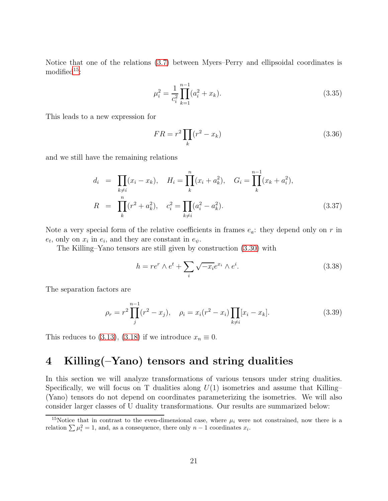Notice that one of the relations [\(3.7\)](#page-15-3) between Myers–Perry and ellipsoidal coordinates is modified $15$ :

$$
\mu_i^2 = \frac{1}{c_i^2} \prod_{k=1}^{n-1} (a_i^2 + x_k).
$$
\n(3.35)

This leads to a new expression for

$$
FR = r^2 \prod_k (r^2 - x_k) \tag{3.36}
$$

and we still have the remaining relations

$$
d_i = \prod_{k \neq i} (x_i - x_k), \quad H_i = \prod_k (x_i + a_k^2), \quad G_i = \prod_k (x_k + a_i^2),
$$
  

$$
R = \prod_k (r^2 + a_k^2), \quad c_i^2 = \prod_{k \neq i} (a_i^2 - a_k^2).
$$
 (3.37)

Note a very special form of the relative coefficients in frames  $e_a$ : they depend only on r in  $e_t$ , only on  $x_i$  in  $e_i$ , and they are constant in  $e_{\psi}$ .

The Killing–Yano tensors are still given by construction [\(3.30\)](#page-19-0) with

$$
h = re^r \wedge e^t + \sum_{i} \sqrt{-x_i} e^{x_i} \wedge e^i.
$$
 (3.38)

The separation factors are

$$
\rho_r = r^2 \prod_j^{n-1} (r^2 - x_j), \quad \rho_i = x_i (r^2 - x_i) \prod_{k \neq i} [x_i - x_k]. \tag{3.39}
$$

This reduces to [\(3.13\)](#page-16-3), [\(3.18\)](#page-16-5) if we introduce  $x_n \equiv 0$ .

## <span id="page-20-0"></span>4 Killing(–Yano) tensors and string dualities

In this section we will analyze transformations of various tensors under string dualities. Specifically, we will focus on T dualities along  $U(1)$  isometries and assume that Killing– (Yano) tensors do not depend on coordinates parameterizing the isometries. We will also consider larger classes of U duality transformations. Our results are summarized below:

<span id="page-20-1"></span><sup>&</sup>lt;sup>15</sup>Notice that in contrast to the even-dimensional case, where  $\mu_i$  were not constrained, now there is a relation  $\sum \mu_i^2 = 1$ , and, as a consequence, there only  $n - 1$  coordinates  $x_i$ .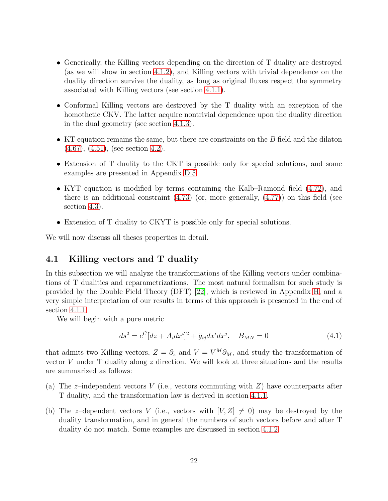- Generically, the Killing vectors depending on the direction of T duality are destroyed (as we will show in section [4.1.2\)](#page-23-0), and Killing vectors with trivial dependence on the duality direction survive the duality, as long as original fluxes respect the symmetry associated with Killing vectors (see section [4.1.1\)](#page-22-0).
- Conformal Killing vectors are destroyed by the T duality with an exception of the homothetic CKV. The latter acquire nontrivial dependence upon the duality direction in the dual geometry (see section [4.1.3\)](#page-25-0).
- KT equation remains the same, but there are constraints on the  $B$  field and the dilaton [\(4.67\)](#page-34-0), [\(4.51\)](#page-30-0), (see section [4.2\)](#page-26-0).
- Extension of T duality to the CKT is possible only for special solutions, and some examples are presented in Appendix [D.5.](#page-64-0)
- KYT equation is modified by terms containing the Kalb–Ramond field [\(4.72\)](#page-35-1), and there is an additional constraint  $(4.73)$  (or, more generally,  $(4.77)$ ) on this field (see section [4.3\)](#page-35-0).
- Extension of T duality to CKYT is possible only for special solutions.

<span id="page-21-0"></span>We will now discuss all theses properties in detail.

## 4.1 Killing vectors and T duality

In this subsection we will analyze the transformations of the Killing vectors under combinations of T dualities and reparametrizations. The most natural formalism for such study is provided by the Double Field Theory (DFT) [\[22\]](#page-84-1), which is reviewed in Appendix [H,](#page-78-0) and a very simple interpretation of our results in terms of this approach is presented in the end of section [4.1.1.](#page-22-0)

We will begin with a pure metric

<span id="page-21-1"></span>
$$
ds^{2} = e^{C}[dz + A_{i}dx^{i}]^{2} + \hat{g}_{ij}dx^{i}dx^{j}, \quad B_{MN} = 0
$$
\n(4.1)

that admits two Killing vectors,  $Z = \partial_z$  and  $V = V^M \partial_M$ , and study the transformation of vector  $V$  under  $T$  duality along  $z$  direction. We will look at three situations and the results are summarized as follows:

- (a) The z-independent vectors  $V$  (i.e., vectors commuting with  $Z$ ) have counterparts after T duality, and the transformation law is derived in section [4.1.1.](#page-22-0)
- (b) The z-dependent vectors V (i.e., vectors with  $[V, Z] \neq 0$ ) may be destroyed by the duality transformation, and in general the numbers of such vectors before and after T duality do not match. Some examples are discussed in section [4.1.2.](#page-23-0)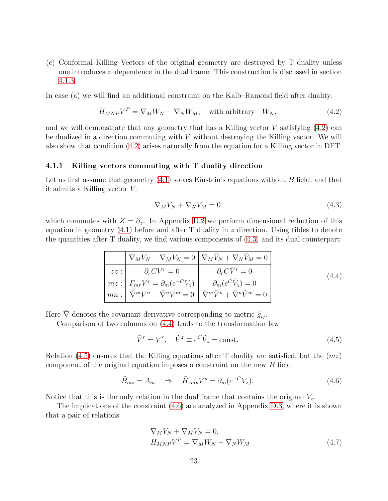(c) Conformal Killing Vectors of the original geometry are destroyed by T duality unless one introduces z–dependence in the dual frame. This construction is discussed in section [4.1.3.](#page-25-0)

In case (a) we will find an additional constraint on the Kalb–Ramond field after duality:

<span id="page-22-1"></span>
$$
H_{MNP}V^{P} = \nabla_{M}W_{N} - \nabla_{N}W_{M}, \text{ with arbitrary } W_{N}, \qquad (4.2)
$$

and we will demonstrate that any geometry that has a Killing vector  $V$  satisfying  $(4.2)$  can be dualized in a direction commuting with  $V$  without destroying the Killing vector. We will also show that condition [\(4.2\)](#page-22-1) arises naturally from the equation for a Killing vector in DFT.

#### <span id="page-22-0"></span>4.1.1 Killing vectors commuting with T duality direction

Let us first assume that geometry  $(4.1)$  solves Einstein's equations without B field, and that it admits a Killing vector  $V$ :

<span id="page-22-2"></span>
$$
\nabla_M V_N + \nabla_N V_M = 0 \tag{4.3}
$$

which commutes with  $Z = \partial_z$ . In Appendix [D.2](#page-58-0) we perform dimensional reduction of this equation in geometry  $(4.1)$  before and after T duality in z direction. Using tildes to denote the quantities after T duality, we find various components of [\(4.3\)](#page-22-2) and its dual counterpart:

<span id="page-22-3"></span>
$$
\nabla_M V_N + \nabla_M V_N = 0 \nabla_M \tilde{V}_N + \nabla_N \tilde{V}_M = 0
$$
\n
$$
zz : \n\partial_r CV^r = 0 \n\partial_r C \tilde{V}^r = 0
$$
\n
$$
mz : \nF_{mr} V^r = \partial_m (e^{-C} V_z) \n\partial_m (e^{C} \tilde{V}_z) = 0
$$
\n
$$
mn : \n\hat{\nabla}^m V^n + \hat{\nabla}^n V^m = 0 \n\hat{\nabla}^m \tilde{V}^n + \hat{\nabla}^n \tilde{V}^m = 0
$$
\n(4.4)

Here  $\hat{\nabla}$  denotes the covariant derivative corresponding to metric  $\hat{g}_{ij}$ .

Comparison of two columns on [\(4.4\)](#page-22-3) leads to the transformation law

<span id="page-22-4"></span>
$$
\tilde{V}^r = V^r, \quad \tilde{V}^z \equiv e^C \tilde{V}_z = \text{const.}
$$
\n(4.5)

Relation [\(4.5\)](#page-22-4) ensures that the Killing equations after T duality are satisfied, but the  $(mz)$ component of the original equation imposes a constraint on the new B field:

<span id="page-22-5"></span>
$$
\tilde{B}_{mz} = A_m \quad \Rightarrow \quad \tilde{H}_{zmp} V^p = \partial_m (e^{-C} V_z). \tag{4.6}
$$

Notice that this is the only relation in the dual frame that contains the original  $V_z$ .

The implications of the constraint [\(4.6\)](#page-22-5) are analyzed in Appendix [D.3,](#page-59-0) where it is shown that a pair of relations

<span id="page-22-6"></span>
$$
\nabla_M V_N + \nabla_M V_N = 0,
$$
  
\n
$$
H_{MNP} V^P = \nabla_M W_N - \nabla_N W_M
$$
\n(4.7)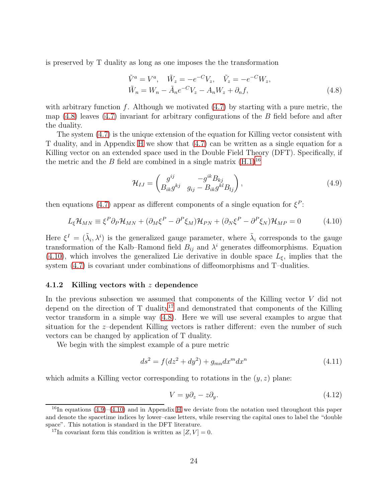is preserved by T duality as long as one imposes the the transformation

<span id="page-23-1"></span>
$$
\tilde{V}^{a} = V^{a}, \quad \tilde{W}_{z} = -e^{-C}V_{z}, \quad \tilde{V}_{z} = -e^{-C}W_{z}, \n\tilde{W}_{n} = W_{n} - \tilde{A}_{n}e^{-C}V_{z} - A_{n}W_{z} + \partial_{n}f,
$$
\n(4.8)

with arbitrary function f. Although we motivated  $(4.7)$  by starting with a pure metric, the map  $(4.8)$  leaves  $(4.7)$  invariant for arbitrary configurations of the B field before and after the duality.

The system [\(4.7\)](#page-22-6) is the unique extension of the equation for Killing vector consistent with T duality, and in Appendix [H](#page-78-0) we show that [\(4.7\)](#page-22-6) can be written as a single equation for a Killing vector on an extended space used in the Double Field Theory (DFT). Specifically, if the metric and the B field are combined in a single matrix  $(H.1)^{16}$  $(H.1)^{16}$  $(H.1)^{16}$ 

<span id="page-23-5"></span>
$$
\mathcal{H}_{IJ} = \begin{pmatrix} g^{ij} & -g^{ik} B_{kj} \\ B_{ik} g^{kj} & g_{ij} - B_{ik} g^{kl} B_{lj} \end{pmatrix},\tag{4.9}
$$

then equations [\(4.7\)](#page-22-6) appear as different components of a single equation for  $\xi^P$ :

<span id="page-23-3"></span>
$$
L_{\xi} \mathcal{H}_{MN} \equiv \xi^{P} \partial_{P} \mathcal{H}_{MN} + (\partial_{M} \xi^{P} - \partial^{P} \xi_{M}) \mathcal{H}_{PN} + (\partial_{N} \xi^{P} - \partial^{P} \xi_{N}) \mathcal{H}_{MP} = 0 \qquad (4.10)
$$

Here  $\xi^I = (\tilde{\lambda}_i, \lambda^i)$  is the generalized gauge parameter, where  $\tilde{\lambda}_i$  corresponds to the gauge transformation of the Kalb–Ramond field  $B_{ij}$  and  $\lambda^i$  generates diffeomorphisms. Equation [\(4.10\)](#page-23-3), which involves the generalized Lie derivative in double space  $L_{\xi}$ , implies that the system [\(4.7\)](#page-22-6) is covariant under combinations of diffeomorphisms and T–dualities.

#### <span id="page-23-0"></span>4.1.2 Killing vectors with z dependence

In the previous subsection we assumed that components of the Killing vector  $V$  did not depend on the direction of  $T$  duality<sup>[17](#page-23-4)</sup> and demonstrated that components of the Killing vector transform in a simple way [\(4.8\)](#page-23-1). Here we will use several examples to argue that situation for the z–dependent Killing vectors is rather different: even the number of such vectors can be changed by application of T duality.

We begin with the simplest example of a pure metric

$$
ds^{2} = f(dz^{2} + dy^{2}) + g_{mn}dx^{m}dx^{n}
$$
\n(4.11)

which admits a Killing vector corresponding to rotations in the  $(y, z)$  plane:

<span id="page-23-6"></span>
$$
V = y\partial_z - z\partial_y.
$$
\n(4.12)

<span id="page-23-2"></span> $^{16}$ In equations [\(4.9\)](#page-23-5)–[\(4.10\)](#page-23-3) and in Appendix [H](#page-78-0) we deviate from the notation used throughout this paper and denote the spacetime indices by lower–case letters, while reserving the capital ones to label the "double space". This notation is standard in the DFT literature.

<span id="page-23-4"></span><sup>&</sup>lt;sup>17</sup>In covariant form this condition is written as  $[Z, V] = 0$ .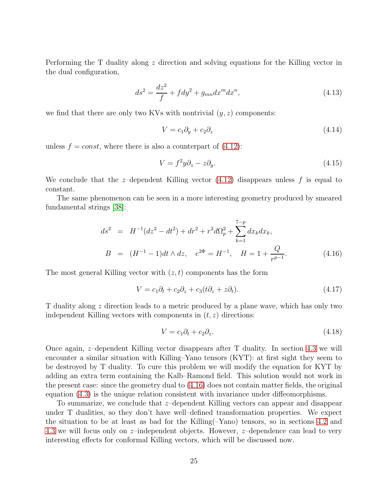Performing the T duality along z direction and solving equations for the Killing vector in the dual configuration,

$$
ds^{2} = \frac{dz^{2}}{f} + f dy^{2} + g_{mn} dx^{m} dx^{n},
$$
\n(4.13)

we find that there are only two KVs with nontrivial  $(y, z)$  components:

$$
V = c_1 \partial_y + c_2 \partial_z \tag{4.14}
$$

unless  $f = const$ , where there is also a counterpart of  $(4.12)$ :

$$
V = f^2 y \partial_z - z \partial_y. \tag{4.15}
$$

We conclude that the *z*-dependent Killing vector  $(4.12)$  disappears unless f is equal to constant.

The same phenomenon can be seen in a more interesting geometry produced by smeared fundamental strings [\[38\]](#page-85-4):

<span id="page-24-0"></span>
$$
ds^{2} = H^{-1}(dz^{2} - dt^{2}) + dr^{2} + r^{2}d\Omega_{p}^{2} + \sum_{k=1}^{7-p} dx_{k}dx_{k},
$$
  
\n
$$
B = (H^{-1} - 1)dt \wedge dz, \quad e^{2\Phi} = H^{-1}, \quad H = 1 + \frac{Q}{r^{p-1}}.
$$
\n(4.16)

The most general Killing vector with  $(z, t)$  components has the form

$$
V = c_1 \partial_t + c_2 \partial_z + c_3 (t \partial_z + z \partial_t). \tag{4.17}
$$

T duality along z direction leads to a metric produced by a plane wave, which has only two independent Killing vectors with components in  $(t, z)$  directions:

$$
V = c_1 \partial_t + c_2 \partial_z. \tag{4.18}
$$

Once again, z–dependent Killing vector disappears after T duality. In section [4.3](#page-35-0) we will encounter a similar situation with Killing–Yano tensors (KYT): at first sight they seem to be destroyed by T duality. To cure this problem we will modify the equation for KYT by adding an extra term containing the Kalb–Ramond field. This solution would not work in the present case: since the geometry dual to [\(4.16\)](#page-24-0) does not contain matter fields, the original equation [\(4.3\)](#page-22-2) is the unique relation consistent with invariance under diffeomorphisms.

To summarize, we conclude that z–dependent Killing vectors can appear and disappear under T dualities, so they don't have well–defined transformation properties. We expect the situation to be at least as bad for the Killing(–Yano) tensors, so in sections [4.2](#page-26-0) and [4.3](#page-35-0) we will focus only on z–independent objects. However, z–dependence can lead to very interesting effects for conformal Killing vectors, which will be discussed now.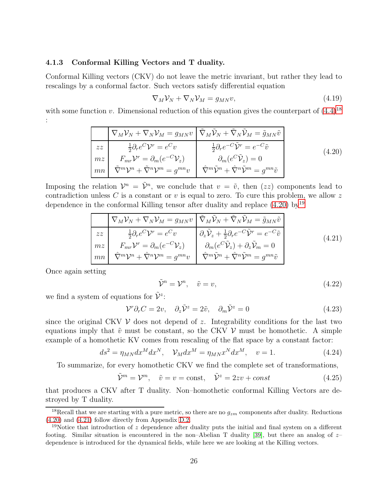### <span id="page-25-0"></span>4.1.3 Conformal Killing Vectors and T duality.

Conformal Killing vectors (CKV) do not leave the metric invariant, but rather they lead to rescalings by a conformal factor. Such vectors satisfy differential equation

$$
\nabla_M \mathcal{V}_N + \nabla_N \mathcal{V}_M = g_{MN} v,\tag{4.19}
$$

with some function v. Dimensional reduction of this equation gives the counterpart of  $(4.4)^{18}$  $(4.4)^{18}$  $(4.4)^{18}$ :

<span id="page-25-2"></span>
$$
\nabla_M \mathcal{V}_N + \nabla_N \mathcal{V}_M = g_{MN} v \left[ \tilde{\nabla}_M \tilde{\mathcal{V}}_N + \tilde{\nabla}_N \tilde{\mathcal{V}}_M = \tilde{g}_{MN} \tilde{v} \right]
$$
\n
$$
z \bar{z} \left[ \frac{1}{2} \partial_r e^C \mathcal{V}^r = e^C v \right] \frac{1}{2} \partial_r e^{-C} \tilde{\mathcal{V}}^r = e^{-C} \tilde{v}
$$
\n
$$
m \left[ \tilde{\nabla}^m \mathcal{V}^r = \partial_m (e^{-C} \mathcal{V}_z) \right] \qquad \partial_m (e^C \tilde{\mathcal{V}}_z) = 0
$$
\n
$$
mn \left[ \tilde{\nabla}^m \mathcal{V}^n + \tilde{\nabla}^n \mathcal{V}^m = g^{mn} v \right] \qquad \hat{\nabla}^m \tilde{\mathcal{V}}^n + \hat{\nabla}^n \tilde{\mathcal{V}}^m = g^{mn} \tilde{v}
$$
\n(4.20)

Imposing the relation  $\mathcal{V}^n = \tilde{\mathcal{V}}^n$ , we conclude that  $v = \tilde{v}$ , then  $(zz)$  components lead to contradiction unless C is a constant or v is equal to zero. To cure this problem, we allow z dependence in the conformal Killing tensor after duality and replace  $(4.20)$  by<sup>[19](#page-25-3)</sup>

<span id="page-25-4"></span>
$$
\nabla_M \mathcal{V}_N + \nabla_N \mathcal{V}_M = g_{MN} v \left[ \tilde{\nabla}_M \tilde{\mathcal{V}}_N + \tilde{\nabla}_N \tilde{\mathcal{V}}_M = \tilde{g}_{MN} \tilde{v} \right]
$$
\n
$$
z \bar{z} \left[ \frac{\frac{1}{2} \partial_r e^C \mathcal{V}^r = e^C v}{\frac{1}{2} \partial_r e^{-C} \mathcal{V}^r} \right] \frac{\partial_z \tilde{\mathcal{V}}_z + \frac{1}{2} \partial_r e^{-C} \tilde{\mathcal{V}}^r = e^{-C} \tilde{v}}{\partial_m (e^C \tilde{\mathcal{V}}_z) + \partial_z \tilde{\mathcal{V}}_m = 0}
$$
\n
$$
m n \left[ \tilde{\nabla}^m \mathcal{V}^n + \tilde{\nabla}^n \mathcal{V}^m = g^{mn} v \right] \frac{\partial_m (e^C \tilde{\mathcal{V}}_z) + \partial_z \tilde{\mathcal{V}}_m = 0}{\hat{\nabla}^m \tilde{\mathcal{V}}^n + \hat{\nabla}^n \tilde{\mathcal{V}}^m = g^{mn} \tilde{v}} \tag{4.21}
$$

Once again setting

$$
\tilde{\mathcal{V}}^n = \mathcal{V}^n, \quad \tilde{v} = v,\tag{4.22}
$$

we find a system of equations for  $\tilde{\mathcal{V}}^z$ :

$$
\mathcal{V}^r \partial_r C = 2v, \quad \partial_z \tilde{\mathcal{V}}^z = 2\tilde{v}, \quad \partial_m \tilde{\mathcal{V}}^z = 0 \tag{4.23}
$$

since the original CKV  $\mathcal V$  does not depend of z. Integrability conditions for the last two equations imply that  $\tilde{v}$  must be constant, so the CKV V must be homothetic. A simple example of a homothetic KV comes from rescaling of the flat space by a constant factor:

$$
ds^2 = \eta_{MN} dx^M dx^N, \quad \mathcal{V}_M dx^M = \eta_{MN} x^N dx^M, \quad v = 1.
$$
 (4.24)

To summarize, for every homothetic CKV we find the complete set of transformations,

$$
\tilde{\mathcal{V}}^m = \mathcal{V}^m, \quad \tilde{v} = v = \text{const}, \quad \tilde{\mathcal{V}}^z = 2zv + const \tag{4.25}
$$

that produces a CKV after T duality. Non–homothetic conformal Killing Vectors are destroyed by T duality.

<span id="page-25-1"></span><sup>&</sup>lt;sup>18</sup>Recall that we are starting with a pure metric, so there are no  $q_{zm}$  components after duality. Reductions [\(4.20\)](#page-25-2) and [\(4.21\)](#page-25-4) follow directly from Appendix [D.2.](#page-58-0)

<span id="page-25-3"></span><sup>&</sup>lt;sup>19</sup>Notice that introduction of z dependence after duality puts the initial and final system on a different footing. Similar situation is encountered in the non–Abelian T duality [\[39\]](#page-85-5), but there an analog of  $z$ dependence is introduced for the dynamical fields, while here we are looking at the Killing vectors.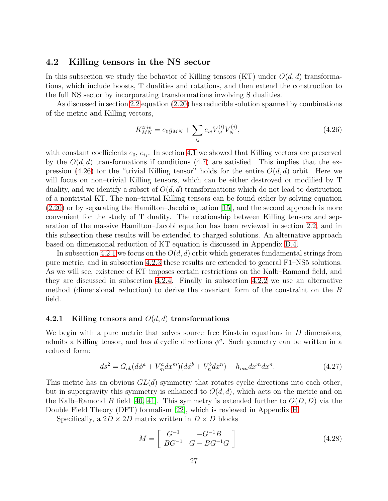## <span id="page-26-0"></span>4.2 Killing tensors in the NS sector

In this subsection we study the behavior of Killing tensors (KT) under  $O(d, d)$  transformations, which include boosts, T dualities and rotations, and then extend the construction to the full NS sector by incorporating transformations involving S dualities.

As discussed in section [2.2](#page-7-0) equation [\(2.20\)](#page-7-5) has reducible solution spanned by combinations of the metric and Killing vectors,

<span id="page-26-1"></span>
$$
K_{MN}^{triv} = e_0 g_{MN} + \sum_{ij} e_{ij} V_M^{(i)} V_N^{(j)},
$$
\n(4.26)

with constant coefficients  $e_0, e_{ij}$ . In section [4.1](#page-21-0) we showed that Killing vectors are preserved by the  $O(d, d)$  transformations if conditions [\(4.7\)](#page-22-6) are satisfied. This implies that the ex-pression [\(4.26\)](#page-26-1) for the "trivial Killing tensor" holds for the entire  $O(d, d)$  orbit. Here we will focus on non–trivial Killing tensors, which can be either destroyed or modified by T duality, and we identify a subset of  $O(d, d)$  transformations which do not lead to destruction of a nontrivial KT. The non–trivial Killing tensors can be found either by solving equation [\(2.20\)](#page-7-5) or by separating the Hamilton–Jacobi equation [\[15\]](#page-83-5), and the second approach is more convenient for the study of T duality. The relationship between Killing tensors and separation of the massive Hamilton–Jacobi equation has been reviewed in section [2.2,](#page-7-0) and in this subsection these results will be extended to charged solutions. An alternative approach based on dimensional reduction of KT equation is discussed in Appendix [D.4.](#page-62-0)

In subsection [4.2.1](#page-26-2) we focus on the  $O(d, d)$  orbit which generates fundamental strings from pure metric, and in subsection [4.2.3](#page-31-0) these results are extended to general F1–NS5 solutions. As we will see, existence of KT imposes certain restrictions on the Kalb–Ramond field, and they are discussed in subsection [4.2.4.](#page-33-0) Finally in subsection [4.2.2](#page-30-1) we use an alternative method (dimensional reduction) to derive the covariant form of the constraint on the B field.

### <span id="page-26-2"></span>4.2.1 Killing tensors and  $O(d, d)$  transformations

We begin with a pure metric that solves source–free Einstein equations in  $D$  dimensions, admits a Killing tensor, and has d cyclic directions  $\phi^a$ . Such geometry can be written in a reduced form:

<span id="page-26-3"></span>
$$
ds^{2} = G_{ab}(d\phi^{a} + V_{m}^{a}dx^{m})(d\phi^{b} + V_{n}^{b}dx^{n}) + h_{mn}dx^{m}dx^{n}.
$$
\n(4.27)

This metric has an obvious  $GL(d)$  symmetry that rotates cyclic directions into each other, but in supergravity this symmetry is enhanced to  $O(d, d)$ , which acts on the metric and on the Kalb–Ramond B field [\[40,](#page-85-6) [41\]](#page-85-7). This symmetry is extended further to  $O(D, D)$  via the Double Field Theory (DFT) formalism [\[22\]](#page-84-1), which is reviewed in Appendix [H.](#page-78-0)

Specifically, a  $2D \times 2D$  matrix written in  $D \times D$  blocks

$$
M = \begin{bmatrix} G^{-1} & -G^{-1}B \\ BG^{-1} & G - BG^{-1}G \end{bmatrix}
$$
 (4.28)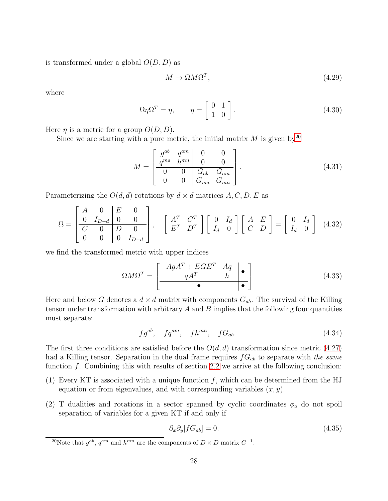is transformed under a global  $O(D, D)$  as

<span id="page-27-4"></span>
$$
M \to \Omega M \Omega^T,\tag{4.29}
$$

where

$$
\Omega \eta \Omega^T = \eta, \qquad \eta = \left[ \begin{array}{cc} 0 & 1 \\ 1 & 0 \end{array} \right]. \tag{4.30}
$$

Here  $\eta$  is a metric for a group  $O(D, D)$ .

Since we are starting with a pure metric, the initial matrix  $M$  is given by  $2^0$ 

$$
M = \begin{bmatrix} g^{ab} & q^{am} & 0 & 0 \\ \frac{q^{ma} & h^{mn}}{0} & 0 & 0 \\ 0 & 0 & G_{ab} & G_{am} \\ 0 & 0 & G_{ma} & G_{mn} \end{bmatrix}.
$$
 (4.31)

Parameterizing the  $O(d, d)$  rotations by  $d \times d$  matrices  $A, C, D, E$  as

<span id="page-27-5"></span>
$$
\Omega = \begin{bmatrix} A & 0 & E & 0 \\ 0 & I_{D-d} & 0 & 0 \\ C & 0 & D & 0 \\ 0 & 0 & 0 & I_{D-d} \end{bmatrix}, \quad \begin{bmatrix} A^T & C^T \\ E^T & D^T \end{bmatrix} \begin{bmatrix} 0 & I_d \\ I_d & 0 \end{bmatrix} \begin{bmatrix} A & E \\ C & D \end{bmatrix} = \begin{bmatrix} 0 & I_d \\ I_d & 0 \end{bmatrix}
$$
(4.32)

we find the transformed metric with upper indices

<span id="page-27-3"></span>
$$
\Omega M \Omega^T = \begin{bmatrix} AgA^T + EGE^T & Aq & \bullet \\ \hline qA^T & h & \bullet \\ \hline \bullet & \bullet & \bullet \end{bmatrix} \tag{4.33}
$$

Here and below G denotes a  $d \times d$  matrix with components  $G_{ab}$ . The survival of the Killing tensor under transformation with arbitrary  $A$  and  $B$  implies that the following four quantities must separate:

<span id="page-27-2"></span>
$$
fg^{ab}, \quad fq^{am}, \quad fh^{mn}, \quad fG_{ab}.\tag{4.34}
$$

The first three conditions are satisfied before the  $O(d, d)$  transformation since metric [\(4.27\)](#page-26-3) had a Killing tensor. Separation in the dual frame requires  $fG_{ab}$  to separate with the same function  $f$ . Combining this with results of section [2.2](#page-7-0) we arrive at the following conclusion:

- (1) Every KT is associated with a unique function  $f$ , which can be determined from the HJ equation or from eigenvalues, and with corresponding variables  $(x, y)$ .
- (2) T dualities and rotations in a sector spanned by cyclic coordinates  $\phi_a$  do not spoil separation of variables for a given KT if and only if

<span id="page-27-1"></span>
$$
\partial_x \partial_y [f G_{ab}] = 0. \tag{4.35}
$$

<span id="page-27-0"></span><sup>&</sup>lt;sup>20</sup>Note that  $g^{ab}$ ,  $q^{am}$  and  $h^{mn}$  are the components of  $D \times D$  matrix  $G^{-1}$ .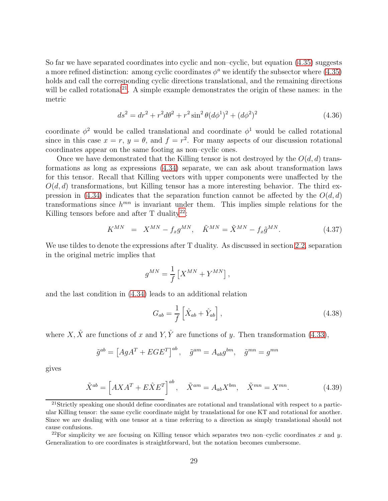So far we have separated coordinates into cyclic and non–cyclic, but equation [\(4.35\)](#page-27-1) suggests a more refined distinction: among cyclic coordinates  $\phi^a$  we identify the subsector where [\(4.35\)](#page-27-1) holds and call the corresponding cyclic directions translational, and the remaining directions will be called rotational<sup>[21](#page-28-0)</sup>. A simple example demonstrates the origin of these names: in the metric

$$
ds^{2} = dr^{2} + r^{2}d\theta^{2} + r^{2}\sin^{2}\theta (d\phi^{1})^{2} + (d\phi^{2})^{2}
$$
\n(4.36)

coordinate  $\phi^2$  would be called translational and coordinate  $\phi^1$  would be called rotational since in this case  $x = r$ ,  $y = \theta$ , and  $f = r^2$ . For many aspects of our discussion rotational coordinates appear on the same footing as non–cyclic ones.

Once we have demonstrated that the Killing tensor is not destroyed by the  $O(d, d)$  transformations as long as expressions [\(4.34\)](#page-27-2) separate, we can ask about transformation laws for this tensor. Recall that Killing vectors with upper components were unaffected by the  $O(d, d)$  transformations, but Killing tensor has a more interesting behavior. The third ex-pression in [\(4.34\)](#page-27-2) indicates that the separation function cannot be affected by the  $O(d, d)$ transformations since  $h^{mn}$  is invariant under them. This implies simple relations for the Killing tensors before and after  $T$  duality<sup>[22](#page-28-1)</sup>:

<span id="page-28-2"></span>
$$
K^{MN} = X^{MN} - f_x g^{MN}, \quad \tilde{K}^{MN} = \tilde{X}^{MN} - f_x \tilde{g}^{MN}.
$$
 (4.37)

We use tildes to denote the expressions after T duality. As discussed in section [2.2,](#page-7-0) separation in the original metric implies that

$$
g^{MN} = \frac{1}{f} \left[ X^{MN} + Y^{MN} \right],
$$

and the last condition in [\(4.34\)](#page-27-2) leads to an additional relation

$$
G_{ab} = \frac{1}{f} \left[ \hat{X}_{ab} + \hat{Y}_{ab} \right],\tag{4.38}
$$

where X,  $\hat{X}$  are functions of x and Y,  $\hat{Y}$  are functions of y. Then transformation [\(4.33\)](#page-27-3),

$$
\tilde{g}^{ab} = \left[ AgA^T + EGE^T \right]^{ab}, \quad \tilde{g}^{am} = A_{ab}g^{bm}, \quad \tilde{g}^{mn} = g^{mn}
$$

gives

<span id="page-28-3"></span>
$$
\tilde{X}^{ab} = \left[AXA^T + E\hat{X}E^T\right]^{ab}, \quad \tilde{X}^{am} = A_{ab}X^{bm}, \quad \tilde{X}^{mn} = X^{mn}.
$$
\n(4.39)

<span id="page-28-0"></span><sup>21</sup>Strictly speaking one should define coordinates are rotational and translational with respect to a particular Killing tensor: the same cyclic coordinate might by translational for one KT and rotational for another. Since we are dealing with one tensor at a time referring to a direction as simply translational should not cause confusions.

<span id="page-28-1"></span><sup>&</sup>lt;sup>22</sup>For simplicity we are focusing on Killing tensor which separates two non–cyclic coordinates x and y. Generalization to ore coordinates is straightforward, but the notation becomes cumbersome.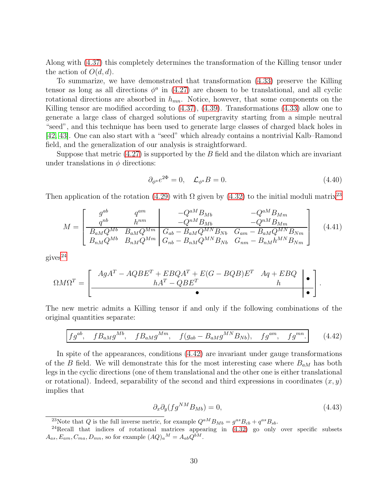Along with [\(4.37\)](#page-28-2) this completely determines the transformation of the Killing tensor under the action of  $O(d, d)$ .

To summarize, we have demonstrated that transformation [\(4.33\)](#page-27-3) preserve the Killing tensor as long as all directions  $\phi^a$  in [\(4.27\)](#page-26-3) are chosen to be translational, and all cyclic rotational directions are absorbed in  $h_{mn}$ . Notice, however, that some components on the Killing tensor are modified according to [\(4.37\)](#page-28-2), [\(4.39\)](#page-28-3). Transformations [\(4.33\)](#page-27-3) allow one to generate a large class of charged solutions of supergravity starting from a simple neutral "seed", and this technique has been used to generate large classes of charged black holes in [\[42,](#page-85-8) [43\]](#page-86-0). One can also start with a "seed" which already contains a nontrivial Kalb–Ramond field, and the generalization of our analysis is straightforward.

Suppose that metric  $(4.27)$  is supported by the B field and the dilaton which are invariant under translations in  $\phi$  directions:

$$
\partial_{\phi^a} e^{2\Phi} = 0, \quad \mathcal{L}_{\phi^a} B = 0. \tag{4.40}
$$

Then application of the rotation [\(4.29\)](#page-27-4) with  $\Omega$  given by [\(4.32\)](#page-27-5) to the initial moduli matrix<sup>[23](#page-29-0)</sup>

$$
M = \begin{bmatrix} g^{ab} & q^{am} & -Q^{aM}B_{Mb} & -Q^{aM}B_{Mm} \\ q^{nb} & h^{nm} & -Q^{nM}B_{Mb} & -Q^{nM}B_{Mm} \\ \hline B_{aM}Q^{Mb} & B_{aM}Q^{Mm} & G_{ab} - B_{aM}Q^{MN}B_{Nb} & G_{am} - B_{aM}Q^{MN}B_{Nm} \\ B_{nM}Q^{Mb} & B_{nM}Q^{Mm} & G_{nb} - B_{nM}Q^{MN}B_{Nb} & G_{nm} - B_{nM}h^{MN}B_{Nm} \end{bmatrix}
$$
(4.41)

 $gives<sup>24</sup>$  $gives<sup>24</sup>$  $gives<sup>24</sup>$ 

$$
\Omega M \Omega^T = \left[ \begin{array}{cc|cc} AgA^T - A Q B E^T + E B Q A^T + E (G - B Q B) E^T & A q + E B Q & \bullet \\ h A^T - Q B E^T & h & \bullet \end{array} \right].
$$

The new metric admits a Killing tensor if and only if the following combinations of the original quantities separate:

<span id="page-29-2"></span>
$$
fg^{ab}, \quad f B_{aM} g^{Mb}, \quad f B_{aM} g^{Mm}, \quad f(g_{ab} - B_{aM} g^{MN} B_{Nb}), \quad fg^{am}, \quad fg^{mn}.\tag{4.42}
$$

In spite of the appearances, conditions [\(4.42\)](#page-29-2) are invariant under gauge transformations of the B field. We will demonstrate this for the most interesting case where  $B_{aM}$  has both legs in the cyclic directions (one of them translational and the other one is either translational or rotational). Indeed, separability of the second and third expressions in coordinates  $(x, y)$ implies that

$$
\partial_x \partial_y (f g^{NM} B_{Mb}) = 0,\t\t(4.43)
$$

<span id="page-29-0"></span><sup>&</sup>lt;sup>23</sup>Note that Q is the full inverse metric, for example  $Q^{aM}B_{Mb} = g^{as}B_{cb} + q^{as}B_{sb}$ .

<span id="page-29-1"></span> $24$ Recall that indices of rotational matrices appearing in  $(4.32)$  go only over specific subsets  $A_{as}, E_{am}, C_{ma}, D_{mn}$ , so for example  $(AQ)_a{}^M = A_{ab}Q^{bM}$ .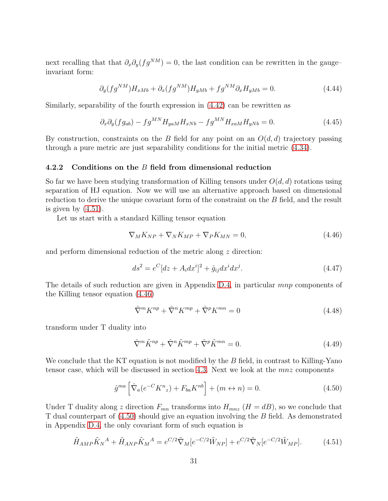next recalling that that  $\partial_x \partial_y (fg^{NM}) = 0$ , the last condition can be rewritten in the gauge– invariant form:

<span id="page-30-4"></span>
$$
\partial_y (fg^{NM}) H_{xMb} + \partial_x (fg^{NM}) H_{yMb} + fg^{NM} \partial_x H_{yMb} = 0. \tag{4.44}
$$

Similarly, separability of the fourth expression in [\(4.42\)](#page-29-2) can be rewritten as

<span id="page-30-5"></span>
$$
\partial_x \partial_y (f g_{ab}) - f g^{MN} H_{yaM} H_{xNb} - f g^{MN} H_{xaM} H_{yNb} = 0. \tag{4.45}
$$

By construction, constraints on the B field for any point on an  $O(d, d)$  trajectory passing through a pure metric are just separability conditions for the initial metric [\(4.34\)](#page-27-2).

### <span id="page-30-1"></span>4.2.2 Conditions on the B field from dimensional reduction

So far we have been studying transformation of Killing tensors under  $O(d, d)$  rotations using separation of HJ equation. Now we will use an alternative approach based on dimensional reduction to derive the unique covariant form of the constraint on the B field, and the result is given by  $(4.51)$ .

Let us start with a standard Killing tensor equation

<span id="page-30-2"></span>
$$
\nabla_M K_{NP} + \nabla_N K_{MP} + \nabla_P K_{MN} = 0, \qquad (4.46)
$$

and perform dimensional reduction of the metric along z direction:

$$
ds^{2} = e^{C}[dz + A_{i}dx^{i}]^{2} + \hat{g}_{ij}dx^{i}dx^{j}.
$$
\n(4.47)

The details of such reduction are given in Appendix [D.4,](#page-62-0) in particular mnp components of the Killing tensor equation [\(4.46\)](#page-30-2)

$$
\hat{\nabla}^m K^{np} + \hat{\nabla}^n K^{mp} + \hat{\nabla}^p K^{mn} = 0 \tag{4.48}
$$

transform under T duality into

$$
\hat{\nabla}^m \tilde{K}^{np} + \hat{\nabla}^n \tilde{K}^{mp} + \hat{\nabla}^p \tilde{K}^{mn} = 0.
$$
\n(4.49)

We conclude that the KT equation is not modified by the  $B$  field, in contrast to Killing-Yano tensor case, which will be discussed in section [4.3.](#page-35-0) Next we look at the mnz components

<span id="page-30-3"></span>
$$
\hat{g}^{ma} \left[ \hat{\nabla}_a (e^{-C} K^n{}_z) + F_{ba} K^{nb} \right] + (m \leftrightarrow n) = 0. \tag{4.50}
$$

Under T duality along z direction  $F_{mn}$  transforms into  $H_{mnz}$  ( $H = dB$ ), so we conclude that T dual counterpart of [\(4.50\)](#page-30-3) should give an equation involving the B field. As demonstrated in Appendix [D.4,](#page-62-0) the only covariant form of such equation is

<span id="page-30-0"></span>
$$
\tilde{H}_{AMP} \tilde{K}_N{}^A + \tilde{H}_{AMP} \tilde{K}_M{}^A = e^{C/2} \tilde{\nabla}_M [e^{-C/2} \tilde{W}_{NP}] + e^{C/2} \tilde{\nabla}_N [e^{-C/2} \tilde{W}_{MP}].
$$
\n(4.51)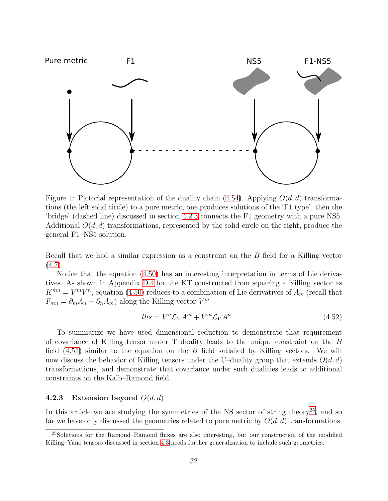

<span id="page-31-2"></span>Figure 1: Pictorial representation of the duality chain [\(4.54\)](#page-32-0). Applying  $O(d, d)$  transformations (the left solid circle) to a pure metric, one produces solutions of the 'F1 type', then the 'bridge' (dashed line) discussed in section [4.2.3](#page-31-0) connects the F1 geometry with a pure NS5. Additional  $O(d, d)$  transformations, represented by the solid circle on the right, produce the general F1–NS5 solution.

Recall that we had a similar expression as a constraint on the B field for a Killing vector  $(4.7).$  $(4.7).$ 

Notice that the equation [\(4.50\)](#page-30-3) has an interesting interpretation in terms of Lie derivatives. As shown in Appendix [D.4](#page-62-0) for the KT constructed from squaring a Killing vector as  $K^{mn} = V^m V^n$ , equation [\(4.50\)](#page-30-3) reduces to a combination of Lie derivatives of  $A_m$  (recall that  $F_{mn} = \partial_m A_n - \partial_n A_m$  along the Killing vector  $V^m$ 

$$
lh s = V^n \mathcal{L}_V A^m + V^m \mathcal{L}_V A^n. \tag{4.52}
$$

To summarize we have used dimensional reduction to demonstrate that requirement of covariance of Killing tensor under T duality leads to the unique constraint on the B field  $(4.51)$  similar to the equation on the B field satisfied by Killing vectors. We will now discuss the behavior of Killing tensors under the U–duality group that extends  $O(d, d)$ transformations, and demonstrate that covariance under such dualities leads to additional constraints on the Kalb–Ramond field.

### <span id="page-31-0"></span>4.2.3 Extension beyond  $O(d,d)$

In this article we are studying the symmetries of the NS sector of string theory<sup>[25](#page-31-1)</sup>, and so far we have only discussed the geometries related to pure metric by  $O(d, d)$  transformations.

<span id="page-31-1"></span><sup>&</sup>lt;sup>25</sup>Solutions for the Ramond–Ramond fluxes are also interesting, but our construction of the modified Killing–Yano tensors discussed in section [4.3](#page-35-0) needs further generalization to include such geometries.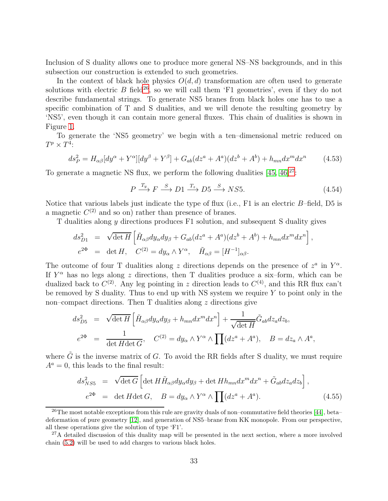Inclusion of S duality allows one to produce more general NS–NS backgrounds, and in this subsection our construction is extended to such geometries.

In the context of black hole physics  $O(d, d)$  transformation are often used to generate solutions with electric  $B$  field<sup>[26](#page-32-1)</sup>, so we will call them 'F1 geometries', even if they do not describe fundamental strings. To generate NS5 branes from black holes one has to use a specific combination of T and S dualities, and we will denote the resulting geometry by 'NS5', even though it can contain more general fluxes. This chain of dualities is shown in Figure [1.](#page-31-2)

To generate the 'NS5 geometry' we begin with a ten–dimensional metric reduced on  $T^p \times T^4$ :

<span id="page-32-3"></span>
$$
ds_P^2 = H_{\alpha\beta}[dy^{\alpha} + Y^{\alpha}][dy^{\beta} + Y^{\beta}] + G_{ab}(dz^a + A^a)(dz^b + A^b) + h_{mn}dx^m dx^n \tag{4.53}
$$

To generate a magnetic NS flux, we perform the following dualities  $[45, 46]^{27}$  $[45, 46]^{27}$  $[45, 46]^{27}$  $[45, 46]^{27}$  $[45, 46]^{27}$ :

<span id="page-32-0"></span>
$$
P \xrightarrow{T_y} F \xrightarrow{S} D1 \xrightarrow{T_z} D5 \xrightarrow{S} NS5. \tag{4.54}
$$

Notice that various labels just indicate the type of flux (i.e.,  $F1$  is an electric  $B$ –field, D5 is a magnetic  $C^{(2)}$  and so on) rather than presence of branes.

T dualities along y directions produces F1 solution, and subsequent S duality gives

$$
ds_{D1}^2 = \sqrt{\det H} \left[ \tilde{H}_{\alpha\beta} dy_{\alpha} dy_{\beta} + G_{ab} (dz^a + A^a) (dz^b + A^b) + h_{mn} dx^m dx^n \right],
$$
  

$$
e^{2\Phi} = \det H, \quad C^{(2)} = dy_{\alpha} \wedge Y^{\alpha}, \quad \tilde{H}_{\alpha\beta} = [H^{-1}]_{\alpha\beta}.
$$

The outcome of four T dualities along z directions depends on the presence of  $z^a$  in  $Y^{\alpha}$ . If  $Y^{\alpha}$  has no legs along z directions, then T dualities produce a six-form, which can be dualized back to  $C^{(2)}$ . Any leg pointing in z direction leads to  $C^{(4)}$ , and this RR flux can't be removed by S duality. Thus to end up with NS system we require  $Y$  to point only in the non–compact directions. Then  $T$  dualities along  $z$  directions give

$$
ds_{D5}^2 = \sqrt{\det H} \left[ \tilde{H}_{\alpha\beta} dy_{\alpha} dy_{\beta} + h_{mn} dx^m dx^n \right] + \frac{1}{\sqrt{\det H}} \tilde{G}_{ab} dz_a dz_b,
$$
  

$$
e^{2\Phi} = \frac{1}{\det H \det G}, \quad C^{(2)} = dy_{\alpha} \wedge Y^{\alpha} \wedge \prod (dz^a + A^a), \quad B = dz_a \wedge A^a,
$$

where  $\tilde{G}$  is the inverse matrix of G. To avoid the RR fields after S duality, we must require  $A^a = 0$ , this leads to the final result:

<span id="page-32-4"></span>
$$
ds_{NS5}^2 = \sqrt{\det G} \left[ \det H \tilde{H}_{\alpha\beta} dy_{\alpha} dy_{\beta} + \det H h_{mn} dx^m dx^n + \tilde{G}_{ab} dz_a dz_b \right],
$$
  
\n
$$
e^{2\Phi} = \det H \det G, \quad B = dy_{\alpha} \wedge Y^{\alpha} \wedge \prod (dz^a + A^a).
$$
\n(4.55)

<span id="page-32-1"></span><sup>&</sup>lt;sup>26</sup>The most notable exceptions from this rule are gravity duals of non–commutative field theories [\[44\]](#page-86-3), beta– deformation of pure geometry [\[12\]](#page-83-2), and generation of NS5–brane from KK monopole. From our perspective, all these operations give the solution of type 'F1'.

<span id="page-32-2"></span><sup>&</sup>lt;sup>27</sup>A detailed discussion of this duality map will be presented in the next section, where a more involved chain [\(5.2\)](#page-38-0) will be used to add charges to various black holes.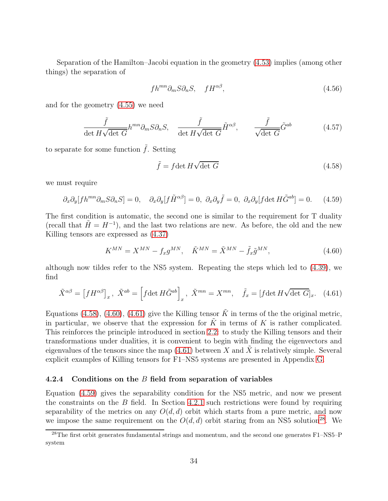Separation of the Hamilton–Jacobi equation in the geometry [\(4.53\)](#page-32-3) implies (among other things) the separation of

$$
fh^{mn}\partial_m S\partial_n S, \quad fH^{\alpha\beta}, \tag{4.56}
$$

and for the geometry [\(4.55\)](#page-32-4) we need

$$
\frac{\tilde{f}}{\det H \sqrt{\det G}} h^{mn} \partial_m S \partial_n S, \quad \frac{\tilde{f}}{\det H \sqrt{\det G}} \tilde{H}^{\alpha \beta}, \qquad \frac{\tilde{f}}{\sqrt{\det G}} \tilde{G}^{ab} \tag{4.57}
$$

to separate for some function  $\tilde{f}$ . Setting

<span id="page-33-1"></span>
$$
\tilde{f} = f \det H \sqrt{\det G} \tag{4.58}
$$

we must require

<span id="page-33-4"></span>
$$
\partial_x \partial_y[fh^{mn}\partial_m S\partial_n S] = 0, \quad \partial_x \partial_y[f\tilde{H}^{\alpha\beta}] = 0, \quad \partial_x \partial_y\tilde{f} = 0, \quad \partial_x \partial_y[f \det H\tilde{G}^{ab}] = 0. \tag{4.59}
$$

The first condition is automatic, the second one is similar to the requirement for T duality (recall that  $\tilde{H} = H^{-1}$ ), and the last two relations are new. As before, the old and the new Killing tensors are expressed as [\(4.37\)](#page-28-2)

<span id="page-33-2"></span>
$$
K^{MN} = X^{MN} - f_x g^{MN}, \quad \tilde{K}^{MN} = \tilde{X}^{MN} - \tilde{f}_x \tilde{g}^{MN}, \tag{4.60}
$$

although now tildes refer to the NS5 system. Repeating the steps which led to [\(4.39\)](#page-28-3), we find

<span id="page-33-3"></span>
$$
\tilde{X}^{\alpha\beta} = \left[fH^{\alpha\beta}\right]_x, \ \tilde{X}^{ab} = \left[f\det H\tilde{G}^{ab}\right]_x, \ \tilde{X}^{mn} = X^{mn}, \quad \tilde{f}_x = \left[f\det H\sqrt{\det G}\right]_x. \tag{4.61}
$$

Equations [\(4.58\)](#page-33-1), [\(4.60\)](#page-33-2), [\(4.61\)](#page-33-3) give the Killing tensor  $\tilde{K}$  in terms of the the original metric, in particular, we observe that the expression for  $K$  in terms of  $K$  is rather complicated. This reinforces the principle introduced in section [2.2:](#page-7-0) to study the Killing tensors and their transformations under dualities, it is convenient to begin with finding the eigenvectors and eigenvalues of the tensors since the map [\(4.61\)](#page-33-3) between X and  $\tilde{X}$  is relatively simple. Several explicit examples of Killing tensors for F1–NS5 systems are presented in Appendix [G.](#page-74-0)

### <span id="page-33-0"></span>4.2.4 Conditions on the B field from separation of variables

Equation [\(4.59\)](#page-33-4) gives the separability condition for the NS5 metric, and now we present the constraints on the  $B$  field. In Section [4.2.1](#page-26-2) such restrictions were found by requiring separability of the metrics on any  $O(d, d)$  orbit which starts from a pure metric, and now we impose the same requirement on the  $O(d, d)$  orbit staring from an NS5 solution<sup>[28](#page-33-5)</sup>. We

<span id="page-33-5"></span> $^{28}$ The first orbit generates fundamental strings and momentum, and the second one generates F1–NS5–P system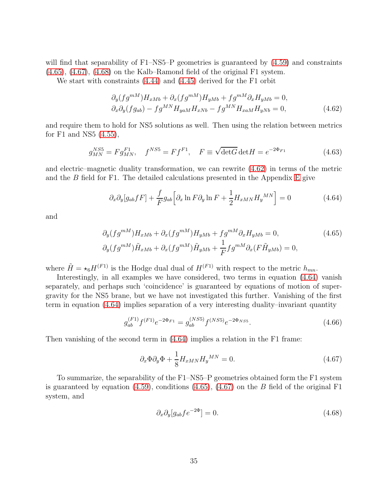will find that separability of F1–NS5–P geometries is guaranteed by  $(4.59)$  and constraints [\(4.65\)](#page-34-1), [\(4.67\)](#page-34-0), [\(4.68\)](#page-34-2) on the Kalb–Ramond field of the original F1 system.

We start with constraints [\(4.44\)](#page-30-4) and [\(4.45\)](#page-30-5) derived for the F1 orbit

<span id="page-34-3"></span>
$$
\partial_y (fg^{mM}) H_{xMb} + \partial_x (fg^{mM}) H_{yMb} + fg^{mM} \partial_x H_{yMb} = 0,
$$
  

$$
\partial_x \partial_y (fg_{ab}) - fg^{MN} H_{yaM} H_{xNb} - fg^{MN} H_{xaM} H_{yNb} = 0,
$$
 (4.62)

and require them to hold for NS5 solutions as well. Then using the relation between metrics for F1 and NS5 [\(4.55\)](#page-32-4),

$$
g_{MN}^{NS5} = Fg_{MN}^{F1}, \quad f^{NS5} = Ff^{F1}, \quad F \equiv \sqrt{\det G} \det H = e^{-2\Phi_{F1}} \tag{4.63}
$$

and electric–magnetic duality transformation, we can rewrite [\(4.62\)](#page-34-3) in terms of the metric and the  $B$  field for F1. The detailed calculations presented in the Appendix [E](#page-69-0) give

<span id="page-34-4"></span>
$$
\partial_x \partial_y [g_{ab} f F] + \frac{f}{F} g_{ab} \Big[ \partial_x \ln F \partial_y \ln F + \frac{1}{2} H_{xMN} H_y{}^{MN} \Big] = 0 \tag{4.64}
$$

and

<span id="page-34-1"></span>
$$
\partial_y(fg^{mM})H_{xMb} + \partial_x(fg^{mM})H_{yMb} + fg^{mM}\partial_x H_{yMb} = 0,
$$
\n
$$
\partial_y(fg^{mM})\tilde{H}_{xMb} + \partial_x(fg^{mM})\tilde{H}_{yMb} + \frac{1}{F}fg^{mM}\partial_x(F\tilde{H}_{yMb}) = 0,
$$
\n(4.65)

where  $\tilde{H} = \star_6 H^{(F1)}$  is the Hodge dual dual of  $H^{(F1)}$  with respect to the metric  $h_{mn}$ .

Interestingly, in all examples we have considered, two terms in equation [\(4.64\)](#page-34-4) vanish separately, and perhaps such 'coincidence' is guaranteed by equations of motion of supergravity for the NS5 brane, but we have not investigated this further. Vanishing of the first term in equation [\(4.64\)](#page-34-4) implies separation of a very interesting duality–invariant quantity

$$
g_{ab}^{(F1)}f^{(F1)}e^{-2\Phi_{F1}} = g_{ab}^{(NS5)}f^{(NS5)}e^{-2\Phi_{NS5}}.
$$
\n(4.66)

Then vanishing of the second term in [\(4.64\)](#page-34-4) implies a relation in the F1 frame:

<span id="page-34-0"></span>
$$
\partial_x \Phi \partial_y \Phi + \frac{1}{8} H_{xMN} H_y{}^{MN} = 0. \tag{4.67}
$$

To summarize, the separability of the F1–NS5–P geometries obtained form the F1 system is guaranteed by equation [\(4.59\)](#page-33-4), conditions [\(4.65\)](#page-34-1), [\(4.67\)](#page-34-0) on the B field of the original F1 system, and

<span id="page-34-2"></span>
$$
\partial_x \partial_y [g_{ab} f e^{-2\Phi}] = 0. \tag{4.68}
$$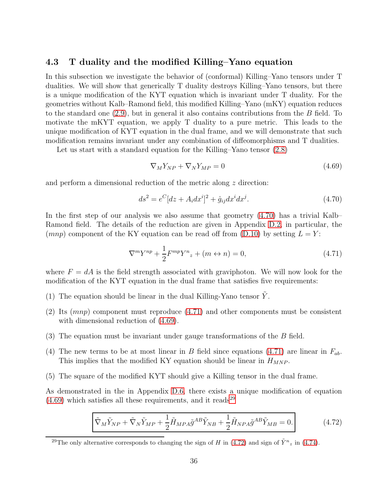## <span id="page-35-0"></span>4.3 T duality and the modified Killing–Yano equation

In this subsection we investigate the behavior of (conformal) Killing–Yano tensors under T dualities. We will show that generically T duality destroys Killing–Yano tensors, but there is a unique modification of the KYT equation which is invariant under T duality. For the geometries without Kalb–Ramond field, this modified Killing–Yano (mKY) equation reduces to the standard one  $(2.9)$ , but in general it also contains contributions from the B field. To motivate the mKYT equation, we apply T duality to a pure metric. This leads to the unique modification of KYT equation in the dual frame, and we will demonstrate that such modification remains invariant under any combination of diffeomorphisms and T dualities.

Let us start with a standard equation for the Killing–Yano tensor [\(2.8\)](#page-5-2)

<span id="page-35-4"></span>
$$
\nabla_M Y_{NP} + \nabla_N Y_{MP} = 0 \tag{4.69}
$$

and perform a dimensional reduction of the metric along z direction:

<span id="page-35-2"></span>
$$
ds^{2} = e^{C}[dz + A_{i}dx^{i}]^{2} + \hat{g}_{ij}dx^{i}dx^{j}.
$$
\n(4.70)

In the first step of our analysis we also assume that geometry [\(4.70\)](#page-35-2) has a trivial Kalb– Ramond field. The details of the reduction are given in Appendix [D.2,](#page-58-0) in particular, the (mnp) component of the KY equation can be read off from [\(D.10\)](#page-59-1) by setting  $L = Y$ :

<span id="page-35-3"></span>
$$
\nabla^m Y^{np} + \frac{1}{2} F^{mp} Y^n{}_z + (m \leftrightarrow n) = 0,\tag{4.71}
$$

where  $F = dA$  is the field strength associated with graviphoton. We will now look for the modification of the KYT equation in the dual frame that satisfies five requirements:

- (1) The equation should be linear in the dual Killing-Yano tensor  $\tilde{Y}$ .
- (2) Its (mnp) component must reproduce [\(4.71\)](#page-35-3) and other components must be consistent with dimensional reduction of [\(4.69\)](#page-35-4).
- (3) The equation must be invariant under gauge transformations of the B field.
- (4) The new terms to be at most linear in B field since equations [\(4.71\)](#page-35-3) are linear in  $F_{ab}$ . This implies that the modified KY equation should be linear in  $H_{MNP}$ .
- (5) The square of the modified KYT should give a Killing tensor in the dual frame.

As demonstrated in the in Appendix [D.6,](#page-65-0) there exists a unique modification of equation  $(4.69)$  which satisfies all these requirements, and it reads<sup>[29](#page-35-5)</sup>

<span id="page-35-1"></span>
$$
\tilde{\nabla}_M \tilde{Y}_{NP} + \tilde{\nabla}_N \tilde{Y}_{MP} + \frac{1}{2} \tilde{H}_{MPA} \tilde{g}^{AB} \tilde{Y}_{NB} + \frac{1}{2} \tilde{H}_{NPA} \tilde{g}^{AB} \tilde{Y}_{MB} = 0.
$$
\n(4.72)

<span id="page-35-5"></span><sup>&</sup>lt;sup>29</sup>The only alternative corresponds to changing the sign of H in [\(4.72\)](#page-35-1) and sign of  $\tilde{Y}^n{}_z$  in [\(4.74\)](#page-36-2).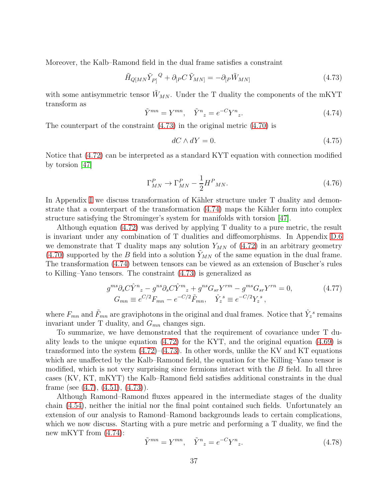Moreover, the Kalb–Ramond field in the dual frame satisfies a constraint

<span id="page-36-0"></span>
$$
\tilde{H}_{Q[MN}\tilde{Y}_{P]}^Q + \partial_{[P}C\tilde{Y}_{MN]} = -\partial_{[P}\tilde{W}_{MN]}
$$
\n(4.73)

with some antisymmetric tensor  $\tilde{W}_{MN}$ . Under the T duality the components of the mKYT transform as

<span id="page-36-1"></span>
$$
\tilde{Y}^{mn} = Y^{mn}, \quad \tilde{Y}^n{}_z = e^{-C} Y^n{}_z. \tag{4.74}
$$

The counterpart of the constraint [\(4.73\)](#page-36-0) in the original metric [\(4.70\)](#page-35-0) is

<span id="page-36-2"></span>
$$
dC \wedge dY = 0. \tag{4.75}
$$

Notice that [\(4.72\)](#page-35-1) can be interpreted as a standard KYT equation with connection modified by torsion [\[47\]](#page-86-0)

$$
\Gamma_{MN}^P \to \Gamma_{MN}^P - \frac{1}{2} H^P{}_{MN}.\tag{4.76}
$$

In Appendix [I](#page-81-0) we discuss transformation of Kähler structure under T duality and demonstrate that a counterpart of the transformation  $(4.74)$  maps the Kähler form into complex structure satisfying the Strominger's system for manifolds with torsion [\[47\]](#page-86-0).

Although equation [\(4.72\)](#page-35-1) was derived by applying T duality to a pure metric, the result is invariant under any combination of T dualities and diffeomorphisms. In Appendix [D.6](#page-65-0) we demonstrate that T duality maps any solution  $Y_{MN}$  of [\(4.72\)](#page-35-1) in an arbitrary geometry [\(4.70\)](#page-35-0) supported by the B field into a solution  $\tilde{Y}_{MN}$  of the same equation in the dual frame. The transformation [\(4.74\)](#page-36-1) between tensors can be viewed as an extension of Buscher's rules to Killing–Yano tensors. The constraint [\(4.73\)](#page-36-0) is generalized as

$$
g^{ms} \partial_s C \hat{Y}^n{}_z - g^{ns} \partial_s C \hat{Y}^m{}_z + g^{ns} G_{sr} Y^{rm} - g^{ms} G_{sr} Y^{rn} = 0, \qquad (4.77)
$$
  
\n
$$
G_{mn} \equiv e^{C/2} F_{mn} - e^{-C/2} \tilde{F}_{mn}, \quad \hat{Y}^s{}_z \equiv e^{-C/2} Y^s_z,
$$

where  $F_{mn}$  and  $\tilde{F}_{mn}$  are graviphotons in the original and dual frames. Notice that  $\hat{Y}_z^s$  remains invariant under T duality, and  $G_{mn}$  changes sign.

To summarize, we have demonstrated that the requirement of covariance under T duality leads to the unique equation  $(4.72)$  for the KYT, and the original equation  $(4.69)$  is transformed into the system  $(4.72)$ – $(4.73)$ . In other words, unlike the KV and KT equations which are unaffected by the Kalb–Ramond field, the equation for the Killing–Yano tensor is modified, which is not very surprising since fermions interact with the  $B$  field. In all three cases (KV, KT, mKYT) the Kalb–Ramond field satisfies additional constraints in the dual frame (see  $(4.7)$ ,  $(4.51)$ ,  $(4.73)$ ).

Although Ramond–Ramond fluxes appeared in the intermediate stages of the duality chain [\(4.54\)](#page-32-0), neither the initial nor the final point contained such fields. Unfortunately an extension of our analysis to Ramond–Ramond backgrounds leads to certain complications, which we now discuss. Starting with a pure metric and performing a T duality, we find the new mKYT from [\(4.74\)](#page-36-1):

$$
\tilde{Y}^{mn} = Y^{mn}, \quad \tilde{Y}^n{}_z = e^{-C} Y^n{}_z. \tag{4.78}
$$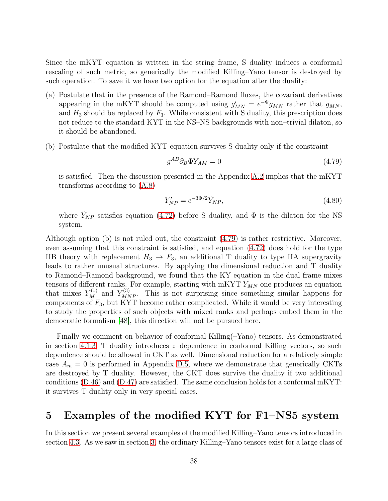Since the mKYT equation is written in the string frame, S duality induces a conformal rescaling of such metric, so generically the modified Killing–Yano tensor is destroyed by such operation. To save it we have two option for the equation after the duality:

- (a) Postulate that in the presence of the Ramond–Ramond fluxes, the covariant derivatives appearing in the mKYT should be computed using  $g'_{MN} = e^{-\Phi} g_{MN}$  rather that  $g_{MN}$ , and  $H_3$  should be replaced by  $F_3$ . While consistent with S duality, this prescription does not reduce to the standard KYT in the NS–NS backgrounds with non–trivial dilaton, so it should be abandoned.
- (b) Postulate that the modified KYT equation survives S duality only if the constraint

<span id="page-37-0"></span>
$$
g^{AB}\partial_B\Phi Y_{AM} = 0\tag{4.79}
$$

is satisfied. Then the discussion presented in the Appendix [A.2](#page-48-0) implies that the mKYT transforms according to [\(A.8\)](#page-48-1)

$$
Y'_{NP} = e^{-3\Phi/2} \tilde{Y}_{NP},
$$
\n(4.80)

where  $\tilde{Y}_{NP}$  satisfies equation [\(4.72\)](#page-35-1) before S duality, and  $\Phi$  is the dilaton for the NS system.

Although option (b) is not ruled out, the constraint [\(4.79\)](#page-37-0) is rather restrictive. Moreover, even assuming that this constraint is satisfied, and equation [\(4.72\)](#page-35-1) does hold for the type IIB theory with replacement  $H_3 \to F_3$ , an additional T duality to type IIA supergravity leads to rather unusual structures. By applying the dimensional reduction and T duality to Ramond–Ramond background, we found that the KY equation in the dual frame mixes tensors of different ranks. For example, starting with mKYT  $Y_{MN}$  one produces an equation that mixes  $Y_M^{(1)}$  and  $Y_{MNP}^{(3)}$ . This is not surprising since something similar happens for components of  $F_3$ , but KYT become rather complicated. While it would be very interesting to study the properties of such objects with mixed ranks and perhaps embed them in the democratic formalism [\[48\]](#page-86-1), this direction will not be pursued here.

Finally we comment on behavior of conformal Killing(–Yano) tensors. As demonstrated in section [4.1.3,](#page-25-0) T duality introduces  $z$ -dependence in conformal Killing vectors, so such dependence should be allowed in CKT as well. Dimensional reduction for a relatively simple case  $A_m = 0$  is performed in Appendix [D.5,](#page-64-0) where we demonstrate that generically CKTs are destroyed by T duality. However, the CKT does survive the duality if two additional conditions [\(D.46\)](#page-64-1) and [\(D.47\)](#page-65-1) are satisfied. The same conclusion holds for a conformal mKYT: it survives T duality only in very special cases.

# 5 Examples of the modified KYT for F1–NS5 system

In this section we present several examples of the modified Killing–Yano tensors introduced in section [4.3.](#page-35-3) As we saw in section [3,](#page-14-0) the ordinary Killing–Yano tensors exist for a large class of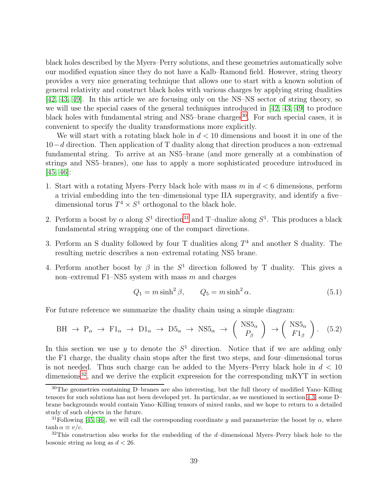black holes described by the Myers–Perry solutions, and these geometries automatically solve our modified equation since they do not have a Kalb–Ramond field. However, string theory provides a very nice generating technique that allows one to start with a known solution of general relativity and construct black holes with various charges by applying string dualities [\[42,](#page-85-0) [43,](#page-86-2) [49\]](#page-86-3). In this article we are focusing only on the NS–NS sector of string theory, so we will use the special cases of the general techniques introduced in [\[42,](#page-85-0) [43,](#page-86-2) [49\]](#page-86-3) to produce black holes with fundamental string and NS5–brane charges<sup>[30](#page-38-0)</sup>. For such special cases, it is convenient to specify the duality transformations more explicitly.

We will start with a rotating black hole in  $d < 10$  dimensions and boost it in one of the 10−d direction. Then application of T duality along that direction produces a non–extremal fundamental string. To arrive at an NS5–brane (and more generally at a combination of strings and NS5–branes), one has to apply a more sophisticated procedure introduced in  $[45, 46]$  $[45, 46]$ :

- 1. Start with a rotating Myers–Perry black hole with mass  $m$  in  $d < 6$  dimensions, perform a trivial embedding into the ten–dimensional type IIA supergravity, and identify a five– dimensional torus  $T^4 \times S^1$  orthogonal to the black hole.
- 2. Perform a boost by  $\alpha$  along  $S^1$  direction<sup>[31](#page-38-1)</sup> and T-dualize along  $S^1$ . This produces a black fundamental string wrapping one of the compact directions.
- 3. Perform an S duality followed by four T dualities along  $T<sup>4</sup>$  and another S duality. The resulting metric describes a non–extremal rotating NS5 brane.
- 4. Perform another boost by  $\beta$  in the  $S^1$  direction followed by T duality. This gives a non–extremal F1–NS5 system with mass  $m$  and charges

$$
Q_1 = m \sinh^2 \beta, \qquad Q_5 = m \sinh^2 \alpha. \tag{5.1}
$$

For future reference we summarize the duality chain using a simple diagram:

<span id="page-38-3"></span>
$$
\text{BH} \rightarrow \text{P}_{\alpha} \rightarrow \text{F1}_{\alpha} \rightarrow \text{D1}_{\alpha} \rightarrow \text{D5}_{\alpha} \rightarrow \text{NS5}_{\alpha} \rightarrow \begin{pmatrix} \text{NS5}_{\alpha} \\ P_{\beta} \end{pmatrix} \rightarrow \begin{pmatrix} \text{NS5}_{\alpha} \\ F1_{\beta} \end{pmatrix}.
$$
 (5.2)

In this section we use  $y$  to denote the  $S<sup>1</sup>$  direction. Notice that if we are adding only the F1 charge, the duality chain stops after the first two steps, and four–dimensional torus is not needed. Thus such charge can be added to the Myers–Perry black hole in  $d < 10$  $\dim$ ensions<sup>[32](#page-38-2)</sup>, and we derive the explicit expression for the corresponding mKYT in section

<span id="page-38-0"></span><sup>30</sup>The geometries containing D–branes are also interesting, but the full theory of modified Yano–Killing tensors for such solutions has not been developed yet. In particular, as we mentioned in section [4.3,](#page-35-3) some D– brane backgrounds would contain Yano–Killing tensors of mixed ranks, and we hope to return to a detailed study of such objects in the future.

<span id="page-38-1"></span><sup>&</sup>lt;sup>31</sup>Following [\[45,](#page-86-4) [46\]](#page-86-5), we will call the corresponding coordinate y and parameterize the boost by  $\alpha$ , where  $tanh \alpha \equiv v/c.$ 

<span id="page-38-2"></span> $32$ This construction also works for the embedding of the d–dimensional Myers–Perry black hole to the bosonic string as long as  $d < 26$ .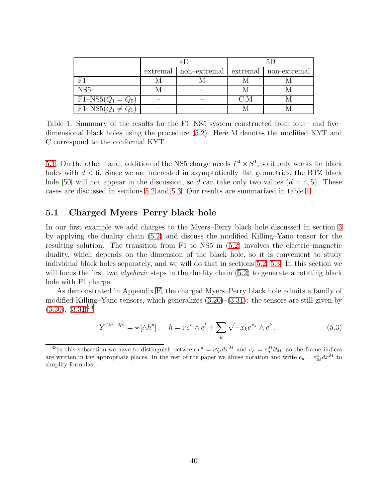|                                          | extremal | non-extremal | extremal | non-extremal |
|------------------------------------------|----------|--------------|----------|--------------|
|                                          |          |              |          |              |
| NS <sub>5</sub>                          |          |              |          |              |
| $F1-NS5(Q_1=Q_5)$                        |          |              |          |              |
| $\overline{\text{F1-NS5}(Q_1 \neq Q_5)}$ |          |              |          |              |

<span id="page-39-1"></span>Table 1: Summary of the results for the F1–NS5 system constructed from four– and five– dimensional black holes using the procedure [\(5.2\)](#page-38-3). Here M denotes the modified KYT and C correspond to the conformal KYT.

[5.1.](#page-39-0) On the other hand, addition of the NS5 charge needs  $T^4 \times S^1$ , so it only works for black holes with  $d < 6$ . Since we are interested in asymptotically–flat geometries, the BTZ black hole [\[50\]](#page-86-6) will not appear in the discussion, so d can take only two values  $(d = 4, 5)$ . These cases are discussed in sections [5.2](#page-41-0) and [5.3.](#page-43-0) Our results are summarized in table [1.](#page-39-1)

#### <span id="page-39-0"></span>5.1 Charged Myers–Perry black hole

In our first example we add charges to the Myers–Perry black hole discussed in section [3](#page-14-0) by applying the duality chain [\(5.2\)](#page-38-3) and discuss the modified Killing–Yano tensor for the resulting solution. The transition from F1 to NS5 in [\(5.2\)](#page-38-3) involves the electric–magnetic duality, which depends on the dimension of the black hole, so it is convenient to study individual black holes separately, and we will do that in sections [5.2,](#page-41-0) [5.3.](#page-43-0) In this section we will focus the first two *algebraic* steps in the duality chain [\(5.2\)](#page-38-3) to generate a rotating black hole with F1 charge.

As demonstrated in Appendix [F,](#page-71-0) the charged Myers–Perry black hole admits a family of modified Killing–Yano tensors, which generalizes [\(3.20\)](#page-17-0)–[\(3.31\)](#page-19-0): the tensors are still given by  $(3.30), (3.31)^{33}$  $(3.30), (3.31)^{33}$  $(3.30), (3.31)^{33}$  $(3.30), (3.31)^{33}$  $(3.30), (3.31)^{33}$  $(3.30), (3.31)^{33}$ 

<span id="page-39-3"></span>
$$
Y^{(2n-2p)} = \star [\wedge h^p], \quad h = re^r \wedge e^t + \sum_k \sqrt{-x_k} e^{x_k} \wedge e^k, \tag{5.3}
$$

<span id="page-39-2"></span><sup>&</sup>lt;sup>33</sup>In this subsection we have to distinguish between  $e^a = e^a_M dx^M$  and  $e_a = e^M_a \partial_M$ , so the frame indices are written in the appropriate places. In the rest of the paper we abuse notation and write  $e_a = e_M^a dx^M$  to simplify formulas.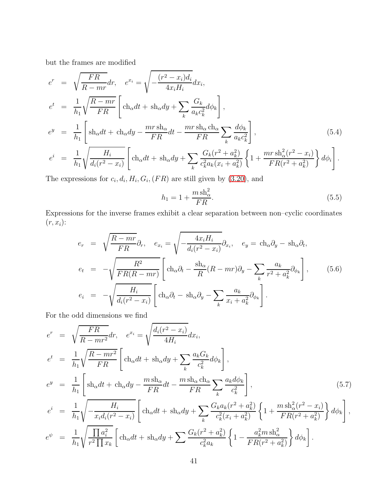but the frames are modified

<span id="page-40-2"></span>
$$
e^{r} = \sqrt{\frac{FR}{R - mr}} dr, \quad e^{x_i} = \sqrt{-\frac{(r^2 - x_i)d_i}{4x_iH_i}} dx_i,
$$
  
\n
$$
e^{t} = \frac{1}{h_1} \sqrt{\frac{R - mr}{FR}} \left[ \text{ch}_{\alpha} dt + \text{sh}_{\alpha} dy + \sum_{k} \frac{G_k}{a_k c_k^2} d\phi_k \right],
$$
  
\n
$$
e^{y} = \frac{1}{h_1} \left[ \text{sh}_{\alpha} dt + \text{ch}_{\alpha} dy - \frac{mr \text{sh}_{\alpha}}{FR} dt - \frac{mr \text{sh}_{\alpha} \text{ch}_{\alpha}}{FR} \sum_{k} \frac{d\phi_k}{a_k c_k^2} \right],
$$
  
\n
$$
e^{i} = \frac{1}{h_1} \sqrt{\frac{H_i}{d_i(r^2 - x_i)}} \left[ \text{ch}_{\alpha} dt + \text{sh}_{\alpha} dy + \sum_{k} \frac{G_k(r^2 + a_k^2)}{c_k^2 a_k (x_i + a_k^2)} \left\{ 1 + \frac{mr \text{sh}_{\alpha}^2(r^2 - x_i)}{FR(r^2 + a_k^2)} \right\} d\phi_i \right].
$$
\n(5.4)

The expressions for  $c_i, d_i, H_i, G_i, (FR)$  are still given by [\(3.20\)](#page-17-0), and

<span id="page-40-0"></span>
$$
h_1 = 1 + \frac{m \operatorname{sh}_{\alpha}^2}{FR}.\tag{5.5}
$$

Expressions for the inverse frames exhibit a clear separation between non–cyclic coordinates  $(r, x_i)$ :

$$
e_r = \sqrt{\frac{R - mr}{FR}} \partial_r, \quad e_{x_i} = \sqrt{-\frac{4x_i H_i}{d_i (r^2 - x_i)}} \partial_{x_i}, \quad e_y = \text{ch}_\alpha \partial_y - \text{sh}_\alpha \partial_t,
$$
  

$$
e_t = -\sqrt{\frac{R^2}{FR(R - mr)}} \left[ \text{ch}_\alpha \partial_t - \frac{\text{sh}_\alpha}{R} (R - mr) \partial_y - \sum_k \frac{a_k}{r^2 + a_k^2} \partial_{\phi_k} \right], \tag{5.6}
$$
  

$$
e_i = -\sqrt{\frac{H_i}{d_i (r^2 - x_i)}} \left[ \text{ch}_\alpha \partial_t - \text{sh}_\alpha \partial_y - \sum_k \frac{a_k}{x_i + a_k^2} \partial_{\phi_k} \right].
$$

For the odd dimensions we find

<span id="page-40-1"></span>
$$
e^{r} = \sqrt{\frac{FR}{R - mr^{2}}} dr, \quad e^{x_{i}} = \sqrt{\frac{d_{i}(r^{2} - x_{i})}{4H_{i}}} dx_{i},
$$
  
\n
$$
e^{t} = \frac{1}{h_{1}} \sqrt{\frac{R - mr^{2}}{FR}} \left[ \text{ch}_{\alpha} dt + \text{sh}_{\alpha} dy + \sum_{k} \frac{a_{k} G_{k}}{c_{k}^{2}} d\phi_{k} \right],
$$
  
\n
$$
e^{y} = \frac{1}{h_{1}} \left[ \text{sh}_{\alpha} dt + \text{ch}_{\alpha} dy - \frac{m \text{sh}_{\alpha}}{FR} dt - \frac{m \text{sh}_{\alpha} \text{ch}_{\alpha}}{FR} \sum_{k} \frac{a_{k} d\phi_{k}}{c_{k}^{2}} \right],
$$
  
\n
$$
e^{i} = \frac{1}{h_{1}} \sqrt{-\frac{H_{i}}{x_{i} d_{i} (r^{2} - x_{i})}} \left[ \text{ch}_{\alpha} dt + \text{sh}_{\alpha} dy + \sum_{k} \frac{G_{k} a_{k} (r^{2} + a_{k}^{2})}{c_{k}^{2} (x_{i} + a_{k}^{2})} \left\{ 1 + \frac{m \text{sh}_{\alpha}^{2} (r^{2} - x_{i})}{FR(r^{2} + a_{k}^{2})} \right\} d\phi_{k} \right],
$$
  
\n
$$
e^{\psi} = \frac{1}{h_{1}} \sqrt{\frac{\prod_{i} a_{i}^{2}}{r^{2} \prod x_{k}}} \left[ \text{ch}_{\alpha} dt + \text{sh}_{\alpha} dy + \sum_{i} \frac{G_{k} (r^{2} + a_{k}^{2})}{c_{k}^{2} a_{k}} \left\{ 1 - \frac{a_{k}^{2} m \text{sh}_{\alpha}^{2}}{FR(r^{2} + a_{k}^{2})} \right\} d\phi_{k} \right].
$$
  
\n(5.7)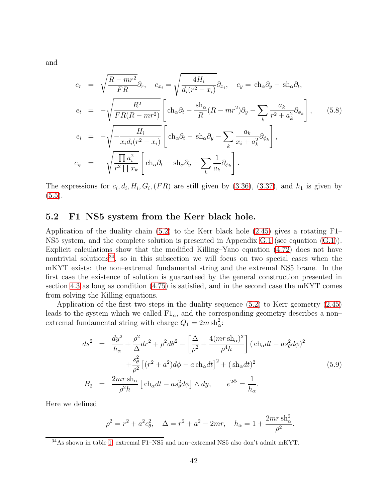and

$$
e_r = \sqrt{\frac{R - mr^2}{FR}} \partial_r, \quad e_{x_i} = \sqrt{\frac{4H_i}{d_i(r^2 - x_i)}} \partial_{x_i}, \quad e_y = \text{ch}_\alpha \partial_y - \text{sh}_\alpha \partial_t,
$$
  
\n
$$
e_t = -\sqrt{\frac{R^2}{FR(R - mr^2)}} \left[ \text{ch}_\alpha \partial_t - \frac{\text{sh}_\alpha}{R}(R - mr^2) \partial_y - \sum_k \frac{a_k}{r^2 + a_k^2} \partial_{\phi_k} \right], \quad (5.8)
$$
  
\n
$$
e_i = -\sqrt{-\frac{H_i}{x_i d_i(r^2 - x_i)}} \left[ \text{ch}_\alpha \partial_t - \text{sh}_\alpha \partial_y - \sum_k \frac{a_k}{x_i + a_k^2} \partial_{\phi_k} \right],
$$
  
\n
$$
e_\psi = -\sqrt{\frac{\prod a_i^2}{r^2 \prod x_k}} \left[ \text{ch}_\alpha \partial_t - \text{sh}_\alpha \partial_y - \sum_k \frac{1}{a_k} \partial_{\phi_k} \right].
$$

The expressions for  $c_i, d_i, H_i, G_i, (FR)$  are still given by  $(3.36), (3.37),$  $(3.36), (3.37),$  $(3.36), (3.37),$  and  $h_1$  is given by  $(5.5).$  $(5.5).$ 

## <span id="page-41-0"></span>5.2 F1–NS5 system from the Kerr black hole.

Application of the duality chain  $(5.2)$  to the Kerr black hole  $(2.45)$  gives a rotating F1– NS5 system, and the complete solution is presented in Appendix [G.1](#page-74-0) (see equation [\(G.1\)](#page-74-1)). Explicit calculations show that the modified Killing–Yano equation [\(4.72\)](#page-35-1) does not have nontrivial solutions<sup>[34](#page-41-1)</sup>, so in this subsection we will focus on two special cases when the mKYT exists: the non–extremal fundamental string and the extremal NS5 brane. In the first case the existence of solution is guaranteed by the general construction presented in section [4.3](#page-35-3) as long as condition [\(4.75\)](#page-36-2) is satisfied, and in the second case the mKYT comes from solving the Killing equations.

Application of the first two steps in the duality sequence [\(5.2\)](#page-38-3) to Kerr geometry [\(2.45\)](#page-12-0) leads to the system which we called  $F1_{\alpha}$ , and the corresponding geometry describes a nonextremal fundamental string with charge  $Q_1 = 2m \, \text{sh}_\alpha^2$ :

<span id="page-41-2"></span>
$$
ds^{2} = \frac{dy^{2}}{h_{\alpha}} + \frac{\rho^{2}}{\Delta}dr^{2} + \rho^{2}d\theta^{2} - \left[\frac{\Delta}{\rho^{2}} + \frac{4(mr\sinh\alpha)^{2}}{\rho^{4}h}\right] (\text{ch}_{\alpha}dt - as_{\theta}^{2}d\phi)^{2}
$$

$$
+ \frac{s_{\theta}^{2}}{\rho^{2}} \left[ (r^{2} + a^{2})d\phi - a\,\text{ch}_{\alpha}dt \right]^{2} + (\text{sh}_{\alpha}dt)^{2}
$$

$$
B_{2} = \frac{2mr\,\text{sh}_{\alpha}}{\rho^{2}h} \left[ \text{ch}_{\alpha}dt - as_{\theta}^{2}d\phi \right] \wedge dy, \qquad e^{2\Phi} = \frac{1}{h_{\alpha}}.
$$

Here we defined

$$
\rho^2 = r^2 + a^2 c_\theta^2, \quad \Delta = r^2 + a^2 - 2mr, \quad h_\alpha = 1 + \frac{2mr \sin^2 \alpha}{\rho^2}.
$$

<span id="page-41-1"></span><sup>34</sup>As shown in table [1,](#page-39-1) extremal F1–NS5 and non–extremal NS5 also don't admit mKYT.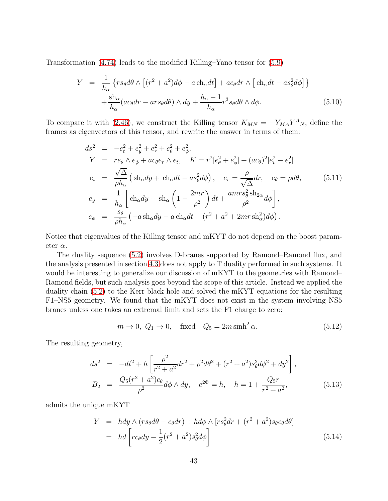Transformation [\(4.74\)](#page-36-1) leads to the modified Killing–Yano tensor for [\(5.9\)](#page-41-2)

$$
Y = \frac{1}{h_{\alpha}} \left\{ rs_{\theta} d\theta \wedge \left[ (r^{2} + a^{2}) d\phi - a \operatorname{ch}_{\alpha} dt \right] + ac_{\theta} dr \wedge \left[ \operatorname{ch}_{\alpha} dt - as_{\theta}^{2} d\phi \right] \right\} + \frac{\operatorname{sh}_{\alpha}}{h_{\alpha}} (ac_{\theta} dr - ar s_{\theta} d\theta) \wedge dy + \frac{h_{\alpha} - 1}{h_{\alpha}} r^{3} s_{\theta} d\theta \wedge d\phi.
$$
 (5.10)

To compare it with [\(2.46\)](#page-12-1), we construct the Killing tensor  $K_{MN} = -Y_{MA}Y^A{}_N$ , define the frames as eigenvectors of this tensor, and rewrite the answer in terms of them:

$$
ds^{2} = -e_{t}^{2} + e_{y}^{2} + e_{r}^{2} + e_{\theta}^{2} + e_{\phi}^{2},
$$
  
\n
$$
Y = re_{\theta} \wedge e_{\phi} + ac_{\theta}e_{r} \wedge e_{t}, \quad K = r^{2}[e_{\theta}^{2} + e_{\phi}^{2}] + (ac_{\theta})^{2}[e_{t}^{2} - e_{r}^{2}]
$$
  
\n
$$
e_{t} = \frac{\sqrt{\Delta}}{\rho h_{\alpha}} \left( \text{sh}_{\alpha} dy + \text{ch}_{\alpha} dt - as_{\theta}^{2} d\phi \right), \quad e_{r} = \frac{\rho}{\sqrt{\Delta}} dr, \quad e_{\theta} = \rho d\theta,
$$
  
\n
$$
e_{y} = \frac{1}{h_{\alpha}} \left[ \text{ch}_{\alpha} dy + \text{sh}_{\alpha} \left( 1 - \frac{2mr}{\rho^{2}} \right) dt + \frac{amrs_{\theta}^{2} \text{sh}_{2\alpha}}{\rho^{2}} d\phi \right],
$$
  
\n
$$
e_{\phi} = \frac{s_{\theta}}{\rho h_{\alpha}} \left( -a \text{sh}_{\alpha} dy - a \text{ch}_{\alpha} dt + (r^{2} + a^{2} + 2mr \text{sh}_{\alpha}^{2}) d\phi \right).
$$
  
\n(5.11)

Notice that eigenvalues of the Killing tensor and mKYT do not depend on the boost parameter  $\alpha$ .

The duality sequence [\(5.2\)](#page-38-3) involves D-branes supported by Ramond–Ramond flux, and the analysis presented in section [4.3](#page-35-3) does not apply to T duality performed in such systems. It would be interesting to generalize our discussion of mKYT to the geometries with Ramond– Ramond fields, but such analysis goes beyond the scope of this article. Instead we applied the duality chain [\(5.2\)](#page-38-3) to the Kerr black hole and solved the mKYT equations for the resulting F1–NS5 geometry. We found that the mKYT does not exist in the system involving NS5 branes unless one takes an extremal limit and sets the F1 charge to zero:

$$
m \to 0, \ Q_1 \to 0, \quad \text{fixed} \quad Q_5 = 2m \sinh^2 \alpha. \tag{5.12}
$$

The resulting geometry,

<span id="page-42-0"></span>
$$
ds^{2} = -dt^{2} + h \left[ \frac{\rho^{2}}{r^{2} + a^{2}} dr^{2} + \rho^{2} d\theta^{2} + (r^{2} + a^{2}) s_{\theta}^{2} d\phi^{2} + dy^{2} \right],
$$
  
\n
$$
B_{2} = \frac{Q_{5}(r^{2} + a^{2}) c_{\theta}}{\rho^{2}} d\phi \wedge dy, \quad e^{2\Phi} = h, \quad h = 1 + \frac{Q_{5}r}{r^{2} + a^{2}}, \tag{5.13}
$$

admits the unique mKYT

<span id="page-42-1"></span>
$$
Y = h dy \wedge (rs_{\theta} d\theta - c_{\theta} dr) + h d\phi \wedge [rs_{\theta}^{2} dr + (r^{2} + a^{2}) s_{\theta} c_{\theta} d\theta]
$$
  
=  $hd \left[ rc_{\theta} dy - \frac{1}{2} (r^{2} + a^{2}) s_{\theta}^{2} d\phi \right]$  (5.14)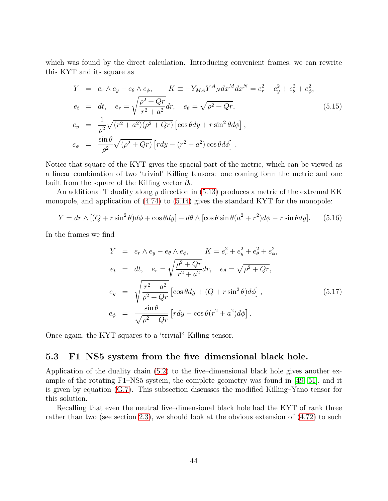which was found by the direct calculation. Introducing convenient frames, we can rewrite this KYT and its square as

<span id="page-43-1"></span>
$$
Y = e_r \wedge e_y - e_\theta \wedge e_\phi, \qquad K \equiv -Y_{MA} Y^A{}_N dx^M dx^N = e_r^2 + e_y^2 + e_\theta^2 + e_\phi^2,
$$
  
\n
$$
e_t = dt, \quad e_r = \sqrt{\frac{\rho^2 + Qr}{r^2 + a^2}} dr, \quad e_\theta = \sqrt{\rho^2 + Qr},
$$
  
\n
$$
e_y = \frac{1}{\rho^2} \sqrt{(r^2 + a^2)(\rho^2 + Qr)} \left[ \cos \theta dy + r \sin^2 \theta d\phi \right],
$$
  
\n
$$
e_\phi = \frac{\sin \theta}{\rho^2} \sqrt{(\rho^2 + Qr)} \left[ r dy - (r^2 + a^2) \cos \theta d\phi \right].
$$
\n(5.15)

Notice that square of the KYT gives the spacial part of the metric, which can be viewed as a linear combination of two 'trivial' Killing tensors: one coming form the metric and one built from the square of the Killing vector  $\partial_t$ .

An additional T duality along y direction in  $(5.13)$  produces a metric of the extremal KK monopole, and application of [\(4.74\)](#page-36-1) to [\(5.14\)](#page-42-1) gives the standard KYT for the monopole:

$$
Y = dr \wedge [(Q + r\sin^2\theta)d\phi + \cos\theta dy] + d\theta \wedge [\cos\theta\sin\theta(a^2 + r^2)d\phi - r\sin\theta dy].
$$
 (5.16)

In the frames we find

$$
Y = e_r \wedge e_y - e_\theta \wedge e_\phi, \qquad K = e_r^2 + e_y^2 + e_\theta^2 + e_\phi^2,
$$
  
\n
$$
e_t = dt, \quad e_r = \sqrt{\frac{\rho^2 + Qr}{r^2 + a^2}} dr, \quad e_\theta = \sqrt{\rho^2 + Qr},
$$
  
\n
$$
e_y = \sqrt{\frac{r^2 + a^2}{\rho^2 + Qr}} \left[ \cos \theta dy + (Q + r \sin^2 \theta) d\phi \right],
$$
  
\n
$$
e_\phi = \frac{\sin \theta}{\sqrt{\rho^2 + Qr}} \left[ r dy - \cos \theta (r^2 + a^2) d\phi \right].
$$
\n(5.17)

<span id="page-43-0"></span>Once again, the KYT squares to a 'trivial" Killing tensor.

#### 5.3 F1–NS5 system from the five–dimensional black hole.

Application of the duality chain [\(5.2\)](#page-38-3) to the five–dimensional black hole gives another example of the rotating F1–NS5 system, the complete geometry was found in [\[49,](#page-86-3) [51\]](#page-86-7), and it is given by equation [\(G.7\)](#page-76-0). This subsection discusses the modified Killing–Yano tensor for this solution.

Recalling that even the neutral five–dimensional black hole had the KYT of rank three rather than two (see section [2.3\)](#page-11-0), we should look at the obvious extension of [\(4.72\)](#page-35-1) to such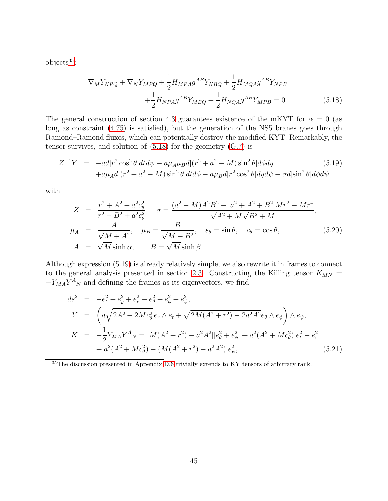$objects^{35}$  $objects^{35}$  $objects^{35}$ :

<span id="page-44-1"></span>
$$
\nabla_{M} Y_{NPQ} + \nabla_{N} Y_{MPQ} + \frac{1}{2} H_{MPA} g^{AB} Y_{NBQ} + \frac{1}{2} H_{MQA} g^{AB} Y_{NPB} \n+ \frac{1}{2} H_{NPA} g^{AB} Y_{MBQ} + \frac{1}{2} H_{NQA} g^{AB} Y_{MPB} = 0.
$$
\n(5.18)

The general construction of section [4.3](#page-35-3) guarantees existence of the mKYT for  $\alpha = 0$  (as long as constraint [\(4.75\)](#page-36-2) is satisfied), but the generation of the NS5 branes goes through Ramond–Ramond fluxes, which can potentially destroy the modified KYT. Remarkably, the tensor survives, and solution of  $(5.18)$  for the geometry  $(G.7)$  is

<span id="page-44-2"></span>
$$
Z^{-1}Y = -ad[r^2 \cos^2 \theta] dt d\psi - a\mu_A \mu_B d[(r^2 + a^2 - M)\sin^2 \theta] d\phi dy
$$
\n
$$
+ a\mu_A d[(r^2 + a^2 - M)\sin^2 \theta] dt d\phi - a\mu_B d[r^2 \cos^2 \theta] dy d\psi + \sigma d[\sin^2 \theta] d\phi d\psi
$$
\n(5.19)

with

$$
Z = \frac{r^2 + A^2 + a^2 c_\theta^2}{r^2 + B^2 + a^2 c_\theta^2}, \quad \sigma = \frac{(a^2 - M)A^2 B^2 - [a^2 + A^2 + B^2]Mr^2 - Mr^4}{\sqrt{A^2 + M}\sqrt{B^2 + M}},
$$
  
\n
$$
\mu_A = \frac{A}{\sqrt{M + A^2}}, \quad \mu_B = \frac{B}{\sqrt{M + B^2}}, \quad s_\theta = \sin \theta, \quad c_\theta = \cos \theta,
$$
  
\n
$$
A = \sqrt{M} \sinh \alpha, \qquad B = \sqrt{M} \sinh \beta.
$$
\n(5.20)

Although expression [\(5.19\)](#page-44-2) is already relatively simple, we also rewrite it in frames to connect to the general analysis presented in section [2.3.](#page-11-0) Constructing the Killing tensor  $K_{MN}$  =  $-Y_{MA}Y^A{}_N$  and defining the frames as its eigenvectors, we find

<span id="page-44-3"></span>
$$
ds^{2} = -e_{t}^{2} + e_{y}^{2} + e_{r}^{2} + e_{\phi}^{2} + e_{\phi}^{2},
$$
  
\n
$$
Y = \left(a\sqrt{2A^{2} + 2Mc_{\theta}^{2}}e_{r} \wedge e_{t} + \sqrt{2M(A^{2} + r^{2}) - 2a^{2}A^{2}}e_{\theta} \wedge e_{\phi}\right) \wedge e_{\psi},
$$
  
\n
$$
K = -\frac{1}{2}Y_{MA}Y^{A}{}_{N} = [M(A^{2} + r^{2}) - a^{2}A^{2}][e_{\theta}^{2} + e_{\phi}^{2}] + a^{2}(A^{2} + Mc_{\theta}^{2})[e_{t}^{2} - e_{r}^{2}] + [a^{2}(A^{2} + Mc_{\theta}^{2}) - (M(A^{2} + r^{2}) - a^{2}A^{2})]e_{\psi}^{2},
$$
\n(5.21)

<span id="page-44-0"></span><sup>35</sup>The discussion presented in Appendix [D.6](#page-65-0) trivially extends to KY tensors of arbitrary rank.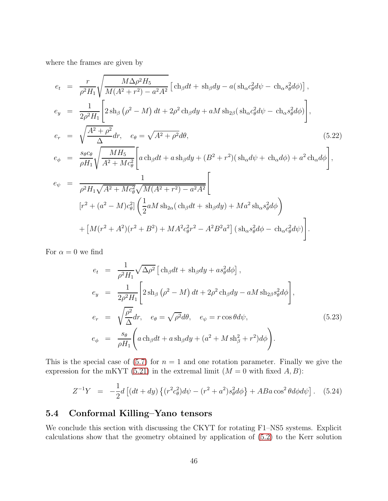where the frames are given by

$$
e_{t} = \frac{r}{\rho^{2}H_{1}}\sqrt{\frac{M\Delta\rho^{2}H_{5}}{M(A^{2}+r^{2})-a^{2}A^{2}}} \left[\text{ch}_{\beta}dt + \text{sh}_{\beta}dy - a(\text{sh}_{\alpha}c_{\theta}^{2}d\psi - \text{ch}_{\alpha}s_{\theta}^{2}d\phi)\right],
$$
  
\n
$$
e_{y} = \frac{1}{2\rho^{2}H_{1}}\left[2\text{sh}_{\beta}\left(\rho^{2} - M\right)dt + 2\rho^{2}\text{ch}_{\beta}dy + aM\text{sh}_{2\beta}(\text{sh}_{\alpha}c_{\theta}^{2}d\psi - \text{ch}_{\alpha}s_{\theta}^{2}d\phi)\right],
$$
  
\n
$$
e_{r} = \sqrt{\frac{A^{2}+\rho^{2}}{\Delta}dr}, \quad e_{\theta} = \sqrt{A^{2}+\rho^{2}}d\theta,
$$
  
\n
$$
e_{\phi} = \frac{s_{\theta}c_{\theta}}{\rho H_{1}}\sqrt{\frac{MH_{5}}{A^{2}+Mc_{\theta}^{2}}}\left[a\text{ch}_{\beta}dt + a\text{sh}_{\beta}dy + (B^{2}+r^{2})(\text{sh}_{\alpha}d\psi + \text{ch}_{\alpha}d\phi) + a^{2}\text{ch}_{\alpha}d\phi\right],
$$
  
\n
$$
e_{\psi} = \frac{1}{\rho^{2}H_{1}\sqrt{A^{2}+Mc_{\theta}^{2}}\sqrt{M(A^{2}+r^{2})-a^{2}A^{2}}}\left[\frac{1}{2}aM\text{ sh}_{2\alpha}(\text{ch}_{\beta}dt + \text{sh}_{\beta}dy) + Ma^{2}\text{ sh}_{\alpha}s_{\beta}^{2}d\phi\right)
$$
  
\n
$$
+ \left[M(r^{2}+A^{2})(r^{2}+B^{2}) + MA^{2}c_{\theta}^{2}r^{2} - A^{2}B^{2}a^{2}\right](\text{sh}_{\alpha}s_{\theta}^{2}d\phi - \text{ch}_{\alpha}c_{\theta}^{2}d\psi)\right].
$$

For  $\alpha = 0$  we find

$$
e_{t} = \frac{1}{\rho^{2}H_{1}}\sqrt{\Delta\rho^{2}}\left[\text{ch}_{\beta}dt + \text{sh}_{\beta}dy + as_{\theta}^{2}d\phi\right],
$$
  
\n
$$
e_{y} = \frac{1}{2\rho^{2}H_{1}}\left[2\,\text{sh}_{\beta}\left(\rho^{2} - M\right)dt + 2\rho^{2}\,\text{ch}_{\beta}dy - aM\,\text{sh}_{2\beta}s_{\theta}^{2}d\phi\right],
$$
  
\n
$$
e_{r} = \sqrt{\frac{\rho^{2}}{\Delta}}dr, \quad e_{\theta} = \sqrt{\rho^{2}}d\theta, \quad e_{\psi} = r\cos\theta d\psi,
$$
  
\n
$$
e_{\phi} = \frac{s_{\theta}}{\rho H_{1}}\left(a\,\text{ch}_{\beta}dt + a\,\text{sh}_{\beta}dy + \left(a^{2} + M\,\text{sh}_{\beta}^{2} + r^{2}\right)d\phi\right).
$$
  
\n(5.23)

This is the special case of  $(5.7)$  for  $n = 1$  and one rotation parameter. Finally we give the expression for the mKYT [\(5.21\)](#page-44-3) in the extremal limit  $(M = 0$  with fixed  $A, B)$ :

$$
Z^{-1}Y = -\frac{1}{2}d\left[ (dt+dy)\left\{ (r^2c_\theta^2)d\psi - (r^2+a^2)s_\theta^2d\phi \right\} + ABa\cos^2\theta d\phi d\psi \right].
$$
 (5.24)

## 5.4 Conformal Killing–Yano tensors

We conclude this section with discussing the CKYT for rotating F1–NS5 systems. Explicit calculations show that the geometry obtained by application of [\(5.2\)](#page-38-3) to the Kerr solution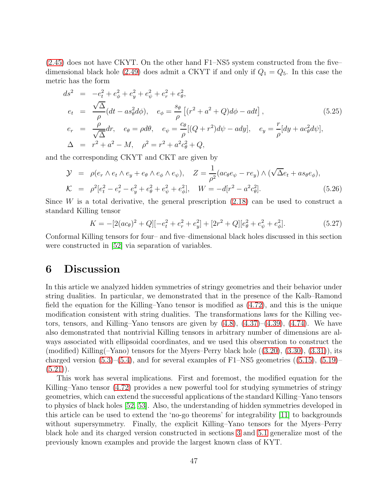[\(2.45\)](#page-12-0) does not have CKYT. On the other hand F1–NS5 system constructed from the five– dimensional black hole [\(2.49\)](#page-13-0) does admit a CKYT if and only if  $Q_1 = Q_5$ . In this case the metric has the form

$$
ds^{2} = -e_{t}^{2} + e_{\phi}^{2} + e_{y}^{2} + e_{\psi}^{2} + e_{\phi}^{2},
$$
  
\n
$$
e_{t} = \frac{\sqrt{\Delta}}{\rho} (dt - as_{\theta}^{2} d\phi), \quad e_{\phi} = \frac{s_{\theta}}{\rho} [(r^{2} + a^{2} + Q) d\phi - adt],
$$
  
\n
$$
e_{r} = \frac{\rho}{\sqrt{\Delta}} dr, \quad e_{\theta} = \rho d\theta, \quad e_{\psi} = \frac{c_{\theta}}{\rho} [(Q + r^{2}) d\psi - ady], \quad e_{y} = \frac{r}{\rho} [dy + ac_{\theta}^{2} d\psi],
$$
  
\n
$$
\Delta = r^{2} + a^{2} - M, \quad \rho^{2} = r^{2} + a^{2} c_{\theta}^{2} + Q,
$$
\n(5.25)

and the corresponding CKYT and CKT are given by

$$
\mathcal{Y} = \rho(e_r \wedge e_t \wedge e_y + e_\theta \wedge e_\phi \wedge e_\psi), \quad Z = \frac{1}{\rho^2} (ac_\theta e_\psi - r e_y) \wedge (\sqrt{\Delta} e_t + a s_\theta e_\phi), \n\mathcal{K} = \rho^2 [e_t^2 - e_r^2 - e_y^2 + e_\theta^2 + e_\psi^2 + e_\phi^2], \qquad W = -d[r^2 - a^2 c_\theta^2].
$$
\n(5.26)

Since  $W$  is a total derivative, the general prescription  $(2.18)$  can be used to construct a standard Killing tensor

$$
K = -[2(ac_{\theta})^2 + Q][-e_t^2 + e_r^2 + e_y^2] + [2r^2 + Q][e_{\theta}^2 + e_{\psi}^2 + e_{\phi}^2].
$$
\n(5.27)

Conformal Killing tensors for four– and five–dimensional black holes discussed in this section were constructed in [\[52\]](#page-86-8) via separation of variables.

## 6 Discussion

In this article we analyzed hidden symmetries of stringy geometries and their behavior under string dualities. In particular, we demonstrated that in the presence of the Kalb–Ramond field the equation for the Killing–Yano tensor is modified as [\(4.72\)](#page-35-1), and this is the unique modification consistent with string dualities. The transformations laws for the Killing vectors, tensors, and Killing–Yano tensors are given by  $(4.8)$ ,  $(4.37)$ – $(4.39)$ ,  $(4.74)$ . We have also demonstrated that nontrivial Killing tensors in arbitrary number of dimensions are always associated with ellipsoidal coordinates, and we used this observation to construct the (modified) Killing( $-$ Yano) tensors for the Myers–Perry black hole  $((3.20), (3.30), (3.31))$  $((3.20), (3.30), (3.31))$  $((3.20), (3.30), (3.31))$  $((3.20), (3.30), (3.31))$  $((3.20), (3.30), (3.31))$  $((3.20), (3.30), (3.31))$  $((3.20), (3.30), (3.31))$ , its charged version  $(5.3)$ – $(5.4)$ , and for several examples of F1–NS5 geometries  $((5.15), (5.19)$  $((5.15), (5.19)$  $((5.15), (5.19)$  $((5.15), (5.19)$ –  $(5.21)$ .

This work has several implications. First and foremost, the modified equation for the Killing–Yano tensor [\(4.72\)](#page-35-1) provides a new powerful tool for studying symmetries of stringy geometries, which can extend the successful applications of the standard Killing–Yano tensors to physics of black holes [\[52,](#page-86-8) [53\]](#page-86-9). Also, the understanding of hidden symmetries developed in this article can be used to extend the 'no-go theorems' for integrability [\[11\]](#page-83-0) to backgrounds without supersymmetry. Finally, the explicit Killing–Yano tensors for the Myers–Perry black hole and its charged version constructed in sections [3](#page-14-0) and [5.1](#page-39-0) generalize most of the previously known examples and provide the largest known class of KYT.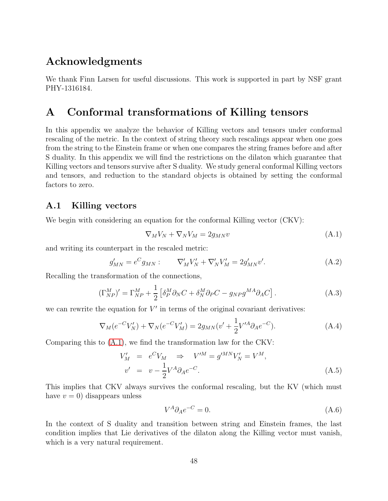# Acknowledgments

We thank Finn Larsen for useful discussions. This work is supported in part by NSF grant PHY-1316184.

## A Conformal transformations of Killing tensors

In this appendix we analyze the behavior of Killing vectors and tensors under conformal rescaling of the metric. In the context of string theory such rescalings appear when one goes from the string to the Einstein frame or when one compares the string frames before and after S duality. In this appendix we will find the restrictions on the dilaton which guarantee that Killing vectors and tensors survive after S duality. We study general conformal Killing vectors and tensors, and reduction to the standard objects is obtained by setting the conformal factors to zero.

### A.1 Killing vectors

We begin with considering an equation for the conformal Killing vector (CKV):

<span id="page-47-0"></span>
$$
\nabla_M V_N + \nabla_N V_M = 2g_{MN} v \tag{A.1}
$$

and writing its counterpart in the rescaled metric:

$$
g'_{MN} = e^C g_{MN} : \nabla'_M V'_N + \nabla'_N V'_M = 2g'_{MN} v'.
$$
\n(A.2)

Recalling the transformation of the connections,

<span id="page-47-1"></span>
$$
(\Gamma_{NP}^M)' = \Gamma_{NP}^M + \frac{1}{2} \left[ \delta_P^M \partial_N C + \delta_N^M \partial_P C - g_{NP} g^{MA} \partial_A C \right]. \tag{A.3}
$$

we can rewrite the equation for  $V'$  in terms of the original covariant derivatives:

$$
\nabla_M(e^{-C}V_N') + \nabla_N(e^{-C}V_M') = 2g_{MN}(v' + \frac{1}{2}V'^A\partial_A e^{-C}).\tag{A.4}
$$

Comparing this to [\(A.1\)](#page-47-0), we find the transformation law for the CKV:

$$
V'_{M} = e^{C}V_{M} \Rightarrow V'^{M} = g'^{MN}V'_{N} = V^{M},
$$
  
\n
$$
v' = v - \frac{1}{2}V^{A}\partial_{A}e^{-C}.
$$
\n(A.5)

This implies that CKV always survives the conformal rescaling, but the KV (which must have  $v = 0$ ) disappears unless

$$
V^A \partial_A e^{-C} = 0. \tag{A.6}
$$

In the context of S duality and transition between string and Einstein frames, the last condition implies that Lie derivatives of the dilaton along the Killing vector must vanish, which is a very natural requirement.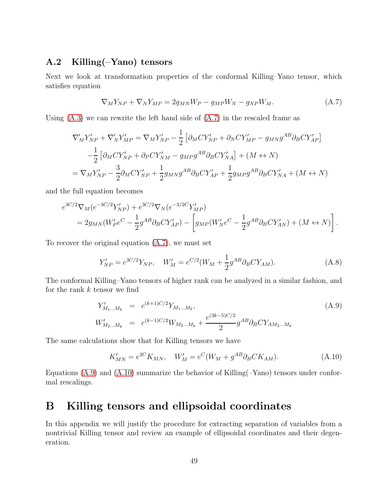## <span id="page-48-0"></span>A.2 Killing(–Yano) tensors

Next we look at transformation properties of the conformal Killing–Yano tensor, which satisfies equation

<span id="page-48-2"></span>
$$
\nabla_M Y_{NP} + \nabla_N Y_{MP} = 2g_{MN} W_P - g_{MP} W_N - g_{NP} W_M. \tag{A.7}
$$

Using  $(A.3)$  we can rewrite the left hand side of  $(A.7)$  in the rescaled frame as

$$
\nabla'_{M}Y'_{NP} + \nabla'_{N}Y'_{MP} = \nabla_{M}Y'_{NP} - \frac{1}{2} \left[ \partial_{M}CY'_{NP} + \partial_{N}CY'_{MP} - g_{MN}g^{AB}\partial_{B}CY'_{AP} \right]
$$

$$
-\frac{1}{2} \left[ \partial_{M}CY'_{NP} + \partial_{P}CY'_{NM} - g_{MP}g^{AB}\partial_{B}CY'_{NA} \right] + (M \leftrightarrow N)
$$

$$
= \nabla_{M}Y'_{NP} - \frac{3}{2}\partial_{M}CY'_{NP} + \frac{1}{2}g_{MN}g^{AB}\partial_{B}CY'_{AP} + \frac{1}{2}g_{MP}g^{AB}\partial_{B}CY'_{NA} + (M \leftrightarrow N)
$$

and the full equation becomes

$$
e^{3C/2} \nabla_M (e^{-3C/2} Y'_{NP}) + e^{3C/2} \nabla_N (e^{-3/2C} Y'_{MP})
$$
  
=  $2g_{MN} (W'_{P}e^{C} - \frac{1}{2} g^{AB} \partial_B C Y'_{AP}) - \left[ g_{MP} (W'_{N}e^{C} - \frac{1}{2} g^{AB} \partial_B C Y'_{AN}) + (M \leftrightarrow N) \right].$ 

To recover the original equation [\(A.7\)](#page-48-2), we must set

<span id="page-48-1"></span>
$$
Y'_{NP} = e^{3C/2} Y_{NP}, \quad W'_{M} = e^{C/2} (W_{M} + \frac{1}{2} g^{AB} \partial_{B} C Y_{AM}). \tag{A.8}
$$

The conformal Killing–Yano tensors of higher rank can be analyzed in a similar fashion, and for the rank  $k$  tensor we find

<span id="page-48-3"></span>
$$
Y'_{M_1...M_k} = e^{(k+1)C/2} Y_{M_1...M_k},
$$
  
\n
$$
W'_{M_2...M_k} = e^{(k-1)C/2} W_{M_2...M_k} + \frac{e^{(3k-5)C/2}}{2} g^{AB} \partial_B C Y_{AM_2...M_k}
$$
\n(A.9)

The same calculations show that for Killing tensors we have

<span id="page-48-4"></span>
$$
K'_{MN} = e^{2C} K_{MN}, \quad W'_M = e^C (W_M + g^{AB} \partial_B C K_{AM}). \tag{A.10}
$$

Equations  $(A.9)$  and  $(A.10)$  summarize the behavior of Killing( $-Yano$ ) tensors under conformal rescalings.

# B Killing tensors and ellipsoidal coordinates

In this appendix we will justify the procedure for extracting separation of variables from a nontrivial Killing tensor and review an example of ellipsoidal coordinates and their degeneration.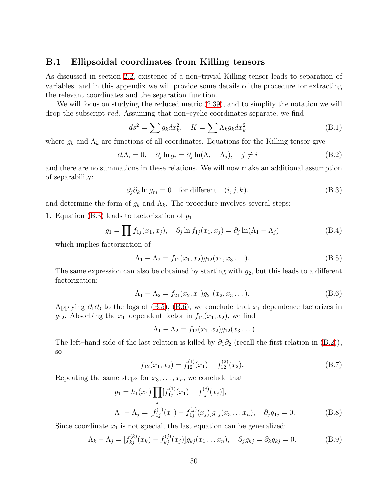#### B.1 Ellipsoidal coordinates from Killing tensors

As discussed in section [2.2,](#page-7-1) existence of a non–trivial Killing tensor leads to separation of variables, and in this appendix we will provide some details of the procedure for extracting the relevant coordinates and the separation function.

We will focus on studying the reduced metric [\(2.39\)](#page-10-0), and to simplify the notation we will drop the subscript red. Assuming that non–cyclic coordinates separate, we find

<span id="page-49-6"></span>
$$
ds^{2} = \sum g_{k} dx_{k}^{2}, \quad K = \sum \Lambda_{k} g_{k} dx_{k}^{2}
$$
 (B.1)

where  $g_k$  and  $\Lambda_k$  are functions of all coordinates. Equations for the Killing tensor give

<span id="page-49-3"></span>
$$
\partial_i \Lambda_i = 0, \quad \partial_j \ln g_i = \partial_j \ln(\Lambda_i - \Lambda_j), \quad j \neq i \tag{B.2}
$$

and there are no summations in these relations. We will now make an additional assumption of separability:

<span id="page-49-0"></span>
$$
\partial_j \partial_k \ln g_m = 0 \quad \text{for different} \quad (i, j, k). \tag{B.3}
$$

and determine the form of  $g_k$  and  $\Lambda_k$ . The procedure involves several steps:

1. Equation [\(B.3\)](#page-49-0) leads to factorization of  $g_1$ 

$$
g_1 = \prod f_{1j}(x_1, x_j), \quad \partial_j \ln f_{1j}(x_1, x_j) = \partial_j \ln(\Lambda_1 - \Lambda_j)
$$
 (B.4)

which implies factorization of

<span id="page-49-1"></span>
$$
\Lambda_1 - \Lambda_2 = f_{12}(x_1, x_2)g_{12}(x_1, x_3 \dots).
$$
 (B.5)

The same expression can also be obtained by starting with  $g_2$ , but this leads to a different factorization:

<span id="page-49-2"></span>
$$
\Lambda_1 - \Lambda_2 = f_{21}(x_2, x_1)g_{21}(x_2, x_3 \dots).
$$
 (B.6)

Applying  $\partial_1\partial_3$  to the logs of [\(B.5\)](#page-49-1), [\(B.6\)](#page-49-2), we conclude that  $x_1$  dependence factorizes in  $g_{12}$ . Absorbing the  $x_1$ -dependent factor in  $f_{12}(x_1, x_2)$ , we find

$$
\Lambda_1 - \Lambda_2 = f_{12}(x_1, x_2)g_{12}(x_3 \dots).
$$

The left–hand side of the last relation is killed by  $\partial_1 \partial_2$  (recall the first relation in [\(B.2\)](#page-49-3)), so

$$
f_{12}(x_1, x_2) = f_{12}^{(1)}(x_1) - f_{12}^{(2)}(x_2).
$$
 (B.7)

Repeating the same steps for  $x_3, \ldots, x_n$ , we conclude that

<span id="page-49-4"></span>
$$
g_1 = h_1(x_1) \prod_j [f_{1j}^{(1)}(x_1) - f_{1j}^{(j)}(x_j)],
$$
  
\n
$$
\Lambda_1 - \Lambda_j = [f_{1j}^{(1)}(x_1) - f_{1j}^{(j)}(x_j)] g_{1j}(x_3 \dots x_n), \quad \partial_j g_{1j} = 0.
$$
\n(B.8)

Since coordinate  $x_1$  is not special, the last equation can be generalized:

<span id="page-49-5"></span>
$$
\Lambda_k - \Lambda_j = [f_{kj}^{(k)}(x_k) - f_{kj}^{(j)}(x_j)]g_{kj}(x_1 \dots x_n), \quad \partial_j g_{kj} = \partial_k g_{kj} = 0.
$$
 (B.9)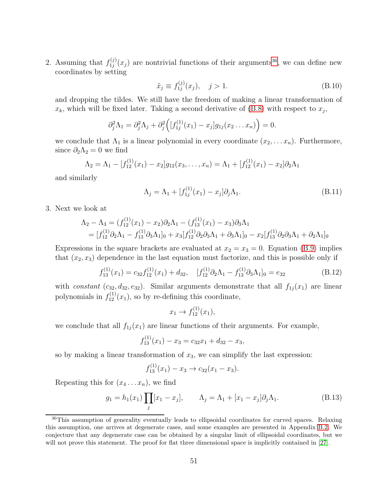2. Assuming that  $f_{1i}^{(j)}$  $t_{1j}^{(j)}(x_j)$  are nontrivial functions of their arguments<sup>[36](#page-50-0)</sup>, we can define new coordinates by setting

$$
\tilde{x}_j \equiv f_{1j}^{(j)}(x_j), \quad j > 1.
$$
\n(B.10)

and dropping the tildes. We still have the freedom of making a linear transformation of  $x_k$ , which will be fixed later. Taking a second derivative of  $(B.8)$  with respect to  $x_j$ ,

$$
\partial_j^2 \Lambda_1 = \partial_j^2 \Lambda_j + \partial_j^2 \Big( [f_{1j}^{(1)}(x_1) - x_j] g_{1j}(x_2 \ldots x_n) \Big) = 0.
$$

we conclude that  $\Lambda_1$  is a linear polynomial in every coordinate  $(x_2, \ldots, x_n)$ . Furthermore, since  $\partial_2 \Lambda_2 = 0$  we find

$$
\Lambda_2 = \Lambda_1 - [f_{12}^{(1)}(x_1) - x_2]g_{12}(x_3, \dots, x_n) = \Lambda_1 + [f_{12}^{(1)}(x_1) - x_2]\partial_2\Lambda_1
$$

and similarly

$$
\Lambda_j = \Lambda_1 + [f_{1j}^{(1)}(x_1) - x_j] \partial_j \Lambda_1.
$$
\n(B.11)

3. Next we look at

$$
\Lambda_2 - \Lambda_3 = (f_{12}^{(1)}(x_1) - x_2)\partial_2\Lambda_1 - (f_{13}^{(1)}(x_1) - x_3)\partial_3\Lambda_1
$$
  
= 
$$
[f_{12}^{(1)}\partial_2\Lambda_1 - f_{13}^{(1)}\partial_3\Lambda_1]_0 + x_3[f_{12}^{(1)}\partial_2\partial_3\Lambda_1 + \partial_3\Lambda_1]_0 - x_2[f_{13}^{(1)}\partial_2\partial_3\Lambda_1 + \partial_2\Lambda_1]_0
$$

Expressions in the square brackets are evaluated at  $x_2 = x_3 = 0$ . Equation [\(B.9\)](#page-49-5) implies that  $(x_2, x_3)$  dependence in the last equation must factorize, and this is possible only if

<span id="page-50-1"></span>
$$
f_{13}^{(1)}(x_1) = c_{32} f_{12}^{(1)}(x_1) + d_{32}, \quad [f_{12}^{(1)} \partial_2 \Lambda_1 - f_{13}^{(1)} \partial_3 \Lambda_1]_0 = e_{32}
$$
 (B.12)

with constant  $(c_{32}, d_{32}, e_{32})$ . Similar arguments demonstrate that all  $f_{1j}(x_1)$  are linear polynomials in  $f_{12}^{(1)}(x_1)$ , so by re-defining this coordinate,

$$
x_1 \to f_{12}^{(1)}(x_1),
$$

we conclude that all  $f_{1j}(x_1)$  are linear functions of their arguments. For example,

$$
f_{13}^{(1)}(x_1) - x_3 = c_{32}x_1 + d_{32} - x_3,
$$

so by making a linear transformation of  $x_3$ , we can simplify the last expression:

$$
f_{13}^{(1)}(x_1) - x_3 \to c_{32}(x_1 - x_3).
$$

Repeating this for  $(x_4 \ldots x_n)$ , we find

<span id="page-50-2"></span>
$$
g_1 = h_1(x_1) \prod_j [x_1 - x_j], \qquad \Lambda_j = \Lambda_1 + [x_1 - x_j] \partial_j \Lambda_1.
$$
 (B.13)

<span id="page-50-0"></span><sup>&</sup>lt;sup>36</sup>This assumption of generality eventually leads to ellipsoidal coordinates for curved spaces. Relaxing this assumption, one arrives at degenerate cases, and some examples are presented in Appendix [B.2.](#page-51-0) We conjecture that any degenerate case can be obtained by a singular limit of ellipsoidal coordinates, but we will not prove this statement. The proof for flat three dimensional space is implicitly contained in [\[27\]](#page-84-0).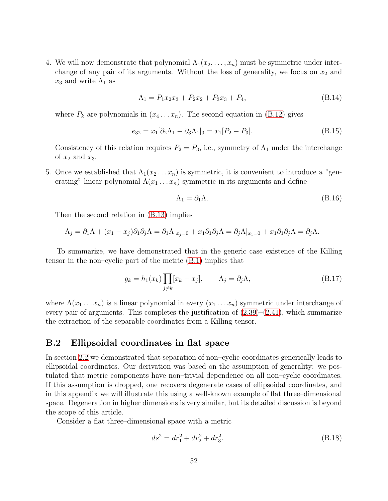4. We will now demonstrate that polynomial  $\Lambda_1(x_2,\ldots,x_n)$  must be symmetric under interchange of any pair of its arguments. Without the loss of generality, we focus on  $x_2$  and  $x_3$  and write  $\Lambda_1$  as

$$
\Lambda_1 = P_1 x_2 x_3 + P_2 x_2 + P_3 x_3 + P_4,\tag{B.14}
$$

where  $P_k$  are polynomials in  $(x_4 \ldots x_n)$ . The second equation in [\(B.12\)](#page-50-1) gives

$$
e_{32} = x_1[\partial_2 \Lambda_1 - \partial_3 \Lambda_1]_0 = x_1[P_2 - P_3].
$$
\n(B.15)

Consistency of this relation requires  $P_2 = P_3$ , i.e., symmetry of  $\Lambda_1$  under the interchange of  $x_2$  and  $x_3$ .

5. Once we established that  $\Lambda_1(x_2 \ldots x_n)$  is symmetric, it is convenient to introduce a "generating" linear polynomial  $\Lambda(x_1 \ldots x_n)$  symmetric in its arguments and define

$$
\Lambda_1 = \partial_1 \Lambda. \tag{B.16}
$$

Then the second relation in [\(B.13\)](#page-50-2) implies

$$
\Lambda_j = \partial_1 \Lambda + (x_1 - x_j) \partial_1 \partial_j \Lambda = \partial_1 \Lambda |_{x_j=0} + x_1 \partial_1 \partial_j \Lambda = \partial_j \Lambda |_{x_1=0} + x_1 \partial_1 \partial_j \Lambda = \partial_j \Lambda.
$$

To summarize, we have demonstrated that in the generic case existence of the Killing tensor in the non–cyclic part of the metric [\(B.1\)](#page-49-6) implies that

$$
g_k = h_1(x_k) \prod_{j \neq k} [x_k - x_j], \qquad \Lambda_j = \partial_j \Lambda,
$$
 (B.17)

where  $\Lambda(x_1 \ldots x_n)$  is a linear polynomial in every  $(x_1 \ldots x_n)$  symmetric under interchange of every pair of arguments. This completes the justification of  $(2.39)$ – $(2.41)$ , which summarize the extraction of the separable coordinates from a Killing tensor.

#### <span id="page-51-0"></span>B.2 Ellipsoidal coordinates in flat space

In section [2.2](#page-7-1) we demonstrated that separation of non–cyclic coordinates generically leads to ellipsoidal coordinates. Our derivation was based on the assumption of generality: we postulated that metric components have non–trivial dependence on all non–cyclic coordinates. If this assumption is dropped, one recovers degenerate cases of ellipsoidal coordinates, and in this appendix we will illustrate this using a well-known example of flat three–dimensional space. Degeneration in higher dimensions is very similar, but its detailed discussion is beyond the scope of this article.

Consider a flat three–dimensional space with a metric

<span id="page-51-1"></span>
$$
ds^2 = dr_1^2 + dr_2^2 + dr_3^2.
$$
 (B.18)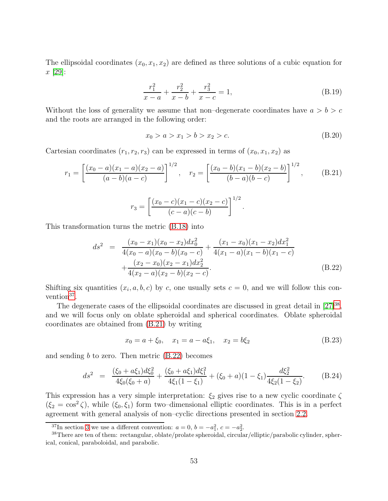The ellipsoidal coordinates  $(x_0, x_1, x_2)$  are defined as three solutions of a cubic equation for x [\[29\]](#page-84-1):

$$
\frac{r_1^2}{x-a} + \frac{r_2^2}{x-b} + \frac{r_3^2}{x-c} = 1,
$$
\n(B.19)

Without the loss of generality we assume that non-degenerate coordinates have  $a > b > c$ and the roots are arranged in the following order:

$$
x_0 > a > x_1 > b > x_2 > c.
$$
 (B.20)

Cartesian coordinates  $(r_1, r_2, r_3)$  can be expressed in terms of  $(x_0, x_1, x_2)$  as

<span id="page-52-2"></span>
$$
r_1 = \left[\frac{(x_0 - a)(x_1 - a)(x_2 - a)}{(a - b)(a - c)}\right]^{1/2}, \quad r_2 = \left[\frac{(x_0 - b)(x_1 - b)(x_2 - b)}{(b - a)(b - c)}\right]^{1/2}, \quad (B.21)
$$

$$
r_3 = \left[\frac{(x_0 - c)(x_1 - c)(x_2 - c)}{(c - a)(c - b)}\right]^{1/2}.
$$

This transformation turns the metric [\(B.18\)](#page-51-1) into

<span id="page-52-3"></span>
$$
ds^{2} = \frac{(x_{0} - x_{1})(x_{0} - x_{2})dx_{0}^{2}}{4(x_{0} - a)(x_{0} - b)(x_{0} - c)} + \frac{(x_{1} - x_{0})(x_{1} - x_{2})dx_{1}^{2}}{4(x_{1} - a)(x_{1} - b)(x_{1} - c)} + \frac{(x_{2} - x_{0})(x_{2} - x_{1})dx_{2}^{2}}{4(x_{2} - a)(x_{2} - b)(x_{2} - c)}.
$$
\n(B.22)

Shifting six quantities  $(x_i, a, b, c)$  by c, one usually sets  $c = 0$ , and we will follow this con-vention<sup>[37](#page-52-0)</sup>.

The degenerate cases of the ellipsoidal coordinates are discussed in great detail in  $[27]^{38}$  $[27]^{38}$  $[27]^{38}$ , and we will focus only on oblate spheroidal and spherical coordinates. Oblate spheroidal coordinates are obtained from [\(B.21\)](#page-52-2) by writing

$$
x_0 = a + \xi_0, \quad x_1 = a - a\xi_1, \quad x_2 = b\xi_2 \tag{B.23}
$$

and sending  $b$  to zero. Then metric  $(B.22)$  becomes

$$
ds^{2} = \frac{(\xi_{0} + a\xi_{1})d\xi_{0}^{2}}{4\xi_{0}(\xi_{0} + a)} + \frac{(\xi_{0} + a\xi_{1})d\xi_{1}^{2}}{4\xi_{1}(1 - \xi_{1})} + (\xi_{0} + a)(1 - \xi_{1})\frac{d\xi_{2}^{2}}{4\xi_{2}(1 - \xi_{2})}.
$$
 (B.24)

This expression has a very simple interpretation:  $\xi_2$  gives rise to a new cyclic coordinate  $\zeta$  $(\xi_2 = \cos^2 \zeta)$ , while  $(\xi_0, \xi_1)$  form two–dimensional elliptic coordinates. This is in a perfect agreement with general analysis of non–cyclic directions presented in section [2.2.](#page-7-1)

<span id="page-52-0"></span><sup>&</sup>lt;sup>37</sup>In section [3](#page-14-0) we use a different convention:  $a = 0, b = -a_1^2, c = -a_2^2$ .

<span id="page-52-1"></span><sup>38</sup>There are ten of them: rectangular, oblate/prolate spheroidal, circular/elliptic/parabolic cylinder, spherical, conical, paraboloidal, and parabolic.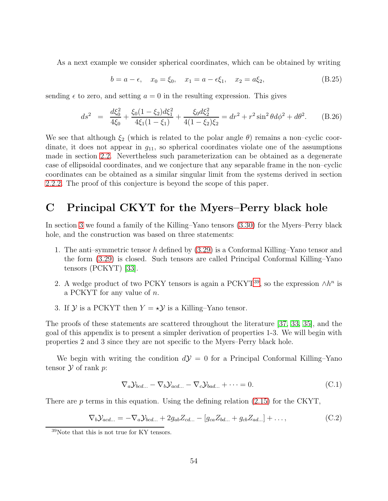As a next example we consider spherical coordinates, which can be obtained by writing

$$
b = a - \epsilon, \quad x_0 = \xi_0, \quad x_1 = a - \epsilon \xi_1, \quad x_2 = a \xi_2,
$$
 (B.25)

sending  $\epsilon$  to zero, and setting  $a = 0$  in the resulting expression. This gives

$$
ds^2 = \frac{d\xi_0^2}{4\xi_0} + \frac{\xi_0(1 - \xi_2)d\xi_1^2}{4\xi_1(1 - \xi_1)} + \frac{\xi_0 d\xi_2^2}{4(1 - \xi_2)\xi_2} = dr^2 + r^2 \sin^2\theta d\phi^2 + d\theta^2.
$$
 (B.26)

We see that although  $\xi_2$  (which is related to the polar angle  $\theta$ ) remains a non-cyclic coordinate, it does not appear in  $g_{11}$ , so spherical coordinates violate one of the assumptions made in section [2.2.](#page-7-1) Nevertheless such parameterization can be obtained as a degenerate case of ellipsoidal coordinates, and we conjecture that any separable frame in the non–cyclic coordinates can be obtained as a similar singular limit from the systems derived in section [2.2.2.](#page-9-0) The proof of this conjecture is beyond the scope of this paper.

# C Principal CKYT for the Myers–Perry black hole

In section [3](#page-14-0) we found a family of the Killing–Yano tensors [\(3.30\)](#page-19-1) for the Myers–Perry black hole, and the construction was based on three statements:

- 1. The anti–symmetric tensor h defined by [\(3.29\)](#page-18-0) is a Conformal Killing–Yano tensor and the form [\(3.29\)](#page-18-0) is closed. Such tensors are called Principal Conformal Killing–Yano tensors (PCKYT) [\[33\]](#page-84-2).
- 2. A wedge product of two PCKY tensors is again a PCKYT<sup>[39](#page-53-0)</sup>, so the expression  $\wedge h^n$  is a PCKYT for any value of  $n$ .
- 3. If  $\mathcal Y$  is a PCKYT then  $Y = \star \mathcal Y$  is a Killing–Yano tensor.

The proofs of these statements are scattered throughout the literature [\[37,](#page-85-1) [33,](#page-84-2) [35\]](#page-85-2), and the goal of this appendix is to present a simpler derivation of properties 1-3. We will begin with properties 2 and 3 since they are not specific to the Myers–Perry black hole.

We begin with writing the condition  $d\mathcal{Y} = 0$  for a Principal Conformal Killing–Yano tensor  $\mathcal Y$  of rank  $p$ :

<span id="page-53-1"></span>
$$
\nabla_a \mathcal{Y}_{bcd...} - \nabla_b \mathcal{Y}_{acd...} - \nabla_c \mathcal{Y}_{bad...} + \cdots = 0.
$$
\n(C.1)

There are  $p$  terms in this equation. Using the defining relation [\(2.15\)](#page-6-0) for the CKYT,

<span id="page-53-2"></span>
$$
\nabla_b \mathcal{Y}_{acd...} = -\nabla_a \mathcal{Y}_{bcd...} + 2g_{ab} Z_{cd...} - [g_{ca} Z_{bd...} + g_{cb} Z_{ad...}] + \dots,
$$
\n(C.2)

<span id="page-53-0"></span><sup>39</sup>Note that this is not true for KY tensors.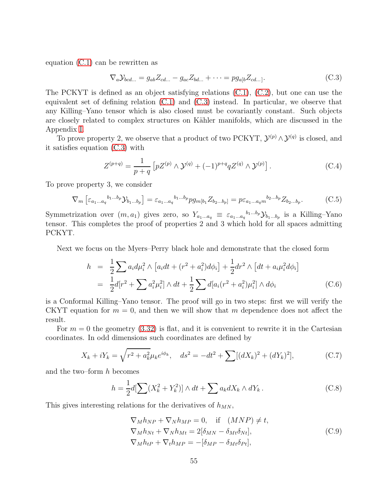equation [\(C.1\)](#page-53-1) can be rewritten as

<span id="page-54-0"></span>
$$
\nabla_a \mathcal{Y}_{bcd...} = g_{ab} Z_{cd...} - g_{ac} Z_{bd...} + \dots = p g_{a[b} Z_{cd...}.
$$
\n(C.3)

The PCKYT is defined as an object satisfying relations  $(C.1)$ ,  $(C.2)$ , but one can use the equivalent set of defining relation [\(C.1\)](#page-53-1) and [\(C.3\)](#page-54-0) instead. In particular, we observe that any Killing–Yano tensor which is also closed must be covariantly constant. Such objects are closely related to complex structures on Kähler manifolds, which are discussed in the Appendix [I.](#page-81-0)

To prove property 2, we observe that a product of two PCKYT,  $\mathcal{Y}^{(p)} \wedge \mathcal{Y}^{(q)}$  is closed, and it satisfies equation [\(C.3\)](#page-54-0) with

$$
Z^{(p+q)} = \frac{1}{p+q} \left[ pZ^{(p)} \wedge \mathcal{Y}^{(q)} + (-1)^{p+q} q Z^{(q)} \wedge \mathcal{Y}^{(p)} \right]. \tag{C.4}
$$

To prove property 3, we consider

$$
\nabla_m \left[ \varepsilon_{a_1 \dots a_q}{}^{b_1 \dots b_p} \mathcal{Y}_{b_1 \dots b_p} \right] = \varepsilon_{a_1 \dots a_q}{}^{b_1 \dots b_p} pg_{m[b_1} Z_{b_2 \dots b_p]} = p \varepsilon_{a_1 \dots a_q m}{}^{b_2 \dots b_p} Z_{b_2 \dots b_p}.
$$
 (C.5)

Symmetrization over  $(m, a_1)$  gives zero, so  $Y_{a_1...a_q} \equiv \varepsilon_{a_1...a_q}^{b_1...b_p} \mathcal{Y}_{b_1...b_p}$  is a Killing–Yano tensor. This completes the proof of properties 2 and 3 which hold for all spaces admitting PCKYT.

Next we focus on the Myers–Perry black hole and demonstrate that the closed form

$$
h = \frac{1}{2} \sum a_i d\mu_i^2 \wedge [a_i dt + (r^2 + a_i^2) d\phi_i] + \frac{1}{2} dr^2 \wedge [dt + a_i \mu_i^2 d\phi_i]
$$
  
= 
$$
\frac{1}{2} d[r^2 + \sum a_i^2 \mu_i^2] \wedge dt + \frac{1}{2} \sum d[a_i (r^2 + a_i^2) \mu_i^2] \wedge d\phi_i
$$
 (C.6)

is a Conformal Killing–Yano tensor. The proof will go in two steps: first we will verify the CKYT equation for  $m = 0$ , and then we will show that m dependence does not affect the result.

For  $m = 0$  the geometry [\(3.32\)](#page-19-2) is flat, and it is convenient to rewrite it in the Cartesian coordinates. In odd dimensions such coordinates are defined by

$$
X_k + iY_k = \sqrt{r^2 + a_k^2} \mu_k e^{i\phi_k}, \quad ds^2 = -dt^2 + \sum [(dX_k)^2 + (dY_k)^2], \tag{C.7}
$$

and the two–form  $h$  becomes

$$
h = \frac{1}{2}d[\sum (X_k^2 + Y_k^2)] \wedge dt + \sum a_k dX_k \wedge dY_k. \tag{C.8}
$$

This gives interesting relations for the derivatives of  $h_{MN}$ ,

$$
\nabla_M h_{NP} + \nabla_N h_{MP} = 0, \quad \text{if} \quad (MNP) \neq t,
$$
  
\n
$$
\nabla_M h_{Nt} + \nabla_N h_{Mt} = 2[\delta_{MN} - \delta_{Mt} \delta_{Nt}],
$$
  
\n
$$
\nabla_M h_{tP} + \nabla_t h_{MP} = -[\delta_{MP} - \delta_{Mt} \delta_{Pt}],
$$
\n(C.9)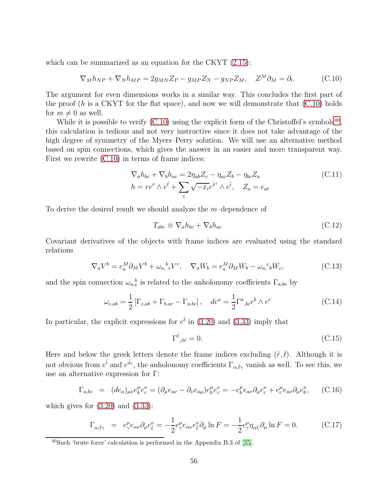which can be summarized as an equation for the CKYT  $(2.15)$ :

<span id="page-55-0"></span>
$$
\nabla_M h_{NP} + \nabla_N h_{MP} = 2g_{MN} Z_P - g_{MP} Z_N - g_{NP} Z_M, \quad Z^M \partial_M = \partial_t.
$$
 (C.10)

The argument for even dimensions works in a similar way. This concludes the first part of the proof  $(h$  is a CKYT for the flat space), and now we will demonstrate that  $(C.10)$  holds for  $m \neq 0$  as well.

While it is possible to verify  $(C.10)$  using the explicit form of the Christoffel's symbols<sup>[40](#page-55-1)</sup>, this calculation is tedious and not very instructive since it does not take advantage of the high degree of symmetry of the Myers–Perry solution. We will use an alternative method based on spin connections, which gives the answer in an easier and more transparent way. First we rewrite [\(C.10\)](#page-55-0) in terms of frame indices:

<span id="page-55-4"></span>
$$
\nabla_a h_{bc} + \nabla_b h_{ac} = 2\eta_{ab} Z_c - \eta_{ac} Z_b - \eta_{bc} Z_a
$$
  
\n
$$
h = r e^{\hat{r}} \wedge e^{\hat{t}} + \sum_i \sqrt{-x_i} e^{\hat{x}^i} \wedge e^{\hat{i}}, \quad Z_a = e_{at}
$$
\n(C.11)

To derive the desired result we should analyze the  $m$ -dependence of

<span id="page-55-3"></span>
$$
T_{abc} \equiv \nabla_a h_{bc} + \nabla_b h_{ac} \tag{C.12}
$$

Covariant derivatives of the objects with frame indices are evaluated using the standard relations

$$
\nabla_a V^b = e_a^M \partial_M V^b + \omega_{a, c}^{\ b} V^c, \quad \nabla_a W_b = e_a^M \partial_M W_b - \omega_{a, c}^{\ c} W_c,\tag{C.13}
$$

and the spin connection  $\omega_{a,e}^{\ b}$  is related to the anholonomy coefficients  $\Gamma_{a,be}$  by

<span id="page-55-2"></span>
$$
\omega_{c,ab} = \frac{1}{2} \left[ \Gamma_{c,ab} + \Gamma_{b,ac} - \Gamma_{a,bc} \right], \quad de^a = \frac{1}{2} \Gamma^a{}_{,bc} e^b \wedge e^c \tag{C.14}
$$

In particular, the explicit expressions for  $e^{\hat{t}}$  in [\(3.20\)](#page-17-0) and [\(3.33\)](#page-19-3) imply that

$$
\Gamma^{\hat{t}}{}_{,\beta\hat{r}} = 0. \tag{C.15}
$$

Here and below the greek letters denote the frame indices excluding  $(\hat{r},\hat{t})$ . Although it is not obvious from  $e^{\hat{i}}$  and  $e^{\hat{\phi}_i}$ , the anholonomy coefficients  $\Gamma_{\alpha,\hat{t}\gamma}$  vanish as well. To see this, we use an alternative expression for Γ:

$$
\Gamma_{a,bc} = (de_a)_{\mu\nu} e_b^{\mu} e_c^{\nu} = (\partial_{\mu} e_{a\nu} - \partial_{\nu} e_{a\mu}) e_b^{\mu} e_c^{\nu} = -e_b^{\mu} e_{a\nu} \partial_{\mu} e_c^{\nu} + e_c^{\mu} e_{a\nu} \partial_{\mu} e_b^{\nu}, \quad (C.16)
$$

which gives for  $(3.20)$  and  $(3.33)$ :

$$
\Gamma_{\alpha,\hat{t}\gamma} = e^{\mu}_{\gamma} e_{\alpha\nu} \partial_{\mu} e^{\nu}_{\hat{t}} = -\frac{1}{2} e^{\mu}_{\gamma} e_{\alpha\nu} e^{\nu}_{\hat{t}} \partial_{\mu} \ln F = -\frac{1}{2} e^{\mu}_{\gamma} \eta_{\alpha\hat{t}} \partial_{\mu} \ln F = 0.
$$
 (C.17)

<span id="page-55-1"></span><sup>40</sup>Such 'brute force' calculation is performed in the Appendix B.3 of [\[35\]](#page-85-2).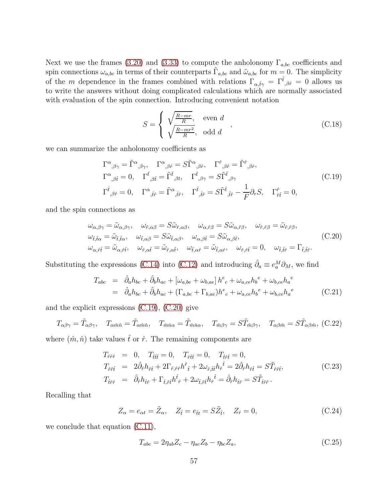Next we use the frames [\(3.20\)](#page-17-0) and [\(3.33\)](#page-19-3) to compute the anholonomy  $\Gamma_{a,bc}$  coefficients and spin connections  $\omega_{a,bc}$  in terms of their counterparts  $\tilde{\Gamma}_{a,bc}$  and  $\tilde{\omega}_{a,bc}$  for  $m=0$ . The simplicity of the m dependence in the frames combined with relations  $\Gamma_{\alpha,\hat{t}\gamma} = \Gamma^{\hat{t}}_{,\beta\hat{r}} = 0$  allows us to write the answers without doing complicated calculations which are normally associated with evaluation of the spin connection. Introducing convenient notation

$$
S = \begin{cases} \sqrt{\frac{R - mr}{R}}, & \text{even } d \\ \sqrt{\frac{R - mr^2}{R}}, & \text{odd } d \end{cases},
$$
 (C.18)

we can summarize the anholonomy coefficients as

<span id="page-56-0"></span>
$$
\Gamma^{\alpha}{}_{,\beta\gamma} = \tilde{\Gamma}^{\alpha}{}_{,\beta\gamma}, \quad \Gamma^{\alpha}{}_{,\beta\hat{r}} = S\tilde{\Gamma}^{\alpha}{}_{,\beta\hat{r}}, \quad \Gamma^{\hat{r}}{}_{,\beta\hat{r}} = \tilde{\Gamma}^{\hat{r}}{}_{,\beta\hat{r}}, \n\Gamma^{\alpha}{}_{,\beta\hat{t}} = 0, \quad \Gamma^{\hat{t}}{}_{,\beta\hat{t}} = \tilde{\Gamma}^{\hat{t}}{}_{,\beta t}, \quad \Gamma^{\hat{t}}{}_{,\beta\gamma} = S\tilde{\Gamma}^{\hat{t}}{}_{,\beta\gamma} \n\Gamma^{\hat{t}}{}_{,\beta\hat{r}} = 0, \quad \Gamma^{\alpha}{}_{,\hat{t}\hat{r}} = \tilde{\Gamma}^{\alpha}{}_{,\hat{t}\hat{r}}, \quad \Gamma^{\hat{t}}{}_{,\hat{t}\hat{r}} = S\tilde{\Gamma}^{\hat{t}}{}_{,\hat{t}\hat{r}} - \frac{1}{F}\partial_r S, \quad \Gamma^{\hat{r}}{}_{,\hat{t}\hat{t}} = 0,
$$
\n(C.19)

and the spin connections as

<span id="page-56-1"></span>
$$
\omega_{\alpha,\beta\gamma} = \tilde{\omega}_{\alpha,\beta\gamma}, \quad \omega_{\hat{r},\alpha\beta} = S\tilde{\omega}_{\hat{r},\alpha\beta}, \quad \omega_{\alpha,\hat{r}\beta} = S\tilde{\omega}_{\alpha,\hat{r}\beta}, \quad \omega_{\hat{r},\hat{r}\beta} = \tilde{\omega}_{\hat{r},\hat{r}\beta},
$$
  
\n
$$
\omega_{\hat{t},\hat{t}\alpha} = \tilde{\omega}_{\hat{t},\hat{t}\alpha}, \quad \omega_{\hat{t},\alpha\beta} = S\tilde{\omega}_{\hat{t},\alpha\beta}, \quad \omega_{\alpha,\beta\hat{t}} = S\tilde{\omega}_{\alpha,\beta\hat{t}},
$$
  
\n
$$
\omega_{\alpha,\hat{r}\hat{t}} = \tilde{\omega}_{\alpha,\hat{r}\hat{t}}, \quad \omega_{\hat{r},\alpha\hat{t}} = \tilde{\omega}_{\hat{r},\alpha\hat{t}}, \quad \omega_{\hat{t},\alpha\hat{r}} = \tilde{\omega}_{\hat{t},\alpha\hat{r}}, \quad \omega_{\hat{r},\hat{r}\hat{t}} = 0, \quad \omega_{\hat{t},\hat{t}\hat{r}} = \Gamma_{\hat{t},\hat{t}\hat{r}}.
$$
\n(C.20)

Substituting the expressions [\(C.14\)](#page-55-2) into [\(C.12\)](#page-55-3) and introducing  $\hat{\partial}_a \equiv e_a^M \partial_M$ , we find

$$
T_{abc} = \hat{\partial}_a h_{bc} + \hat{\partial}_b h_{ac} + [\omega_{a,be} + \omega_{b,ae}] h^e{}_c + \omega_{a,ce} h_b{}^e + \omega_{b,ce} h_a{}^e
$$
  
=  $\hat{\partial}_a h_{bc} + \hat{\partial}_b h_{ac} + (\Gamma_{a,be} + \Gamma_{b,ae}) h^e{}_c + \omega_{a,ce} h_b{}^e + \omega_{b,ce} h_a{}^e$  (C.21)

and the explicit expressions [\(C.19\)](#page-56-0), [\(C.20\)](#page-56-1) give

$$
T_{\alpha\beta\gamma} = \tilde{T}_{\alpha\beta\gamma}, \quad T_{\alpha\hat{m}\hat{n}} = \tilde{T}_{\alpha\hat{m}\hat{n}}, \quad T_{\hat{m}\hat{n}\alpha} = \tilde{T}_{\hat{m}\hat{n}\alpha}, \quad T_{\hat{m}\beta\gamma} = S\tilde{T}_{\hat{m}\beta\gamma}, \quad T_{\alpha\beta\hat{m}} = S\tilde{T}_{\alpha\beta\hat{m}}, \text{ (C.22)}
$$

where  $(\hat{m}, \hat{n})$  take values  $\hat{t}$  or  $\hat{r}$ . The remaining components are

$$
T_{\hat{r}\hat{r}\hat{r}} = 0, \quad T_{\hat{t}\hat{t}\hat{t}} = 0, \quad T_{\hat{r}\hat{t}\hat{t}} = 0, \quad T_{\hat{t}\hat{r}\hat{t}} = 0,
$$
  
\n
$$
T_{\hat{r}\hat{r}\hat{t}} = 2\hat{\partial}_{\hat{r}}h_{\hat{r}\hat{t}} + 2\Gamma_{\hat{r},\hat{r}\hat{r}}h^{\hat{r}}_{\hat{t}} + 2\omega_{\hat{r},\hat{t}\hat{t}}h_{\hat{r}}^{\hat{t}} = 2\hat{\partial}_{\hat{r}}h_{\hat{r}\hat{t}} = S\tilde{T}_{\hat{r}\hat{r}\hat{t}},
$$
  
\n
$$
T_{\hat{t}\hat{r}\hat{r}} = \hat{\partial}_{\hat{r}}h_{\hat{t}\hat{r}} + \Gamma_{\hat{t},\hat{r}\hat{t}}h^{\hat{t}}_{\hat{r}} + 2\omega_{\hat{t},\hat{r}\hat{t}}h_{\hat{r}}^{\hat{t}} = \hat{\partial}_{\hat{r}}h_{\hat{t}\hat{r}} = S\tilde{T}_{\hat{t}\hat{r}\hat{r}}.
$$
\n(C.23)

Recalling that

$$
Z_{\alpha} = e_{\alpha t} = \tilde{Z}_{\alpha}, \quad Z_{\hat{t}} = e_{\hat{t}t} = S\tilde{Z}_{\hat{t}}, \quad Z_{\hat{r}} = 0,
$$
\n(C.24)

we conclude that equation  $(C.11)$ ,

$$
T_{abc} = 2\eta_{ab}Z_c - \eta_{ac}Z_b - \eta_{bc}Z_a, \qquad (C.25)
$$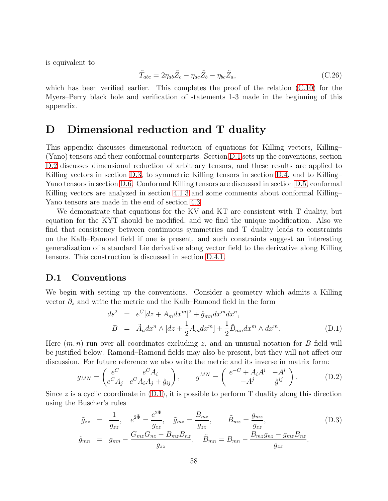is equivalent to

$$
\tilde{T}_{abc} = 2\eta_{ab}\tilde{Z}_c - \eta_{ac}\tilde{Z}_b - \eta_{bc}\tilde{Z}_a,\tag{C.26}
$$

which has been verified earlier. This completes the proof of the relation  $(C.10)$  for the Myers–Perry black hole and verification of statements 1-3 made in the beginning of this appendix.

# D Dimensional reduction and T duality

This appendix discusses dimensional reduction of equations for Killing vectors, Killing– (Yano) tensors and their conformal counterparts. Section [D.1](#page-57-0) sets up the conventions, section [D.2](#page-58-0) discusses dimensional reduction of arbitrary tensors, and these results are applied to Killing vectors in section [D.3,](#page-59-0) to symmetric Killing tensors in section [D.4,](#page-62-0) and to Killing– Yano tensors in section [D.6.](#page-65-0) Conformal Killing tensors are discussed in section [D.5,](#page-64-0) conformal Killing vectors are analyzed in section [4.1.3](#page-25-0) and some comments about conformal Killing– Yano tensors are made in the end of section [4.3.](#page-35-3)

We demonstrate that equations for the KV and KT are consistent with T duality, but equation for the KYT should be modified, and we find the unique modification. Also we find that consistency between continuous symmetries and T duality leads to constraints on the Kalb–Ramond field if one is present, and such constraints suggest an interesting generalization of a standard Lie derivative along vector field to the derivative along Killing tensors. This construction is discussed in section [D.4.1.](#page-63-0)

#### <span id="page-57-0"></span>D.1 Conventions

We begin with setting up the conventions. Consider a geometry which admits a Killing vector  $\partial_z$  and write the metric and the Kalb–Ramond field in the form

<span id="page-57-1"></span>
$$
ds^{2} = e^{C}[dz + A_{m}dx^{m}]^{2} + \hat{g}_{mn}dx^{m}dx^{n},
$$
  
\n
$$
B = \tilde{A}_{n}dx^{n} \wedge [dz + \frac{1}{2}A_{m}dx^{m}] + \frac{1}{2}\hat{B}_{mn}dx^{m} \wedge dx^{m}.
$$
\n(D.1)

Here  $(m, n)$  run over all coordinates excluding z, and an unusual notation for B field will be justified below. Ramond–Ramond fields may also be present, but they will not affect our discussion. For future reference we also write the metric and its inverse in matrix form:

$$
g_{MN} = \begin{pmatrix} e^C & e^C A_i \\ e^C A_j & e^C A_i A_j + \hat{g}_{ij} \end{pmatrix}, \qquad g^{MN} = \begin{pmatrix} e^{-C} + A_i A^i & -A^i \\ -A^j & \hat{g}^{ij} \end{pmatrix}.
$$
 (D.2)

Since z is a cyclic coordinate in  $(D.1)$ , it is possible to perform T duality along this direction using the Buscher's rules

<span id="page-57-2"></span>
$$
\tilde{g}_{zz} = \frac{1}{g_{zz}}, \quad e^{2\tilde{\Phi}} = \frac{e^{2\Phi}}{g_{zz}}, \quad \tilde{g}_{mz} = \frac{B_{mz}}{g_{zz}}, \qquad \tilde{B}_{mz} = \frac{g_{mz}}{g_{zz}}, \qquad (D.3)
$$
\n
$$
\tilde{g}_{mn} = g_{mn} - \frac{G_{mz}G_{nz} - B_{mz}B_{nz}}{g_{zz}}, \qquad \tilde{B}_{mn} = B_{mn} - \frac{B_{mz}g_{nz} - g_{mz}B_{nz}}{g_{zz}}.
$$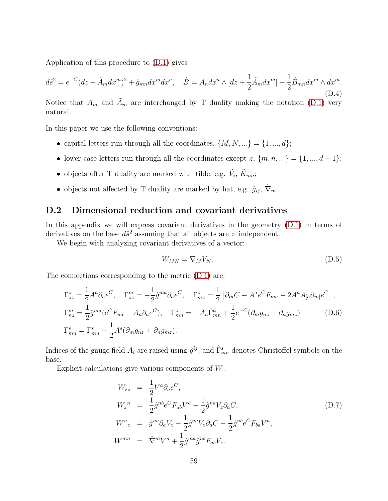Application of this procedure to [\(D.1\)](#page-57-1) gives

<span id="page-58-2"></span>
$$
d\tilde{s}^2 = e^{-C}(dz + \tilde{A}_m dx^m)^2 + \hat{g}_{mn} dx^m dx^n, \quad \tilde{B} = A_n dx^n \wedge [dz + \frac{1}{2}\tilde{A}_m dx^m] + \frac{1}{2}\hat{B}_{mn} dx^m \wedge dx^m.
$$
\n(D.4)

Notice that  $A_m$  and  $\tilde{A}_m$  are interchanged by T duality making the notation [\(D.1\)](#page-57-1) very natural.

In this paper we use the following conventions:

- capital letters run through all the coordinates,  $\{M, N, ...\} = \{1, ..., d\};$
- lower case letters run through all the coordinates except z,  $\{m, n, ...\} = \{1, ..., d 1\};$
- objects after T duality are marked with tilde, e.g.  $\tilde{V}_i$ ,  $\tilde{K}_{mn}$ ;
- objects not affected by T duality are marked by hat, e.g.  $\hat{g}_{ij}$ ,  $\hat{\nabla}_m$ .

### <span id="page-58-0"></span>D.2 Dimensional reduction and covariant derivatives

In this appendix we will express covariant derivatives in the geometry  $(D.1)$  in terms of derivatives on the base  $d\hat{s}^2$  assuming that all objects are *z*-independent.

We begin with analyzing covariant derivatives of a vector:

$$
W_{MN} = \nabla_M V_N. \tag{D.5}
$$

The connections corresponding to the metric [\(D.1\)](#page-57-1) are:

$$
\Gamma_{zz}^{z} = \frac{1}{2} A^{a} \partial_{a} e^{C}, \quad \Gamma_{zz}^{m} = -\frac{1}{2} \hat{g}^{ma} \partial_{a} e^{C}, \quad \Gamma_{mz}^{z} = \frac{1}{2} \left[ \partial_{m} C - A^{a} e^{C} F_{ma} - 2 A^{a} A_{[a} \partial_{m]} e^{C} \right],
$$
  
\n
$$
\Gamma_{nz}^{m} = \frac{1}{2} \hat{g}^{ma} (e^{C} F_{na} - A_{n} \partial_{a} e^{C}), \quad \Gamma_{mn}^{z} = -A_{a} \hat{\Gamma}_{mn}^{a} + \frac{1}{2} e^{-C} (\partial_{m} g_{nz} + \partial_{n} g_{mz})
$$
\n(D.6)  
\n
$$
\Gamma_{mn}^{s} = \hat{\Gamma}_{mn}^{s} - \frac{1}{2} A^{s} (\partial_{m} g_{nz} + \partial_{n} g_{mz}).
$$

Indices of the gauge field  $A_i$  are raised using  $\hat{g}^{ij}$ , and  $\hat{\Gamma}_{mn}^s$  denotes Christoffel symbols on the base.

Explicit calculations give various components of  $W$ :

<span id="page-58-1"></span>
$$
W_{zz} = \frac{1}{2} V^a \partial_a e^C,
$$
  
\n
$$
W_z^n = \frac{1}{2} \hat{g}^{nb} e^C F_{ab} V^a - \frac{1}{2} \hat{g}^{na} V_z \partial_a C,
$$
  
\n
$$
W^n_z = \hat{g}^{na} \partial_a V_z - \frac{1}{2} \hat{g}^{na} V_z \partial_a C - \frac{1}{2} \hat{g}^{nb} e^C F_{ba} V^a,
$$
  
\n
$$
W^{mn} = \hat{\nabla}^m V^n + \frac{1}{2} \hat{g}^{ma} \hat{g}^{nb} F_{ab} V_z.
$$
\n(D.7)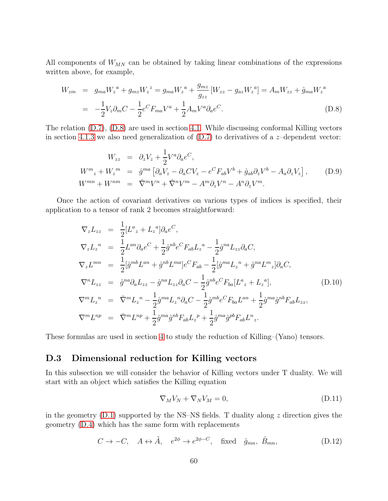All components of  $W_{MN}$  can be obtained by taking linear combinations of the expressions written above, for example,

<span id="page-59-1"></span>
$$
W_{zm} = g_{ma}W_z^a + g_{mz}W_z^z = g_{ma}W_z^a + \frac{g_{mz}}{g_{zz}}[W_{zz} - g_{az}W_z^a] = A_mW_{zz} + \hat{g}_{ma}W_z^a
$$
  

$$
= -\frac{1}{2}V_z\partial_mC - \frac{1}{2}e^CF_{ma}V^a + \frac{1}{2}A_mV^a\partial_ae^C.
$$
 (D.8)

The relation [\(D.7\)](#page-58-1), [\(D.8\)](#page-59-1) are used in section [4.1.](#page-21-0) While discussing conformal Killing vectors in section [4.1.3](#page-25-0) we also need generalization of  $(D.7)$  to derivatives of a *z*-dependent vector:

$$
W_{zz} = \partial_z V_z + \frac{1}{2} V^a \partial_a e^C,
$$
  
\n
$$
W^m{}_z + W_z^m = \hat{g}^{ma} \left[ \partial_a V_z - \partial_a C V_z - e^C F_{ab} V^b + \hat{g}_{ab} \partial_z V^b - A_a \partial_z V_z \right],
$$
  
\n
$$
W^{mn} + W^{nm} = \hat{\nabla}^m V^n + \hat{\nabla}^n V^m - A^m \partial_z V^n - A^n \partial_z V^m.
$$
\n(D.9)

Once the action of covariant derivatives on various types of indices is specified, their application to a tensor of rank 2 becomes straightforward:

<span id="page-59-3"></span>
$$
\nabla_{z} L_{zz} = \frac{1}{2} [L^{a}{}_{z} + L_{z}{}^{a}] \partial_{a} e^{C},
$$
\n
$$
\nabla_{z} L_{z}{}^{n} = \frac{1}{2} L^{an} \partial_{a} e^{C} + \frac{1}{2} \hat{g}^{nb} e^{C} F_{ab} L_{z}{}^{a} - \frac{1}{2} \hat{g}^{na} L_{zz} \partial_{a} C,
$$
\n
$$
\nabla_{z} L^{mn} = \frac{1}{2} [\hat{g}^{mb} L^{an} + \hat{g}^{nb} L^{ma}] e^{C} F_{ab} - \frac{1}{2} [\hat{g}^{ma} L_{z}{}^{n} + \hat{g}^{na} L^{m}{}_{z}] \partial_{a} C,
$$
\n
$$
\nabla^{n} L_{zz} = \hat{g}^{na} \partial_{a} L_{zz} - \hat{g}^{na} L_{zz} \partial_{a} C - \frac{1}{2} \hat{g}^{nb} e^{C} F_{ba} [L^{a}{}_{z} + L_{z}{}^{a}], \qquad (D.10)
$$
\n
$$
\nabla^{m} L_{z}{}^{n} = \hat{\nabla}^{m} L_{z}{}^{n} - \frac{1}{2} \hat{g}^{ma} L_{z}{}^{n} \partial_{a} C - \frac{1}{2} \hat{g}^{mb} e^{C} F_{ba} L^{an} + \frac{1}{2} \hat{g}^{ma} \hat{g}^{nb} F_{ab} L_{zz},
$$
\n
$$
\nabla^{m} L^{np} = \hat{\nabla}^{m} L^{np} + \frac{1}{2} \hat{g}^{ma} \hat{g}^{nb} F_{ab} L_{z}{}^{p} + \frac{1}{2} \hat{g}^{ma} \hat{g}^{pb} F_{ab} L^{n}{}_{z}.
$$

These formulas are used in section [4](#page-20-2) to study the reduction of Killing–(Yano) tensors.

## <span id="page-59-0"></span>D.3 Dimensional reduction for Killing vectors

In this subsection we will consider the behavior of Killing vectors under T duality. We will start with an object which satisfies the Killing equation

$$
\nabla_M V_N + \nabla_N V_M = 0,\tag{D.11}
$$

in the geometry  $(D.1)$  supported by the NS–NS fields. T duality along z direction gives the geometry [\(D.4\)](#page-58-2) which has the same form with replacements

<span id="page-59-2"></span>
$$
C \to -C, \quad A \leftrightarrow \tilde{A}, \quad e^{2\phi} \to e^{2\phi - C}, \quad \text{fixed} \quad \hat{g}_{mn}, \quad \hat{B}_{mn}, \tag{D.12}
$$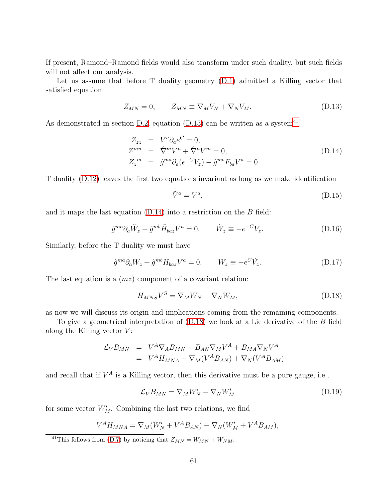If present, Ramond–Ramond fields would also transform under such duality, but such fields will not affect our analysis.

Let us assume that before T duality geometry [\(D.1\)](#page-57-1) admitted a Killing vector that satisfied equation

<span id="page-60-0"></span>
$$
Z_{MN} = 0, \t Z_{MN} \equiv \nabla_M V_N + \nabla_N V_M. \t (D.13)
$$

As demonstrated in section [D.2,](#page-58-0) equation [\(D.13\)](#page-60-0) can be written as a system<sup>[41](#page-60-1)</sup>

<span id="page-60-2"></span>
$$
Z_{zz} = V^a \partial_a e^C = 0,
$$
  
\n
$$
Z^{mn} = \hat{\nabla}^m V^n + \hat{\nabla}^n V^m = 0,
$$
  
\n
$$
Z_z^m = \hat{g}^{ma} \partial_a (e^{-C} V_z) - \hat{g}^{mb} F_{ba} V^a = 0.
$$
\n(D.14)

T duality [\(D.12\)](#page-59-2) leaves the first two equations invariant as long as we make identification

$$
\tilde{V}^a = V^a,\tag{D.15}
$$

and it maps the last equation  $(D.14)$  into a restriction on the  $B$  field:

$$
\hat{g}^{ma}\partial_a \tilde{W}_z + \hat{g}^{mb}\tilde{H}_{baz}V^a = 0, \qquad \tilde{W}_z \equiv -e^{-C}V_z.
$$
 (D.16)

Similarly, before the T duality we must have

$$
\hat{g}^{ma}\partial_a W_z + \hat{g}^{mb} H_{baz} V^a = 0, \qquad W_z \equiv -e^C \tilde{V}_z. \tag{D.17}
$$

The last equation is a  $(mz)$  component of a covariant relation:

<span id="page-60-3"></span>
$$
H_{MNS}V^S = \nabla_M W_N - \nabla_N W_M, \tag{D.18}
$$

as now we will discuss its origin and implications coming from the remaining components.

To give a geometrical interpretation of [\(D.18\)](#page-60-3) we look at a Lie derivative of the B field along the Killing vector  $V$ :

$$
\mathcal{L}_V B_{MN} = V^A \nabla_A B_{MN} + B_{AN} \nabla_M V^A + B_{MA} \nabla_N V^A
$$
  
= 
$$
V^A H_{MNA} - \nabla_M (V^A B_{AN}) + \nabla_N (V^A B_{AM})
$$

and recall that if  $V^A$  is a Killing vector, then this derivative must be a pure gauge, i.e.,

<span id="page-60-4"></span>
$$
\mathcal{L}_V B_{MN} = \nabla_M W_N' - \nabla_N W_M'
$$
\n(D.19)

for some vector  $W'_M$ . Combining the last two relations, we find

$$
V^A H_{MNA} = \nabla_M (W'_N + V^A B_{AN}) - \nabla_N (W'_M + V^A B_{AM}),
$$

<span id="page-60-1"></span><sup>41</sup>This follows from [\(D.7\)](#page-58-1) by noticing that  $Z_{MN} = W_{MN} + W_{NM}$ .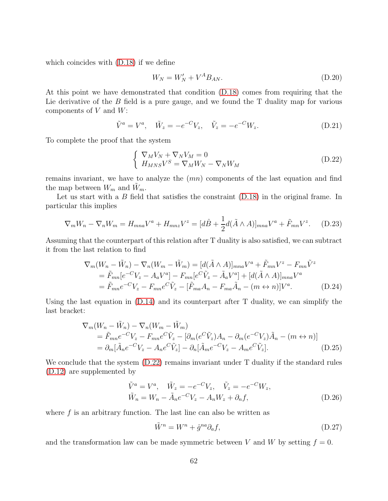which coincides with [\(D.18\)](#page-60-3) if we define

$$
W_N = W_N' + V^A B_{AN}.\tag{D.20}
$$

At this point we have demonstrated that condition [\(D.18\)](#page-60-3) comes from requiring that the Lie derivative of the  $B$  field is a pure gauge, and we found the  $T$  duality map for various components of  $V$  and  $W$ :

$$
\tilde{V}^{a} = V^{a}, \quad \tilde{W}_{z} = -e^{-C}V_{z}, \quad \tilde{V}_{z} = -e^{-C}W_{z}.
$$
\n(D.21)

To complete the proof that the system

<span id="page-61-0"></span>
$$
\begin{cases} \nabla_M V_N + \nabla_N V_M = 0\\ H_{MNS} V^S = \nabla_M W_N - \nabla_N W_M \end{cases}
$$
 (D.22)

remains invariant, we have to analyze the (mn) components of the last equation and find the map between  $W_m$  and  $W_m$ .

Let us start with a  $B$  field that satisfies the constraint  $(D.18)$  in the original frame. In particular this implies

$$
\nabla_m W_n - \nabla_n W_m = H_{mna} V^a + H_{mnz} V^z = [d\hat{B} + \frac{1}{2}d(\tilde{A} \wedge A)]_{mna} V^a + \tilde{F}_{mn} V^z.
$$
 (D.23)

Assuming that the counterpart of this relation after T duality is also satisfied, we can subtract it from the last relation to find

$$
\nabla_m(W_n - \tilde{W}_n) - \nabla_n(W_m - \tilde{W}_m) = [d(\tilde{A} \wedge A)]_{mna}V^a + \tilde{F}_{mn}V^z - F_{mn}\tilde{V}^z
$$
  
\n
$$
= \tilde{F}_{mn}[e^{-C}V_z - A_aV^a] - F_{mn}[e^{C}\tilde{V}_z - \tilde{A}_aV^a] + [d(\tilde{A} \wedge A)]_{mna}V^a
$$
  
\n
$$
= \tilde{F}_{mn}e^{-C}V_z - F_{mn}e^{C}\tilde{V}_z - [\tilde{F}_{ma}A_n - F_{ma}\tilde{A}_n - (m \leftrightarrow n)]V^a.
$$
 (D.24)

Using the last equation in  $(D.14)$  and its counterpart after T duality, we can simplify the last bracket:

$$
\nabla_m (W_n - \tilde{W}_n) - \nabla_n (W_m - \tilde{W}_m)
$$
  
=  $\tilde{F}_{mn} e^{-C} V_z - F_{mn} e^{C} \tilde{V}_z - [\partial_m (e^{C} \tilde{V}_z) A_n - \partial_m (e^{-C} V_z) \tilde{A}_n - (m \leftrightarrow n)]$   
=  $\partial_m [\tilde{A}_n e^{-C} V_z - A_n e^{C} \tilde{V}_z] - \partial_n [\tilde{A}_m e^{-C} V_z - A_m e^{C} \tilde{V}_z].$  (D.25)

We conclude that the system  $(D.22)$  remains invariant under T duality if the standard rules [\(D.12\)](#page-59-2) are supplemented by

$$
\tilde{V}^{a} = V^{a}, \quad \tilde{W}_{z} = -e^{-C}V_{z}, \quad \tilde{V}_{z} = -e^{-C}W_{z}, \n\tilde{W}_{n} = W_{n} - \tilde{A}_{n}e^{-C}V_{z} - A_{n}W_{z} + \partial_{n}f,
$$
\n(D.26)

where  $f$  is an arbitrary function. The last line can also be written as

$$
\tilde{W}^n = W^n + \hat{g}^{na} \partial_a f,\tag{D.27}
$$

and the transformation law can be made symmetric between V and W by setting  $f = 0$ .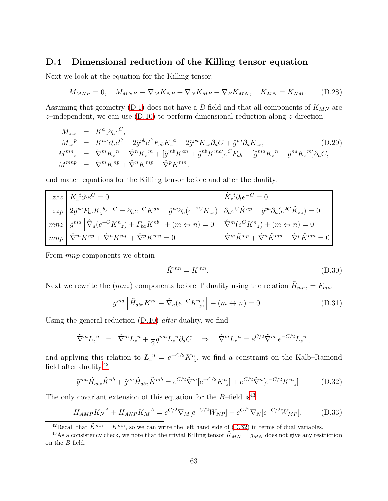## <span id="page-62-0"></span>D.4 Dimensional reduction of the Killing tensor equation

Next we look at the equation for the Killing tensor:

$$
M_{MNP} = 0, \quad M_{MNP} \equiv \nabla_M K_{NP} + \nabla_N K_{MP} + \nabla_P K_{MN}, \quad K_{MN} = K_{NM}.
$$
 (D.28)

Assuming that geometry  $(D.1)$  does not have a B field and that all components of  $K_{MN}$  are  $z$ -independent, we can use [\(D.10\)](#page-59-3) to perform dimensional reduction along z direction:

<span id="page-62-5"></span>
$$
M_{zzz} = K^a{}_z \partial_a e^C,
$$
  
\n
$$
M_{zz}^p = K^{an} \partial_a e^C + 2 \hat{g}^{pb} e^C F_{ab} K_z^a - 2 \hat{g}^{pa} K_{zz} \partial_a C + \hat{g}^{pa} \partial_a K_{zz},
$$
  
\n
$$
M^{mn}{}_z = \hat{\nabla}^m K_z^n + \hat{\nabla}^n K_z^m + [\hat{g}^{mb} K^{an} + \hat{g}^{nb} K^{ma}] e^C F_{ab} - [\hat{g}^{ma} K_z^n + \hat{g}^{na} K_z^m] \partial_a C,
$$
  
\n
$$
M^{mnp} = \hat{\nabla}^m K^{np} + \hat{\nabla}^n K^{mp} + \hat{\nabla}^p K^{mn}.
$$
\n(D.29)

and match equations for the Killing tensor before and after the duality:

| $zzz \mid K_z^{\ t} \partial_t e^C = 0$                                                                                                                                                                                              | $\ddot{K}_z{}^t \partial_t e^{-C} = 0$                                                                     |
|--------------------------------------------------------------------------------------------------------------------------------------------------------------------------------------------------------------------------------------|------------------------------------------------------------------------------------------------------------|
| $\label{eq:zz} z z p \Bigg[ 2 \hat{g}^{pa} F_{ba} K_z{}^b e^{-C} = \partial_a e^{-C} K^{ap} - \hat{g}^{pa} \partial_a (e^{-2C} K_{zz}) \Bigg[ \partial_a e^{C} \tilde{K}^{ap} - \hat{g}^{pa} \partial_a (e^{2C} \tilde{K}_{zz}) = 0$ |                                                                                                            |
| $mnz \left[\hat{g}^{ma}\left[\hat{\nabla}_a(e^{-C}K^n{}_z) + F_{ba}K^{nb}\right] + (m \leftrightarrow n) = 0 \right] \hat{\nabla}^m(e^{C}\tilde{K}^n{}_z) + (m \leftrightarrow n) = 0$                                               |                                                                                                            |
| $mnp \mid \hat{\nabla}^m K^{np} + \hat{\nabla}^n K^{mp} + \hat{\nabla}^p K^{mn} = 0$                                                                                                                                                 | $\big \, \hat\nabla^m \tilde K^{np} + \hat\nabla^n \tilde K^{mp} + \hat\nabla^p \tilde K^{mn} = 0 \,\big $ |

From *mnp* components we obtain

$$
\tilde{K}^{mn} = K^{mn}.\tag{D.30}
$$

Next we rewrite the  $(mnz)$  components before T duality using the relation  $\tilde{H}_{mnz} = F_{mn}$ .

$$
g^{ma} \left[ \tilde{H}_{abz} K^{nb} - \hat{\nabla}_a (e^{-C} K_{z}^n) \right] + (m \leftrightarrow n) = 0. \tag{D.31}
$$

Using the general reduction  $(D.10)$  *after* duality, we find

$$
\tilde{\nabla}^m L_z{}^n = \hat{\nabla}^m L_z{}^n + \frac{1}{2} g^{ma} L_z{}^n \partial_a C \implies \hat{\nabla}^m L_z{}^n = e^{C/2} \tilde{\nabla}^m [e^{-C/2} L_z{}^n],
$$

and applying this relation to  $L_z^{\ n} = e^{-C/2} K_{z}^n$ , we find a constraint on the Kalb–Ramond field after duality.<sup>[42](#page-62-1)</sup>

<span id="page-62-3"></span>
$$
\tilde{g}^{ma}\tilde{H}_{abz}\tilde{K}^{nb} + \tilde{g}^{na}\tilde{H}_{abz}\tilde{K}^{mb} = e^{C/2}\tilde{\nabla}^{m}[e^{-C/2}K_{z}^{n}] + e^{C/2}\tilde{\nabla}^{n}[e^{-C/2}K_{z}^{m}]
$$
(D.32)

The only covariant extension of this equation for the  $B$ –field is<sup>[43](#page-62-2)</sup>

<span id="page-62-4"></span>
$$
\tilde{H}_{AMP} \tilde{K}_N{}^A + \tilde{H}_{AMP} \tilde{K}_M{}^A = e^{C/2} \tilde{\nabla}_M [e^{-C/2} \tilde{W}_{NP}] + e^{C/2} \tilde{\nabla}_N [e^{-C/2} \tilde{W}_{MP}].
$$
 (D.33)

<span id="page-62-1"></span><sup>42</sup>Recall that  $\tilde{K}^{mn} = K^{mn}$ , so we can write the left hand side of [\(D.32\)](#page-62-3) in terms of dual variables.

<span id="page-62-2"></span><sup>&</sup>lt;sup>43</sup>As a consistency check, we note that the trivial Killing tensor  $\tilde{K}_{MN} = g_{MN}$  does not give any restriction on the B field.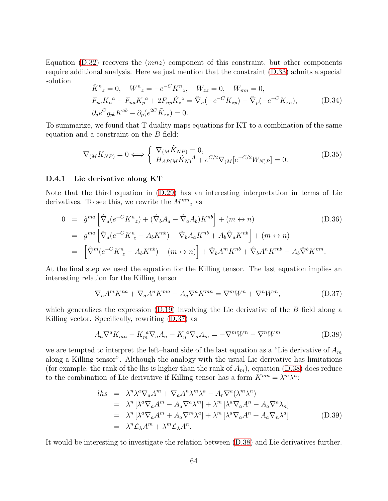Equation  $(D.32)$  recovers the  $(mnz)$  component of this constraint, but other components require additional analysis. Here we just mention that the constraint [\(D.33\)](#page-62-4) admits a special solution

$$
\tilde{K}^{n}_{z} = 0, \quad W^{n}_{z} = -e^{-C}K^{n}_{z}, \quad W_{zz} = 0, \quad W_{mn} = 0,
$$
\n
$$
F_{pa}K_{n}^{a} - F_{na}K_{p}^{a} + 2F_{np}\tilde{K}_{z}^{z} = \tilde{\nabla}_{n}(-e^{-C}K_{zp}) - \tilde{\nabla}_{p}(-e^{-C}K_{zn}), \quad (D.34)
$$
\n
$$
\partial_{a}e^{C}g_{pb}K^{ab} - \partial_{p}(e^{2C}\tilde{K}_{zz}) = 0.
$$

To summarize, we found that T duality maps equations for KT to a combination of the same equation and a constraint on the B field:

$$
\nabla_{(M}K_{NP)} = 0 \Longleftrightarrow \begin{cases} \nabla_{(M}\tilde{K}_{NP}) = 0, \\ H_{AP(M}\tilde{K}_{N)}^{A} + e^{C/2}\nabla_{(M}[e^{-C/2}W_{N)P}] = 0. \n\end{cases}
$$
\n(D.35)

#### <span id="page-63-0"></span>D.4.1 Lie derivative along KT

Note that the third equation in [\(D.29\)](#page-62-5) has an interesting interpretation in terms of Lie derivatives. To see this, we rewrite the  $M^{mn}$ <sub>z</sub> as

$$
0 = \hat{g}^{ma} \left[ \hat{\nabla}_a (e^{-C} K^n{}_z) + (\hat{\nabla}_b A_a - \hat{\nabla}_a A_b) K^{nb} \right] + (m \leftrightarrow n) \tag{D.36}
$$
  
\n
$$
= g^{ma} \left[ \tilde{\nabla}_a (e^{-C} K^n{}_z - A_b K^{nb}) + \hat{\nabla}_b A_a K^{nb} + A_b \hat{\nabla}_a K^{nb} \right] + (m \leftrightarrow n)
$$
  
\n
$$
= \left[ \hat{\nabla}^m (e^{-C} K^n{}_z - A_b K^{nb}) + (m \leftrightarrow n) \right] + \hat{\nabla}_b A^m K^{nb} + \hat{\nabla}_b A^n K^{mb} - A_b \hat{\nabla}^b K^{mn}.
$$

At the final step we used the equation for the Killing tensor. The last equation implies an interesting relation for the Killing tensor

<span id="page-63-1"></span>
$$
\nabla_a A^m K^{na} + \nabla_a A^n K^{ma} - A_a \nabla^a K^{mn} = \nabla^m W^n + \nabla^n W^m,
$$
\n(D.37)

which generalizes the expression  $(D.19)$  involving the Lie derivative of the B field along a Killing vector. Specifically, rewriting [\(D.37\)](#page-63-1) as

<span id="page-63-2"></span>
$$
A_a \nabla^a K_{mn} - K_m^a \nabla_a A_n - K_n^a \nabla_a A_m = -\nabla^m W^n - \nabla^n W^m \tag{D.38}
$$

we are tempted to interpret the left–hand side of the last equation as a "Lie derivative of  $A_m$ along a Killing tensor". Although the analogy with the usual Lie derivative has limitations (for example, the rank of the lhs is higher than the rank of  $A_m$ ), equation [\(D.38\)](#page-63-2) does reduce to the combination of Lie derivative if Killing tensor has a form  $K^{mn} = \lambda^m \lambda^n$ :

$$
lhs = \lambda^n \lambda^a \nabla_a A^m + \nabla_a A^n \lambda^m \lambda^a - A_r \nabla^a (\lambda^m \lambda^n)
$$
  
\n
$$
= \lambda^n [\lambda^a \nabla_a A^m - A_a \nabla^a \lambda^m] + \lambda^m [\lambda^a \nabla_a A^n - A_a \nabla^a \lambda_n]
$$
  
\n
$$
= \lambda^n [\lambda^a \nabla_a A^m + A_a \nabla^m \lambda^a] + \lambda^m [\lambda^a \nabla_a A^n + A_a \nabla_n \lambda^a]
$$
  
\n
$$
= \lambda^n \mathcal{L}_\lambda A^m + \lambda^m \mathcal{L}_\lambda A^n.
$$
\n(D.39)

It would be interesting to investigate the relation between [\(D.38\)](#page-63-2) and Lie derivatives further.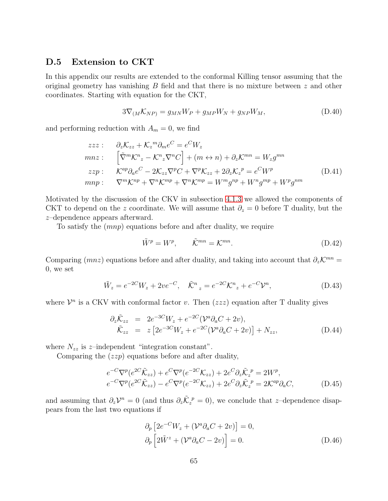#### <span id="page-64-0"></span>D.5 Extension to CKT

In this appendix our results are extended to the conformal Killing tensor assuming that the original geometry has vanishing  $B$  field and that there is no mixture between  $z$  and other coordinates. Starting with equation for the CKT,

$$
3\nabla_{(M}\mathcal{K}_{NP}) = g_{MN}W_P + g_{MP}W_N + g_{NP}W_M, \qquad (D.40)
$$

and performing reduction with  $A_m = 0$ , we find

$$
zzz: \quad \partial_z \mathcal{K}_{zz} + \mathcal{K}_z^m \partial_m e^C = e^C W_z
$$
  
\n
$$
mnz: \quad \left[ \tilde{\nabla}^m \mathcal{K}^n{}_z - \mathcal{K}^n{}_z \nabla^n C \right] + (m \leftrightarrow n) + \partial_z \mathcal{K}^{mn} = W_z g^{mn}
$$
  
\n
$$
zzp: \quad \mathcal{K}^{ap} \partial_a e^C - 2 \mathcal{K}_{zz} \nabla^p C + \nabla^p \mathcal{K}_{zz} + 2 \partial_z \mathcal{K}_z^p = e^C W^p
$$
  
\n
$$
mnp: \quad \nabla^m \mathcal{K}^{np} + \nabla^n \mathcal{K}^{mp} + \nabla^n \mathcal{K}^{mp} = W^m g^{np} + W^n g^{mp} + W^p g^{nm}
$$
\n(D.41)

Motivated by the discussion of the CKV in subsection [4.1.3](#page-25-0) we allowed the components of CKT to depend on the z coordinate. We will assume that  $\partial_z = 0$  before T duality, but the z–dependence appears afterward.

To satisfy the (mnp) equations before and after duality, we require

$$
\tilde{W}^p = W^p, \qquad \tilde{\mathcal{K}}^{mn} = \mathcal{K}^{mn}.
$$
\n(D.42)

Comparing (*mnz*) equations before and after duality, and taking into account that  $\partial_z \mathcal{K}^{mn} =$ 0, we set

$$
\tilde{W}_z = e^{-2C} W_z + 2v e^{-C}, \quad \tilde{\mathcal{K}}^n{}_z = e^{-2C} \mathcal{K}^n{}_z + e^{-C} \mathcal{V}^n,\tag{D.43}
$$

where  $\mathcal{V}^n$  is a CKV with conformal factor v. Then  $(zzz)$  equation after T duality gives

$$
\partial_z \tilde{\mathcal{K}}_{zz} = 2e^{-3C}W_z + e^{-2C}(\mathcal{V}^a \partial_a C + 2v), \n\tilde{\mathcal{K}}_{zz} = z \left[2e^{-3C}W_z + e^{-2C}(\mathcal{V}^a \partial_a C + 2v)\right] + N_{zz},
$$
\n(D.44)

where  $N_{zz}$  is z-independent "integration constant".

Comparing the  $(zzp)$  equations before and after duality,

<span id="page-64-2"></span>
$$
e^{-C}\nabla^p(e^{2C}\tilde{\mathcal{K}}_{zz}) + e^{C}\nabla^p(e^{-2C}\mathcal{K}_{zz}) + 2e^{C}\partial_z \tilde{\mathcal{K}}_z^p = 2W^p,
$$
  
\n
$$
e^{-C}\nabla^p(e^{2C}\tilde{\mathcal{K}}_{zz}) - e^{C}\nabla^p(e^{-2C}\mathcal{K}_{zz}) + 2e^{C}\partial_z \tilde{\mathcal{K}}_z^p = 2\mathcal{K}^{ap}\partial_a C,
$$
\n(D.45)

and assuming that  $\partial_z \mathcal{V}^n = 0$  (and thus  $\partial_z \tilde{\mathcal{K}}_z^p = 0$ ), we conclude that z-dependence disappears from the last two equations if

<span id="page-64-1"></span>
$$
\partial_p \left[ 2e^{-C} W_z + (\mathcal{V}^a \partial_a C + 2v) \right] = 0,
$$
  
\n
$$
\partial_p \left[ 2\tilde{W}^z + (\mathcal{V}^a \partial_a C - 2v) \right] = 0.
$$
\n(D.46)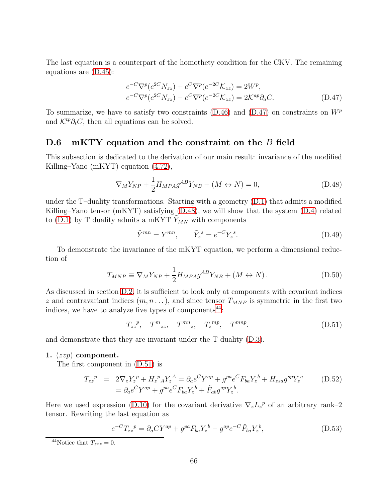The last equation is a counterpart of the homothety condition for the CKV. The remaining equations are [\(D.45\)](#page-64-2):

<span id="page-65-1"></span>
$$
e^{-C}\nabla^p(e^{2C}N_{zz}) + e^{C}\nabla^p(e^{-2C}\mathcal{K}_{zz}) = 2W^p, e^{-C}\nabla^p(e^{2C}N_{zz}) - e^{C}\nabla^p(e^{-2C}\mathcal{K}_{zz}) = 2\mathcal{K}^{ap}\partial_aC.
$$
 (D.47)

To summarize, we have to satisfy two constraints  $(D.46)$  and  $(D.47)$  on constraints on  $W^p$ and  $\mathcal{K}^{tp}\partial_t C$ , then all equations can be solved.

#### <span id="page-65-0"></span>D.6 mKTY equation and the constraint on the B field

This subsection is dedicated to the derivation of our main result: invariance of the modified Killing–Yano (mKYT) equation [\(4.72\)](#page-35-1),

<span id="page-65-2"></span>
$$
\nabla_M Y_{NP} + \frac{1}{2} H_{MPA} g^{AB} Y_{NB} + (M \leftrightarrow N) = 0,
$$
\n(D.48)

under the T–duality transformations. Starting with a geometry [\(D.1\)](#page-57-1) that admits a modified Killing–Yano tensor (mKYT) satisfying [\(D.48\)](#page-65-2), we will show that the system [\(D.4\)](#page-58-2) related to [\(D.1\)](#page-57-1) by T duality admits a mKYT  $Y_{MN}$  with components

$$
\tilde{Y}^{mn} = Y^{mn}, \qquad \tilde{Y}_z^s = e^{-C} Y_z^s. \tag{D.49}
$$

To demonstrate the invariance of the mKYT equation, we perform a dimensional reduction of

$$
T_{MNP} \equiv \nabla_M Y_{NP} + \frac{1}{2} H_{MPA} g^{AB} Y_{NB} + (M \leftrightarrow N) \,. \tag{D.50}
$$

As discussed in section [D.2,](#page-58-0) it is sufficient to look only at components with covariant indices z and contravariant indices  $(m, n \dots)$ , and since tensor  $T_{MNP}$  is symmetric in the first two indices, we have to analyze five types of components $44$ :

> <span id="page-65-4"></span> $T_{zz}^{\ p}, \quad T^{m}_{zz}, \quad T^{mn}_{zz}, \quad T^{mn}_{z}, \quad T^{mnp}$  $(D.51)$

and demonstrate that they are invariant under the T duality [\(D.3\)](#page-57-2).

#### 1.  $(zzp)$  component.

The first component in [\(D.51\)](#page-65-4) is

$$
T_{zz}^{\ p} = 2\nabla_z Y_z^{\ p} + H_z^{\ p} A Y_z^{\ A} = \partial_a e^C Y^{ap} + g^{pa} e^C F_{ba} Y_z^{\ b} + H_{zsa} g^{sp} Y_z^{\ a} \tag{D.52}
$$

$$
= \partial_a e^C Y^{ap} + g^{pa} e^C F_{ba} Y_z^{\ b} + \tilde{F}_{ab} g^{ap} Y_z^{\ b}.
$$

Here we used expression [\(D.10\)](#page-59-3) for the covariant derivative  $\nabla_z L_z^p$  of an arbitrary rank–2 tensor. Rewriting the last equation as

<span id="page-65-5"></span>
$$
e^{-C}T_{zz}^{\ p} = \partial_a CY^{ap} + g^{pa}F_{ba}Y_z^{\ b} - g^{ap}e^{-C}\tilde{F}_{ba}Y_z^{\ b},\tag{D.53}
$$

<span id="page-65-3"></span><sup>&</sup>lt;sup>44</sup>Notice that  $T_{zzz} = 0$ .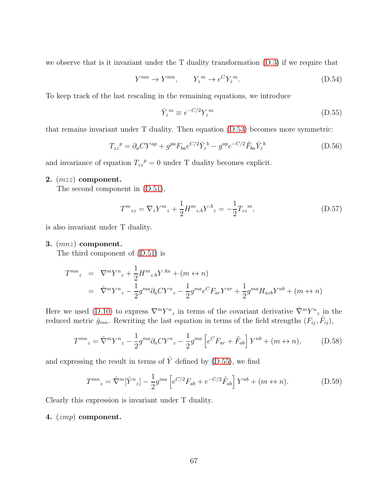we observe that is it invariant under the  $T$  duality transformation  $(D.3)$  if we require that

$$
Y^{mn} \to Y^{mn}, \qquad Y_z^m \to e^C Y_z^m. \tag{D.54}
$$

To keep track of the last rescaling in the remaining equations, we introduce

<span id="page-66-0"></span>
$$
\hat{Y}_z^m \equiv e^{-C/2} Y_z^m \tag{D.55}
$$

that remains invariant under T duality. Then equation [\(D.53\)](#page-65-5) becomes more symmetric:

<span id="page-66-1"></span>
$$
T_{zz}^{\ \ p} = \partial_a C Y^{ap} + g^{pa} F_{ba} e^{C/2} \hat{Y}_z^b - g^{ap} e^{-C/2} \tilde{F}_{ba} \hat{Y}_z^b \tag{D.56}
$$

and invariance of equation  $T_{zz}^{\ p} = 0$  under T duality becomes explicit.

#### 2. (mzz) component.

The second component in [\(D.51\)](#page-65-4),

<span id="page-66-2"></span>
$$
T^{m}_{zz} = \nabla_z Y^{m}_{z} + \frac{1}{2} H^{m}_{zA} Y^{A}_{z} = -\frac{1}{2} T_{zz}{}^{m}, \tag{D.57}
$$

is also invariant under T duality.

#### 3. (mnz) component.

The third component of [\(D.51\)](#page-65-4) is

$$
T^{mn}_{z} = \nabla^m Y^n_{z} + \frac{1}{2} H^m_{zA} Y^{An} + (m \leftrightarrow n)
$$
  
=  $\hat{\nabla}^m Y^n_{z} - \frac{1}{2} g^{ma} \partial_a C Y^n_{z} - \frac{1}{2} g^{ma} e^C F_{ar} Y^{nr} + \frac{1}{2} g^{ma} H_{azb} Y^{nb} + (m \leftrightarrow n)$ 

Here we used [\(D.10\)](#page-59-3) to express  $\nabla^m Y^n{}_z$  in terms of the covariant derivative  $\hat{\nabla}^m Y^n{}_z$  in the reduced metric  $\hat{g}_{mn}$ . Rewriting the last equation in terms of the field strengths  $(F_{ij}, \tilde{F}_{ij})$ ,

$$
T^{mn}_{z} = \hat{\nabla}^{m} Y^{n}_{z} - \frac{1}{2} g^{ma} \partial_{a} C Y^{n}_{z} - \frac{1}{2} g^{ma} \left[ e^{C} F_{ar} + \tilde{F}_{ab} \right] Y^{nb} + (m \leftrightarrow n), \tag{D.58}
$$

and expressing the result in terms of  $\hat{Y}$  defined by [\(D.55\)](#page-66-0), we find

<span id="page-66-3"></span>
$$
T^{mn}_{z} = \hat{\nabla}^{m}[\hat{Y}^{n}_{z}] - \frac{1}{2}g^{ma}\left[e^{C/2}F_{ab} + e^{-C/2}\tilde{F}_{ab}\right]Y^{nb} + (m \leftrightarrow n). \tag{D.59}
$$

Clearly this expression is invariant under T duality.

#### 4. (zmp) component.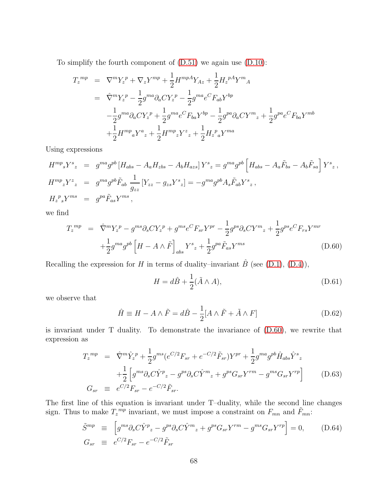To simplify the fourth component of [\(D.51\)](#page-65-4) we again use [\(D.10\)](#page-59-3):

$$
T_z^{mp} = \nabla^m Y_z^p + \nabla_z Y^{mp} + \frac{1}{2} H^{mpA} Y_{Az} + \frac{1}{2} H_z^{pA} Y^m{}_A
$$
  
\n
$$
= \hat{\nabla}^m Y_z^p - \frac{1}{2} g^{ma} \partial_a C Y_z^p - \frac{1}{2} g^{ma} e^C F_{ab} Y^{bp}
$$
  
\n
$$
- \frac{1}{2} g^{ma} \partial_a C Y_z^p + \frac{1}{2} g^{ma} e^C F_{ba} Y^{bp} - \frac{1}{2} g^{pa} \partial_a C Y^m{}_z + \frac{1}{2} g^{pa} e^C F_{ba} Y^{mb}
$$
  
\n
$$
+ \frac{1}{2} H^{mp}{}_a Y^a{}_z + \frac{1}{2} H^{mp}{}_z Y^z{}_z + \frac{1}{2} H_z^p{}_a Y^{ma}
$$

Using expressions

$$
H^{mp}{}_{s}Y^{s}{}_{z} = g^{ma}g^{pb}[H_{abs} - A_{a}H_{zbs} - A_{b}H_{azs}]Y^{s}{}_{z} = g^{ma}g^{pb}[H_{abs} - A_{a}\tilde{F}_{bs} - A_{b}\tilde{F}_{sa}]Y^{s}{}_{z},
$$
  
\n
$$
H^{mp}{}_{z}Y^{z}{}_{z} = g^{ma}g^{pb}\tilde{F}_{ab}\frac{1}{g_{zz}}[Y_{zz} - g_{zs}Y^{s}{}_{z}] = -g^{ma}g^{pb}A_{s}\tilde{F}_{ab}Y^{s}{}_{z},
$$
  
\n
$$
H_{z}{}^{p}{}_{s}Y^{ms} = g^{pa}\tilde{F}_{as}Y^{ms}{}_{,}
$$

we find

<span id="page-67-0"></span>
$$
T_z^{mp} = \hat{\nabla}^m Y_z^p - g^{ms} \partial_s C Y_z^p + g^{ms} e^C F_{sr} Y^{pr} - \frac{1}{2} g^{ps} \partial_s C Y^m{}_z + \frac{1}{2} g^{ps} e^C F_{rs} Y^{mr} + \frac{1}{2} g^{ma} g^{pb} \left[ H - A \wedge \tilde{F} \right]_{abs} Y^s{}_z + \frac{1}{2} g^{pa} \tilde{F}_{as} Y^{ms}
$$
\n(D.60)

Recalling the expression for H in terms of duality–invariant  $\hat{B}$  (see [\(D.1\)](#page-57-1), [\(D.4\)](#page-58-2)),

$$
H = d\hat{B} + \frac{1}{2}(\tilde{A} \wedge A), \tag{D.61}
$$

we observe that

<span id="page-67-1"></span>
$$
\hat{H} \equiv H - A \wedge \tilde{F} = d\hat{B} - \frac{1}{2} [A \wedge \tilde{F} + \tilde{A} \wedge F] \tag{D.62}
$$

is invariant under T duality. To demonstrate the invariance of [\(D.60\)](#page-67-0), we rewrite that expression as

<span id="page-67-3"></span>
$$
T_z^{mp} = \hat{\nabla}^m \hat{Y}_z^p + \frac{1}{2} g^{ms} (e^{C/2} F_{sr} + e^{-C/2} \tilde{F}_{sr}) Y^{pr} + \frac{1}{2} g^{ma} g^{pb} \hat{H}_{abs} \hat{Y}^s{}_z + \frac{1}{2} \left[ g^{ms} \partial_s C \hat{Y}^p{}_z - g^{ps} \partial_s C \hat{Y}^m{}_z + g^{ps} G_{sr} Y^{rm} - g^{ms} G_{sr} Y^{rp} \right] \tag{D.63}
$$
  

$$
G_{sr} \equiv e^{C/2} F_{sr} - e^{-C/2} \tilde{F}_{sr}.
$$

The first line of this equation is invariant under T–duality, while the second line changes sign. Thus to make  $T_z^{mp}$  invariant, we must impose a constraint on  $F_{mn}$  and  $\tilde{F}_{mn}$ :

<span id="page-67-2"></span>
$$
\tilde{S}^{mp} \equiv \left[ g^{ms} \partial_s C \hat{Y}^p{}_z - g^{ps} \partial_s C \hat{Y}^m{}_z + g^{ps} G_{sr} Y^{rm} - g^{ms} G_{sr} Y^{rp} \right] = 0, \quad (D.64)
$$
\n
$$
G_{sr} \equiv e^{C/2} F_{sr} - e^{-C/2} \tilde{F}_{sr}
$$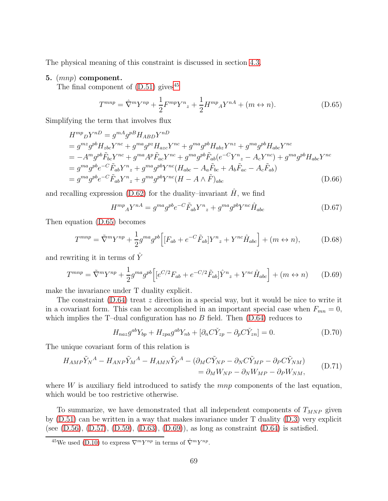The physical meaning of this constraint is discussed in section [4.3.](#page-35-3)

#### 5. (mnp) component.

The final component of  $(D.51)$  gives<sup>[45](#page-68-0)</sup>

<span id="page-68-1"></span>
$$
T^{mnp} = \hat{\nabla}^m Y^{np} + \frac{1}{2} F^{mp} Y^n{}_z + \frac{1}{2} H^{mp}{}_A Y^{nA} + (m \leftrightarrow n). \tag{D.65}
$$

Simplifying the term that involves flux

$$
H^{mp}{}_DY^{nD} = g^{mA}g^{p}H_{ABD}Y^{nD}
$$
  
=  $g^{mz}g^{pb}H_{zbc}Y^{nc} + g^{ma}g^{pz}H_{acz}Y^{nc} + g^{ma}g^{pb}H_{abz}Y^{nz} + g^{ma}g^{pb}H_{abc}Y^{nc}$   
=  $-A^m g^{pb}\tilde{F}_{bc}Y^{nc} + g^{ma}A^p\tilde{F}_{ac}Y^{nc} + g^{ma}g^{pb}\tilde{F}_{ab}(e^{-C}Y^n{}_z - A_cY^{nc}) + g^{ma}g^{pb}H_{abc}Y^{nc}$   
=  $g^{ma}g^{pb}e^{-C}\tilde{F}_{ab}Y^n{}_z + g^{ma}g^{pb}Y^{nc}(H_{abc} - A_a\tilde{F}_{bc} + A_b\tilde{F}_{ac} - A_c\tilde{F}_{ab})$   
=  $g^{ma}g^{pb}e^{-C}\tilde{F}_{ab}Y^n{}_z + g^{ma}g^{pb}Y^{nc}(H - A \wedge \tilde{F})_{abc}$  (D.66)

and recalling expression [\(D.62\)](#page-67-1) for the duality–invariant  $\hat{H}$ , we find

$$
H^{mp}{}_A Y^{nA} = g^{ma} g^{pb} e^{-C} \tilde{F}_{ab} Y^n{}_z + g^{ma} g^{pb} Y^{nc} \hat{H}_{abc} \tag{D.67}
$$

Then equation [\(D.65\)](#page-68-1) becomes

$$
T^{mnp} = \tilde{\nabla}^m Y^{np} + \frac{1}{2} g^{ma} g^{pb} \Big[ [F_{ab} + e^{-C} \tilde{F}_{ab}] Y^n{}_z + Y^{nc} \hat{H}_{abc} \Big] + (m \leftrightarrow n), \tag{D.68}
$$

and rewriting it in terms of  $\hat{Y}$ 

<span id="page-68-2"></span>
$$
T^{mnp} = \tilde{\nabla}^m Y^{np} + \frac{1}{2} g^{ma} g^{pb} \Big[ \left[ e^{C/2} F_{ab} + e^{-C/2} \tilde{F}_{ab} \right] \hat{Y}^n{}_z + Y^{nc} \hat{H}_{abc} \Big] + (m \leftrightarrow n) \tag{D.69}
$$

make the invariance under T duality explicit.

The constraint [\(D.64\)](#page-67-2) treat z direction in a special way, but it would be nice to write it in a covariant form. This can be accomplished in an important special case when  $F_{mn} = 0$ , which implies the T-dual configuration has no  $B$  field. Then  $(D.64)$  reduces to

$$
H_{naz}g^{ab}Y_{bp} + H_{zpa}g^{ab}Y_{nb} + [\partial_n C \check{Y}_{zp} - \partial_p C \check{Y}_{zn}] = 0.
$$
 (D.70)

The unique covariant form of this relation is

$$
H_{AMP}\tilde{Y}_N^A - H_{ANP}\tilde{Y}_M^A - H_{AMN}\tilde{Y}_P^A - (\partial_M C \tilde{Y}_{NP} - \partial_N C \tilde{Y}_{MP} - \partial_P C \tilde{Y}_{NM})
$$
  
=  $\partial_M W_{NP} - \partial_N W_{MP} - \partial_P W_{NM}$ , (D.71)

where  $W$  is auxiliary field introduced to satisfy the  $mnp$  components of the last equation, which would be too restrictive otherwise.

To summarize, we have demonstrated that all independent components of  $T_{MNP}$  given by [\(D.51\)](#page-65-4) can be written in a way that makes invariance under T duality [\(D.3\)](#page-57-2) very explicit (see  $(D.56)$ ,  $(D.57)$ ,  $(D.59)$ ,  $(D.63)$ ,  $(D.69)$ ), as long as constraint  $(D.64)$  is satisfied.

<span id="page-68-0"></span><sup>&</sup>lt;sup>45</sup>We used [\(D.10\)](#page-59-3) to express  $\nabla^m Y^{np}$  in terms of  $\hat{\nabla}^m Y^{np}$ .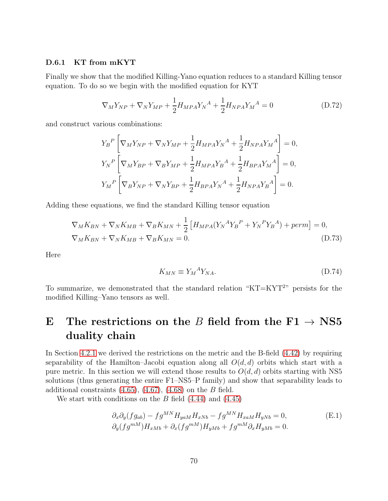#### D.6.1 KT from mKYT

Finally we show that the modified Killing-Yano equation reduces to a standard Killing tensor equation. To do so we begin with the modified equation for KYT

$$
\nabla_M Y_{NP} + \nabla_N Y_{MP} + \frac{1}{2} H_{MPA} Y_N^A + \frac{1}{2} H_{NPA} Y_M^A = 0
$$
\n(D.72)

and construct various combinations:

$$
Y_{B}^{P} \left[ \nabla_{M} Y_{NP} + \nabla_{N} Y_{MP} + \frac{1}{2} H_{MPA} Y_{N}^{A} + \frac{1}{2} H_{NPA} Y_{M}^{A} \right] = 0,
$$
  
\n
$$
Y_{N}^{P} \left[ \nabla_{M} Y_{BP} + \nabla_{B} Y_{MP} + \frac{1}{2} H_{MPA} Y_{B}^{A} + \frac{1}{2} H_{BPA} Y_{M}^{A} \right] = 0,
$$
  
\n
$$
Y_{M}^{P} \left[ \nabla_{B} Y_{NP} + \nabla_{N} Y_{BP} + \frac{1}{2} H_{BPA} Y_{N}^{A} + \frac{1}{2} H_{NPA} Y_{B}^{A} \right] = 0.
$$

Adding these equations, we find the standard Killing tensor equation

$$
\nabla_M K_{BN} + \nabla_N K_{MB} + \nabla_B K_{MN} + \frac{1}{2} \left[ H_{MPA} (Y_N^A Y_B^P + Y_N^P Y_B^A) + perm \right] = 0,
$$
  
\n
$$
\nabla_M K_{BN} + \nabla_N K_{MB} + \nabla_B K_{MN} = 0.
$$
\n(D.73)

Here

$$
K_{MN} \equiv Y_M{}^A Y_{NA}.\tag{D.74}
$$

To summarize, we demonstrated that the standard relation " $KT=KYT^{2}$ " persists for the modified Killing–Yano tensors as well.

# E The restrictions on the B field from the  $F1 \rightarrow NS5$ duality chain

In Section [4.2.1](#page-26-0) we derived the restrictions on the metric and the B-field [\(4.42\)](#page-29-0) by requiring separability of the Hamilton–Jacobi equation along all  $O(d, d)$  orbits which start with a pure metric. In this section we will extend those results to  $O(d, d)$  orbits starting with NS5 solutions (thus generating the entire F1–NS5–P family) and show that separability leads to additional constraints  $(4.65)$ ,  $(4.67)$ ,  $(4.68)$  on the B field.

We start with conditions on the  $B$  field  $(4.44)$  and  $(4.45)$ 

<span id="page-69-0"></span>
$$
\partial_x \partial_y (f g_{ab}) - f g^{MN} H_{yaM} H_{xNb} - f g^{MN} H_{xaM} H_{yNb} = 0,
$$
  
\n
$$
\partial_y (f g^{mM}) H_{xMb} + \partial_x (f g^{mM}) H_{yMb} + f g^{mM} \partial_x H_{yMb} = 0.
$$
\n(E.1)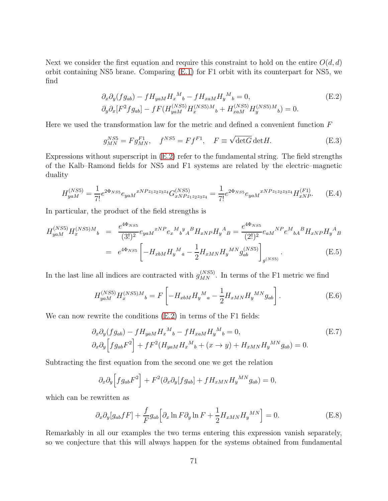Next we consider the first equation and require this constraint to hold on the entire  $O(d, d)$ orbit containing NS5 brane. Comparing [\(E.1\)](#page-69-0) for F1 orbit with its counterpart for NS5, we find

<span id="page-70-0"></span>
$$
\partial_x \partial_y (f g_{ab}) - f H_{yaM} H_x^M{}_b - f H_{xaM} H_y^M{}_b = 0, \tag{E.2}
$$
  

$$
\partial_y \partial_x [F^2 f g_{ab}] - f F (H_{yaM}^{(NS5)} H_x^{(NS5)M}{}_b + H_{xaM}^{(NS5)} H_y^{(NS5)M}{}_b) = 0.
$$

Here we used the transformation law for the metric and defined a convenient function  $F$ 

<span id="page-70-2"></span>
$$
g_{MN}^{NS5} = Fg_{MN}^{F1}, \quad f^{NS5} = Ff^{F1}, \quad F \equiv \sqrt{\det G} \det H. \tag{E.3}
$$

Expressions without superscript in [\(E.2\)](#page-70-0) refer to the fundamental string. The field strengths of the Kalb–Ramond fields for NS5 and F1 systems are related by the electric–magnetic duality

$$
H_{yaM}^{(NS5)} = \frac{1}{7!} e^{2\Phi_{NS5}} e_{yaM}{}^{xNPz_{1}z_{2}z_{3}z_{4}} G_{xNPz_{1}z_{2}z_{3}z_{4}}^{(NS5)} = \frac{1}{7!} e^{2\Phi_{NS5}} e_{yaM}{}^{xNPz_{1}z_{2}z_{3}z_{4}} H_{xNP}^{(F1)}.
$$
 (E.4)

In particular, the product of the field strengths is

$$
H_{yaM}^{(NS5)}H_x^{(NS5)M}{}_b = \frac{e^{4\Phi_{NS5}}}{(3!)^2} e_{yaM}{}^{xNP} e_x{}^M{}_b{}^y{}_A{}^B H_{xNP} H_y{}^A{}_B = \frac{e^{4\Phi_{NS5}}}{(2!)^2} e_{aM}{}^{NP} e^M{}_{bA}{}^B H_{xNP} H_y{}^A{}_B
$$
  

$$
= e^{4\Phi_{NS5}} \left[ -H_{xbM} H_y{}^M{}_a - \frac{1}{2} H_{xMN} H_y{}^{MN} g_{ab}^{(NS5)} \right]_{g^{(NS5)}}.
$$
(E.5)

In the last line all indices are contracted with  $g_{MN}^{(NS5)}$ . In terms of the F1 metric we find

$$
H_{yaM}^{(NS5)}H_x^{(NS5)M}{}_b = F\left[-H_{xbM}H_y{}^M{}_a - \frac{1}{2}H_{xMN}H_y{}^{MN}g_{ab}\right].
$$
 (E.6)

We can now rewrite the conditions [\(E.2\)](#page-70-0) in terms of the F1 fields:

$$
\partial_x \partial_y (f g_{ab}) - f H_{yaM} H_x^M{}_b - f H_{xaM} H_y^M{}_b = 0,
$$
\n
$$
\partial_x \partial_y \Big[ f g_{ab} F^2 \Big] + f F^2 (H_{yaM} H_x^M{}_b + (x \to y) + H_{xMN} H_y^{MN} g_{ab}) = 0.
$$
\n(E.7)

Subtracting the first equation from the second one we get the relation

$$
\partial_x \partial_y \Big[ f g_{ab} F^2 \Big] + F^2 (\partial_x \partial_y [f g_{ab}] + f H_{xMN} H_y{}^{MN} g_{ab}) = 0,
$$

which can be rewritten as

<span id="page-70-1"></span>
$$
\partial_x \partial_y [g_{ab} f F] + \frac{f}{F} g_{ab} \Big[ \partial_x \ln F \partial_y \ln F + \frac{1}{2} H_{xMN} H_y{}^{MN} \Big] = 0. \tag{E.8}
$$

Remarkably in all our examples the two terms entering this expression vanish separately, so we conjecture that this will always happen for the systems obtained from fundamental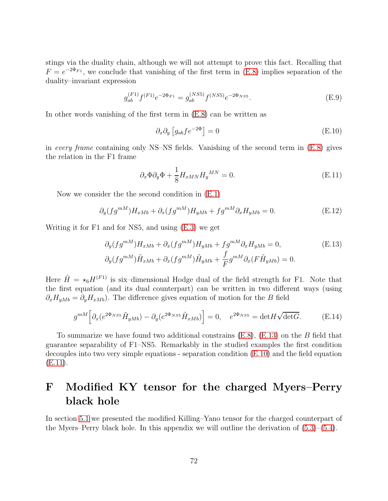stings via the duality chain, although we will not attempt to prove this fact. Recalling that  $F = e^{-2\Phi_{F1}}$ , we conclude that vanishing of the first term in [\(E.8\)](#page-70-1) implies separation of the duality–invariant expression

$$
g_{ab}^{(F1)}f^{(F1)}e^{-2\Phi_{F1}} = g_{ab}^{(NS5)}f^{(NS5)}e^{-2\Phi_{NS5}}.
$$
 (E.9)

In other words vanishing of the first term in [\(E.8\)](#page-70-1) can be written as

<span id="page-71-2"></span>
$$
\partial_x \partial_y \left[ g_{ab} f e^{-2\Phi} \right] = 0 \tag{E.10}
$$

in every frame containing only NS–NS fields. Vanishing of the second term in  $(E.8)$  gives the relation in the F1 frame

<span id="page-71-3"></span>
$$
\partial_x \Phi \partial_y \Phi + \frac{1}{8} H_{xMN} H_y{}^{MN} = 0. \tag{E.11}
$$

Now we consider the the second condition in [\(E.1\)](#page-69-0)

$$
\partial_y (fg^{mM}) H_{xMb} + \partial_x (fg^{mM}) H_{yMb} + fg^{mM} \partial_x H_{yMb} = 0.
$$
 (E.12)

Writing it for F1 and for NS5, and using [\(E.3\)](#page-70-2) we get

<span id="page-71-1"></span>
$$
\partial_y(fg^{mM})H_{xMb} + \partial_x(fg^{mM})H_{yMb} + fg^{mM}\partial_x H_{yMb} = 0,
$$
\n(E.13)  
\n
$$
\partial_y(fg^{mM})\tilde{H}_{xMb} + \partial_x(fg^{mM})\tilde{H}_{yMb} + \frac{f}{F}g^{mM}\partial_x(F\tilde{H}_{yMb}) = 0.
$$

Here  $\tilde{H} = \star_6 H^{(F1)}$  is six-dimensional Hodge dual of the field strength for F1. Note that the first equation (and its dual counterpart) can be written in two different ways (using  $\partial_x H_{yMb} = \partial_y H_{xMb})$ . The difference gives equation of motion for the B field

$$
g^{mM} \left[ \partial_x (e^{2\Phi_{NS5}} \tilde{H}_{yMb}) - \partial_y (e^{2\Phi_{NS5}} \tilde{H}_{xMb}) \right] = 0, \quad e^{2\Phi_{NS5}} = \det H \sqrt{\det G}.
$$
 (E.14)

To summarize we have found two additional constrains  $(E.8)$ ,  $(E.13)$  on the B field that guarantee separability of F1–NS5. Remarkably in the studied examples the first condition decouples into two very simple equations - separation condition [\(E.10\)](#page-71-2) and the field equation [\(E.11\)](#page-71-3).

# <span id="page-71-0"></span>F Modified KY tensor for the charged Myers–Perry black hole

In section [5.1](#page-39-0) we presented the modified Killing–Yano tensor for the charged counterpart of the Myers–Perry black hole. In this appendix we will outline the derivation of  $(5.3)$ – $(5.4)$ .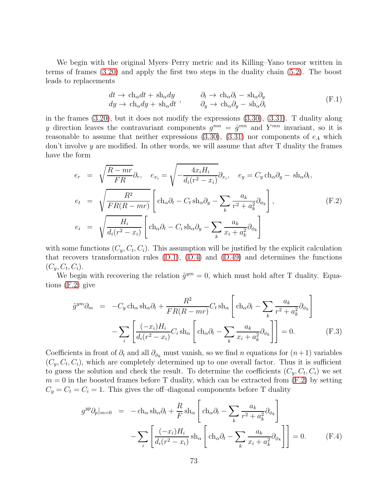We begin with the original Myers–Perry metric and its Killing–Yano tensor written in terms of frames [\(3.20\)](#page-17-0) and apply the first two steps in the duality chain [\(5.2\)](#page-38-0). The boost leads to replacements

$$
dt \to ch_{\alpha}dt + sh_{\alpha}dy \ndy \to ch_{\alpha}dy + sh_{\alpha}dt , \qquad \partial_t \to ch_{\alpha}\partial_t - sh_{\alpha}\partial_y \n\Phi_x \to ch_{\alpha}\partial_y - sh_{\alpha}\partial_t
$$
\n(F.1)

in the frames [\(3.20\)](#page-17-0), but it does not modify the expressions [\(3.30\)](#page-19-0), [\(3.31\)](#page-19-1). T duality along y direction leaves the contravariant components  $g^{mn} = \hat{g}^{mn}$  and  $Y^{mn}$  invariant, so it is reasonable to assume that neither expressions  $(3.30)$ ,  $(3.31)$  nor components of  $e_A$  which don't involve  $y$  are modified. In other words, we will assume that after  $T$  duality the frames have the form

<span id="page-72-0"></span>
$$
e_r = \sqrt{\frac{R - mr}{FR}} \partial_r, \quad e_{x_i} = \sqrt{-\frac{4x_i H_i}{d_i (r^2 - x_i)}} \partial_{x_i}, \quad e_y = C_y \operatorname{ch}_{\alpha} \partial_y - \operatorname{sh}_{\alpha} \partial_t,
$$
  
\n
$$
e_t = \sqrt{\frac{R^2}{FR(R - mr)}} \left[ \operatorname{ch}_{\alpha} \partial_t - C_t \operatorname{sh}_{\alpha} \partial_y - \sum_k \frac{a_k}{r^2 + a_k^2} \partial_{\phi_k} \right],
$$
  
\n
$$
e_i = \sqrt{\frac{H_i}{d_i (r^2 - x_i)}} \left[ \operatorname{ch}_{\alpha} \partial_t - C_i \operatorname{sh}_{\alpha} \partial_y - \sum_k \frac{a_k}{x_i + a_k^2} \partial_{\phi_k} \right]
$$
\n(F.2)

with some functions  $(C_y, C_t, C_i)$ . This assumption will be justified by the explicit calculation that recovers transformation rules  $(D.1)$ ,  $(D.4)$  and  $(D.49)$  and determines the functions  $(C_y, C_t, C_i).$ 

We begin with recovering the relation  $\tilde{g}^{ym} = 0$ , which must hold after T duality. Equations [\(F.2\)](#page-72-0) give

<span id="page-72-1"></span>
$$
\tilde{g}^{ym} \partial_m = -C_y \operatorname{ch}_{\alpha} \operatorname{sh}_{\alpha} \partial_t + \frac{R^2}{FR(R - mr)} C_t \operatorname{sh}_{\alpha} \left[ \operatorname{ch}_{\alpha} \partial_t - \sum_k \frac{a_k}{r^2 + a_k^2} \partial_{\phi_k} \right] \n- \sum_i \left[ \frac{(-x_i)H_i}{d_i(r^2 - x_i)} C_i \operatorname{sh}_{\alpha} \left[ \operatorname{ch}_{\alpha} \partial_t - \sum_k \frac{a_k}{x_i + a_k^2} \partial_{\phi_k} \right] \right] = 0.
$$
\n(F.3)

Coefficients in front of  $\partial_t$  and all  $\partial_{\phi_k}$  must vanish, so we find n equations for  $(n+1)$  variables  $(C_y, C_t, C_i)$ , which are completely determined up to one overall factor. Thus it is sufficient to guess the solution and check the result. To determine the coefficients  $(C_y, C_t, C_i)$  we set  $m = 0$  in the boosted frames before T duality, which can be extracted from  $(F.2)$  by setting  $C_y = C_t = C_i = 1$ . This gives the off-diagonal components before T duality

<span id="page-72-2"></span>
$$
g^{yp}\partial_p|_{m=0} = -\text{ch}_{\alpha}\,\text{sh}_{\alpha}\partial_t + \frac{R}{F}\,\text{sh}_{\alpha}\left[\text{ch}_{\alpha}\partial_t - \sum_k \frac{a_k}{r^2 + a_k^2}\partial_{\phi_k}\right] - \sum_i \left[\frac{(-x_i)H_i}{d_i(r^2 - x_i)}\,\text{sh}_{\alpha}\left[\text{ch}_{\alpha}\partial_t - \sum_k \frac{a_k}{x_i + a_k^2}\partial_{\phi_k}\right]\right] = 0. \tag{F.4}
$$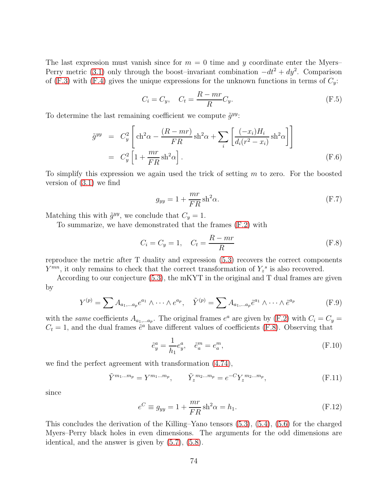The last expression must vanish since for  $m = 0$  time and y coordinate enter the Myers– Perry metric [\(3.1\)](#page-14-0) only through the boost–invariant combination  $-dt^2 + dy^2$ . Comparison of [\(F.3\)](#page-72-1) with [\(F.4\)](#page-72-2) gives the unique expressions for the unknown functions in terms of  $C_y$ :

$$
C_i = C_y, \quad C_t = \frac{R - mr}{R} C_y. \tag{F.5}
$$

To determine the last remaining coefficient we compute  $\tilde{g}^{yy}$ :

$$
\tilde{g}^{yy} = C_y^2 \left[ \text{ch}^2 \alpha - \frac{(R - mr)}{FR} \text{sh}^2 \alpha + \sum_i \left[ \frac{(-x_i) H_i}{d_i (r^2 - x_i)} \text{sh}^2 \alpha \right] \right]
$$

$$
= C_y^2 \left[ 1 + \frac{mr}{FR} \text{sh}^2 \alpha \right]. \tag{F.6}
$$

To simplify this expression we again used the trick of setting  $m$  to zero. For the boosted version of [\(3.1\)](#page-14-0) we find

$$
g_{yy} = 1 + \frac{mr}{FR} \sin^2 \alpha.
$$
 (F.7)

Matching this with  $\tilde{g}^{yy}$ , we conclude that  $C_y = 1$ .

To summarize, we have demonstrated that the frames [\(F.2\)](#page-72-0) with

<span id="page-73-0"></span>
$$
C_i = C_y = 1, \quad C_t = \frac{R - mr}{R}
$$
\n
$$
(F.8)
$$

reproduce the metric after T duality and expression [\(5.3\)](#page-39-0) recovers the correct components  $Y^{mn}$ , it only remains to check that the correct transformation of  $Y_z^s$  is also recovered.

According to our conjecture [\(5.3\)](#page-39-0), the mKYT in the original and T dual frames are given by

$$
Y^{(p)} = \sum A_{a_1,\dots a_p} e^{a_1} \wedge \dots \wedge e^{a_p}, \quad \tilde{Y}^{(p)} = \sum A_{a_1,\dots a_p} \tilde{e}^{a_1} \wedge \dots \wedge \tilde{e}^{a_p}
$$
 (F.9)

with the same coefficients  $A_{a_1,...a_p}$ . The original frames  $e^a$  are given by [\(F.2\)](#page-72-0) with  $C_i = C_y =$  $C_t = 1$ , and the dual frames  $\tilde{e}^a$  have different values of coefficients [\(F.8\)](#page-73-0). Observing that

$$
\tilde{e}_y^a = \frac{1}{h_1} e_y^a, \quad \tilde{e}_a^m = e_a^m,
$$
\n(F.10)

we find the perfect agreement with transformation [\(4.74\)](#page-36-0),

$$
\tilde{Y}^{m_1...m_p} = Y^{m_1...m_p}, \qquad \tilde{Y}_z^{m_2...m_p} = e^{-C} Y_z^{m_2...m_p}, \qquad (F.11)
$$

since

$$
e^C \equiv g_{yy} = 1 + \frac{mr}{FR} \operatorname{sh}^2 \alpha = h_1.
$$
 (F.12)

This concludes the derivation of the Killing–Yano tensors [\(5.3\)](#page-39-0), [\(5.4\)](#page-40-0), [\(5.6\)](#page-40-1) for the charged Myers–Perry black holes in even dimensions. The arguments for the odd dimensions are identical, and the answer is given by [\(5.7\)](#page-40-2), [\(5.8\)](#page-41-0).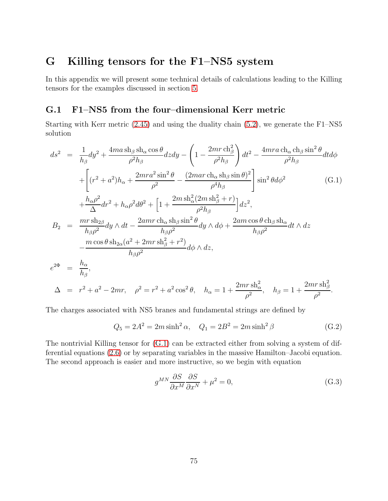# G Killing tensors for the F1–NS5 system

In this appendix we will present some technical details of calculations leading to the Killing tensors for the examples discussed in section [5.](#page-37-0)

#### <span id="page-74-2"></span>G.1 F1–NS5 from the four–dimensional Kerr metric

Starting with Kerr metric [\(2.45\)](#page-12-0) and using the duality chain [\(5.2\)](#page-38-0), we generate the F1–NS5 solution

<span id="page-74-0"></span>
$$
ds^{2} = \frac{1}{h_{\beta}}dy^{2} + \frac{4ma \sin_{\beta} \sin_{\alpha} \cos \theta}{\rho^{2}h_{\beta}}dzdy - \left(1 - \frac{2mr \cosh_{\beta}^{2}}{\rho^{2}h_{\beta}}\right)dt^{2} - \frac{4mra \cosh_{\alpha} \cosh_{\beta} \sin^{2} \theta}{\rho^{2}h_{\beta}}dtd\phi
$$
  
+ 
$$
\left[ (r^{2} + a^{2})h_{\alpha} + \frac{2mra^{2} \sin^{2} \theta}{\rho^{2}} - \frac{(2mar \cosh_{\alpha} \sin \theta)^{2}}{\rho^{4}h_{\beta}} \right] \sin^{2} \theta d\phi^{2}
$$
(G.1)  
+ 
$$
\frac{h_{\alpha} \rho^{2}}{\Delta} dr^{2} + h_{\alpha} \rho^{2} d\theta^{2} + \left[1 + \frac{2m \sin^{2}(2m \sin^{2} \theta + r)}{\rho^{2}h_{\beta}}\right] dz^{2},
$$
  

$$
B_{2} = \frac{mr \sin_{2\beta}}{h_{\beta} \rho^{2}}dy \wedge dt - \frac{2amr \cosh_{\alpha} \sin^{2} \theta}{h_{\beta} \rho^{2}}dy \wedge d\phi + \frac{2am \cos \theta \cosh_{\beta} \sin^{2} \theta}{h_{\beta} \rho^{2}}dt \wedge dz
$$
  

$$
- \frac{m \cos \theta \sin_{2\alpha} (a^{2} + 2mr \sin^{2} \theta + r^{2})}{h_{\beta} \rho^{2}} d\phi \wedge dz,
$$
  

$$
e^{2\Phi} = \frac{h_{\alpha}}{h_{\beta}},
$$
  

$$
\Delta = r^{2} + a^{2} - 2mr, \quad \rho^{2} = r^{2} + a^{2} \cos^{2} \theta, \quad h_{\alpha} = 1 + \frac{2mr \sin^{2} \theta}{\rho^{2}}, \quad h_{\beta} = 1 + \frac{2mr \sin^{2} \theta}{\rho^{2}}.
$$

The charges associated with NS5 branes and fundamental strings are defined by

$$
Q_5 = 2A^2 = 2m\sinh^2\alpha, \quad Q_1 = 2B^2 = 2m\sinh^2\beta
$$
 (G.2)

The nontrivial Killing tensor for [\(G.1\)](#page-74-0) can be extracted either from solving a system of differential equations [\(2.6\)](#page-5-0) or by separating variables in the massive Hamilton–Jacobi equation. The second approach is easier and more instructive, so we begin with equation

<span id="page-74-1"></span>
$$
g^{MN}\frac{\partial S}{\partial x^M}\frac{\partial S}{\partial x^N} + \mu^2 = 0,\tag{G.3}
$$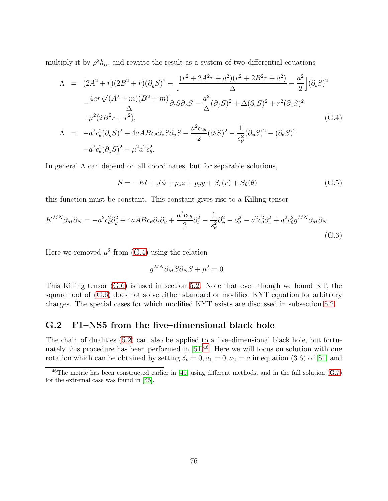multiply it by  $\rho^2 h_{\alpha}$ , and rewrite the result as a system of two differential equations

<span id="page-75-0"></span>
$$
\Lambda = (2A^{2} + r)(2B^{2} + r)(\partial_{y}S)^{2} - \left[\frac{(r^{2} + 2A^{2}r + a^{2})(r^{2} + 2B^{2}r + a^{2})}{\Delta} - \frac{a^{2}}{2}\right](\partial_{t}S)^{2}
$$

$$
- \frac{4ar\sqrt{(A^{2} + m)(B^{2} + m)}}{\Delta} \partial_{t}S\partial_{\phi}S - \frac{a^{2}}{\Delta}(\partial_{\phi}S)^{2} + \Delta(\partial_{r}S)^{2} + r^{2}(\partial_{z}S)^{2}
$$

$$
+ \mu^{2}(2B^{2}r + r^{2}),
$$

$$
\Lambda = -a^{2}c_{\theta}^{2}(\partial_{y}S)^{2} + 4aABc_{\theta}\partial_{z}S\partial_{y}S + \frac{a^{2}c_{2\theta}}{2}(\partial_{t}S)^{2} - \frac{1}{s_{\theta}^{2}}(\partial_{\phi}S)^{2} - (\partial_{\theta}S)^{2}
$$

$$
-a^{2}c_{\theta}^{2}(\partial_{z}S)^{2} - \mu^{2}a^{2}c_{\theta}^{2}.
$$
(G.4)

In general  $\Lambda$  can depend on all coordinates, but for separable solutions,

$$
S = -Et + J\phi + p_z z + p_y y + S_r(r) + S_\theta(\theta)
$$
\n(G.5)

this function must be constant. This constant gives rise to a Killing tensor

<span id="page-75-1"></span>
$$
K^{MN}\partial_M\partial_N = -a^2c_\theta^2\partial_y^2 + 4aABc_\theta\partial_z\partial_y + \frac{a^2c_{2\theta}}{2}\partial_t^2 - \frac{1}{s_\theta^2}\partial_\phi^2 - \partial_\theta^2 - a^2c_\theta^2\partial_z^2 + a^2c_\theta^2g^{MN}\partial_M\partial_N.
$$
\n(G.6)

Here we removed  $\mu^2$  from [\(G.4\)](#page-75-0) using the relation

$$
g^{MN}\partial_M S\partial_N S + \mu^2 = 0.
$$

This Killing tensor [\(G.6\)](#page-75-1) is used in section [5.2.](#page-41-1) Note that even though we found KT, the square root of [\(G.6\)](#page-75-1) does not solve either standard or modified KYT equation for arbitrary charges. The special cases for which modified KYT exists are discussed in subsection [5.2.](#page-41-1)

## G.2 F1–NS5 from the five–dimensional black hole

The chain of dualities [\(5.2\)](#page-38-0) can also be applied to a five–dimensional black hole, but fortunately this procedure has been performed in  $[51]^{46}$  $[51]^{46}$  $[51]^{46}$ . Here we will focus on solution with one rotation which can be obtained by setting  $\delta_p = 0, a_1 = 0, a_2 = a$  in equation (3.6) of [\[51\]](#page-86-0) and

<span id="page-75-2"></span><sup>46</sup>The metric has been constructed earlier in [\[49\]](#page-86-1) using different methods, and in the full solution [\(G.7\)](#page-76-0) for the extremal case was found in [\[45\]](#page-86-2).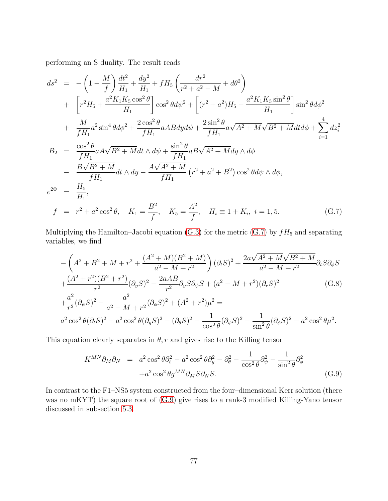performing an S duality. The result reads

<span id="page-76-0"></span>
$$
ds^{2} = -\left(1 - \frac{M}{f}\right) \frac{dt^{2}}{H_{1}} + \frac{dy^{2}}{H_{1}} + fH_{5} \left(\frac{dr^{2}}{r^{2} + a^{2} - M} + d\theta^{2}\right)
$$
  
+ 
$$
\left[r^{2}H_{5} + \frac{a^{2}K_{1}K_{5}\cos^{2}\theta}{H_{1}}\right] \cos^{2}\theta d\psi^{2} + \left[(r^{2} + a^{2})H_{5} - \frac{a^{2}K_{1}K_{5}\sin^{2}\theta}{H_{1}}\right] \sin^{2}\theta d\phi^{2}
$$
  
+ 
$$
\frac{M}{fH_{1}}a^{2}\sin^{4}\theta d\phi^{2} + \frac{2\cos^{2}\theta}{fH_{1}}aABdyd\psi + \frac{2\sin^{2}\theta}{fH_{1}}a\sqrt{A^{2} + M}\sqrt{B^{2} + M}dtd\phi + \sum_{i=1}^{4} dz_{i}^{2}
$$
  

$$
B_{2} = \frac{\cos^{2}\theta}{fH_{1}}aA\sqrt{B^{2} + M}dt \wedge d\psi + \frac{\sin^{2}\theta}{fH_{1}}aB\sqrt{A^{2} + M}dy \wedge d\phi
$$
  
- 
$$
\frac{B\sqrt{B^{2} + M}}{fH_{1}}dt \wedge dy - \frac{A\sqrt{A^{2} + M}}{fH_{1}}(r^{2} + a^{2} + B^{2})\cos^{2}\theta d\psi \wedge d\phi,
$$
  

$$
e^{2\Phi} = \frac{H_{5}}{H_{1}},
$$
  

$$
f = r^{2} + a^{2}\cos^{2}\theta, \quad K_{1} = \frac{B^{2}}{f}, \quad K_{5} = \frac{A^{2}}{f}, \quad H_{i} \equiv 1 + K_{i}, \ i = 1, 5.
$$
 (G.7)

Multiplying the Hamilton–Jacobi equation [\(G.3\)](#page-74-1) for the metric [\(G.7\)](#page-76-0) by  $fH_5$  and separating variables, we find

$$
-\left(A^{2} + B^{2} + M + r^{2} + \frac{(A^{2} + M)(B^{2} + M)}{a^{2} - M + r^{2}}\right)(\partial_{t}S)^{2} + \frac{2a\sqrt{A^{2} + M}\sqrt{B^{2} + M}}{a^{2} - M + r^{2}}\partial_{t}S\partial_{\phi}S
$$
  
+ 
$$
\frac{(A^{2} + r^{2})(B^{2} + r^{2})}{r^{2}}(\partial_{y}S)^{2} - \frac{2aAB}{r^{2}}\partial_{y}S\partial_{\psi}S + (a^{2} - M + r^{2})(\partial_{r}S)^{2}
$$
(G.8)  
+ 
$$
\frac{a^{2}}{r^{2}}(\partial_{\psi}S)^{2} - \frac{a^{2}}{a^{2} - M + r^{2}}(\partial_{\phi}S)^{2} + (A^{2} + r^{2})\mu^{2} =
$$
  

$$
a^{2}\cos^{2}\theta(\partial_{t}S)^{2} - a^{2}\cos^{2}\theta(\partial_{y}S)^{2} - (\partial_{\theta}S)^{2} - \frac{1}{\cos^{2}\theta}(\partial_{\psi}S)^{2} - \frac{1}{\sin^{2}\theta}(\partial_{\phi}S)^{2} - a^{2}\cos^{2}\theta\mu^{2}.
$$

This equation clearly separates in  $\theta$ , r and gives rise to the Killing tensor

<span id="page-76-1"></span>
$$
K^{MN}\partial_M \partial_N = a^2 \cos^2 \theta \partial_t^2 - a^2 \cos^2 \theta \partial_y^2 - \partial_\theta^2 - \frac{1}{\cos^2 \theta} \partial_\psi^2 - \frac{1}{\sin^2 \theta} \partial_\phi^2
$$
  
+ $a^2 \cos^2 \theta g^{MN} \partial_M S \partial_N S.$  (G.9)

In contrast to the F1–NS5 system constructed from the four–dimensional Kerr solution (there was no mKYT) the square root of  $(G.9)$  give rises to a rank-3 modified Killing-Yano tensor discussed in subsection [5.3.](#page-43-0)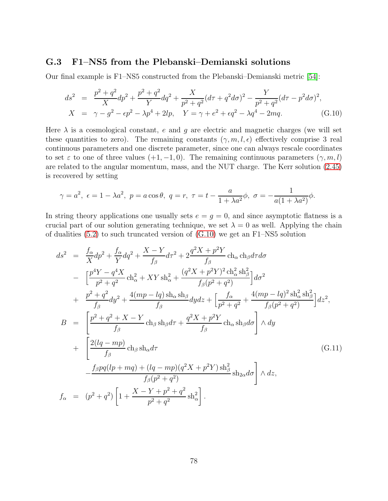### G.3 F1–NS5 from the Plebanski–Demianski solutions

Our final example is F1–NS5 constructed from the Plebanski–Demianski metric [\[54\]](#page-86-3):

<span id="page-77-0"></span>
$$
ds^{2} = \frac{p^{2} + q^{2}}{X}dp^{2} + \frac{p^{2} + q^{2}}{Y}dq^{2} + \frac{X}{p^{2} + q^{2}}(d\tau + q^{2}d\sigma)^{2} - \frac{Y}{p^{2} + q^{2}}(d\tau - p^{2}d\sigma)^{2},
$$
  
\n
$$
X = \gamma - g^{2} - \epsilon p^{2} - \lambda p^{4} + 2lp, \quad Y = \gamma + e^{2} + \epsilon q^{2} - \lambda q^{4} - 2mq.
$$
 (G.10)

Here  $\lambda$  is a cosmological constant, e and g are electric and magnetic charges (we will set these quantities to zero). The remaining constants  $(\gamma, m, l, \epsilon)$  effectively comprise 3 real continuous parameters and one discrete parameter, since one can always rescale coordinates to set  $\varepsilon$  to one of three values  $(+1, -1, 0)$ . The remaining continuous parameters  $(\gamma, m, l)$ are related to the angular momentum, mass, and the NUT charge. The Kerr solution [\(2.45\)](#page-12-0) is recovered by setting

$$
\gamma = a^2, \ \epsilon = 1 - \lambda a^2, \ p = a \cos \theta, \ q = r, \ \tau = t - \frac{a}{1 + \lambda a^2} \phi, \ \sigma = -\frac{1}{a(1 + \lambda a^2)} \phi.
$$

In string theory applications one usually sets  $e = q = 0$ , and since asymptotic flatness is a crucial part of our solution generating technique, we set  $\lambda = 0$  as well. Applying the chain of dualities  $(5.2)$  to such truncated version of  $(G.10)$  we get an F1–NS5 solution

<span id="page-77-1"></span>
$$
ds^{2} = \frac{f_{\alpha}}{X}dp^{2} + \frac{f_{\alpha}}{Y}dq^{2} + \frac{X - Y}{f_{\beta}}d\tau^{2} + 2\frac{q^{2}X + p^{2}Y}{f_{\beta}} \text{ ch}_{\alpha} \text{ ch}_{\beta}d\tau d\sigma
$$
  
\n
$$
- \left[ \frac{p^{4}Y - q^{4}X}{p^{2} + q^{2}} \text{ ch}_{\alpha}^{2} + XY \text{ sh}_{\alpha}^{2} + \frac{(q^{2}X + p^{2}Y)^{2} \text{ ch}_{\alpha}^{2} \text{ sh}_{\beta}^{2}}{f_{\beta}(p^{2} + q^{2})} \right] d\sigma^{2}
$$
  
\n
$$
+ \frac{p^{2} + q^{2}}{f_{\beta}} dy^{2} + \frac{4(mp - lq) \text{ sh}_{\alpha} \text{ sh}_{\beta}}{f_{\beta}} dy dz + \left[ \frac{f_{\alpha}}{p^{2} + q^{2}} + \frac{4(mp - lq)^{2} \text{ sh}_{\alpha}^{2} \text{ sh}_{\beta}^{2}}{f_{\beta}(p^{2} + q^{2})} \right] dz^{2},
$$
  
\n
$$
B = \left[ \frac{p^{2} + q^{2} + X - Y}{f_{\beta}} \text{ ch}_{\beta} \text{ sh}_{\beta} d\tau + \frac{q^{2}X + p^{2}Y}{f_{\beta}} \text{ ch}_{\alpha} \text{ sh}_{\beta} d\sigma \right] \wedge dy
$$
  
\n
$$
+ \left[ \frac{2(lq - mp)}{f_{\beta}} \text{ ch}_{\beta} \text{ sh}_{\alpha} d\tau \right]
$$
  
\n
$$
- \frac{f_{\beta}pq(lp + mq) + (lq - mp)(q^{2}X + p^{2}Y) \text{ sh}_{\beta}^{2}}{f_{\beta}(p^{2} + q^{2})} \text{ sh}_{2\alpha} d\sigma \right] \wedge dz,
$$
  
\n
$$
f_{\alpha} = (p^{2} + q^{2}) \left[ 1 + \frac{X - Y + p^{2} + q^{2}}{p^{2} + q^{2}} \text{ sh}_{\alpha}^{2} \right].
$$
  
\n(G.11)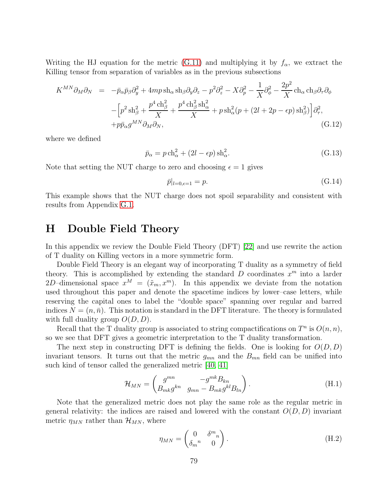Writing the HJ equation for the metric [\(G.11\)](#page-77-1) and multiplying it by  $f_{\alpha}$ , we extract the Killing tensor from separation of variables as in the previous subsections

$$
K^{MN}\partial_M\partial_N = -\bar{p}_{\alpha}\bar{p}_{\beta}\partial_y^2 + 4mp \sh_{\alpha}\sh_{\beta}\partial_y\partial_z - p^2\partial_z^2 - X\partial_p^2 - \frac{1}{X}\partial_\phi^2 - \frac{2p^2}{X}\ch_{\alpha}\ch_{\beta}\partial_\tau\partial_\phi
$$
  

$$
-\left[p^2\sh_{\beta}^2 + \frac{p^4\ch_{\beta}^2}{X} + \frac{p^4\ch_{\beta}^2\sh_{\alpha}^2}{X} + p\sh_{\alpha}^2(p + (2l + 2p - \epsilon p)\sh_{\beta}^2)\right]\partial_\tau^2,
$$
  

$$
+p\bar{p}_{\alpha}g^{MN}\partial_M\partial_N,
$$
 (G.12)

where we defined

$$
\bar{p}_{\alpha} = p \operatorname{ch}_{\alpha}^{2} + (2l - \epsilon p) \operatorname{sh}_{\alpha}^{2}.
$$
\n
$$
(G.13)
$$

Note that setting the NUT charge to zero and choosing  $\epsilon = 1$  gives

$$
\bar{p}|_{l=0,\epsilon=1} = p. \tag{G.14}
$$

This example shows that the NUT charge does not spoil separability and consistent with results from Appendix [G.1.](#page-74-2)

## H Double Field Theory

In this appendix we review the Double Field Theory (DFT) [\[22\]](#page-84-0) and use rewrite the action of T duality on Killing vectors in a more symmetric form.

Double Field Theory is an elegant way of incorporating T duality as a symmetry of field theory. This is accomplished by extending the standard  $D$  coordinates  $x^m$  into a larder 2D-dimensional space  $x^M = (\tilde{x}_m, x^m)$ . In this appendix we deviate from the notation used throughout this paper and denote the spacetime indices by lower–case letters, while reserving the capital ones to label the "double space" spanning over regular and barred indices  $N = (n, \bar{n})$ . This notation is standard in the DFT literature. The theory is formulated with full duality group  $O(D, D)$ .

Recall that the T duality group is associated to string compactifications on  $T^n$  is  $O(n, n)$ , so we see that DFT gives a geometric interpretation to the T duality transformation.

The next step in constructing DFT is defining the fields. One is looking for  $O(D, D)$ invariant tensors. It turns out that the metric  $g_{mn}$  and the  $B_{mn}$  field can be unified into such kind of tensor called the generalized metric [\[40,](#page-85-0) [41\]](#page-85-1)

<span id="page-78-0"></span>
$$
\mathcal{H}_{MN} = \begin{pmatrix} g^{mn} & -g^{mk} B_{kn} \\ B_{mk} g^{kn} & g_{mn} - B_{mk} g^{kl} B_{ln} \end{pmatrix} . \tag{H.1}
$$

Note that the generalized metric does not play the same role as the regular metric in general relativity: the indices are raised and lowered with the constant  $O(D, D)$  invariant metric  $\eta_{MN}$  rather than  $\mathcal{H}_{MN}$ , where

$$
\eta_{MN} = \begin{pmatrix} 0 & \delta^m{}_n \\ \delta_m{}^n & 0 \end{pmatrix} . \tag{H.2}
$$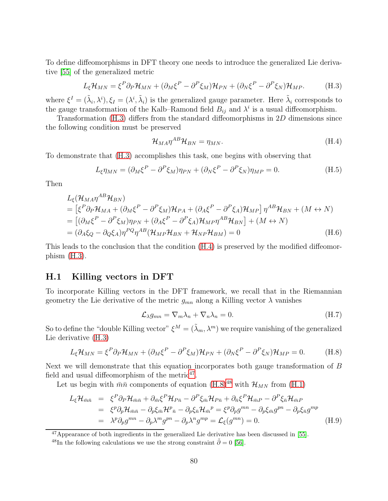To define diffeomorphisms in DFT theory one needs to introduce the generalized Lie derivative [\[55\]](#page-86-4) of the generalized metric

<span id="page-79-0"></span>
$$
L_{\xi}\mathcal{H}_{MN} = \xi^{P}\partial_{P}\mathcal{H}_{MN} + (\partial_{M}\xi^{P} - \partial^{P}\xi_{M})\mathcal{H}_{PN} + (\partial_{N}\xi^{P} - \partial^{P}\xi_{N})\mathcal{H}_{MP}.
$$
 (H.3)

where  $\xi^I = (\tilde{\lambda}_i, \lambda^i), \xi_I = (\lambda^i, \tilde{\lambda}_i)$  is the generalized gauge parameter. Here  $\tilde{\lambda}_i$  corresponds to the gauge transformation of the Kalb–Ramond field  $B_{ij}$  and  $\lambda^i$  is a usual diffeomorphism.

Transformation [\(H.3\)](#page-79-0) differs from the standard diffeomorphisms in 2D dimensions since the following condition must be preserved

<span id="page-79-1"></span>
$$
\mathcal{H}_{MA}\eta^{AB}\mathcal{H}_{BN} = \eta_{MN}.\tag{H.4}
$$

To demonstrate that [\(H.3\)](#page-79-0) accomplishes this task, one begins with observing that

$$
L_{\xi}\eta_{MN} = (\partial_M \xi^P - \partial^P \xi_M)\eta_{PN} + (\partial_N \xi^P - \partial^P \xi_N)\eta_{MP} = 0.
$$
 (H.5)

Then

$$
L_{\xi}(\mathcal{H}_{MA}\eta^{AB}\mathcal{H}_{BN})
$$
  
=  $[\xi^{P}\partial_{P}\mathcal{H}_{MA} + (\partial_{M}\xi^{P} - \partial^{P}\xi_{M})\mathcal{H}_{PA} + (\partial_{A}\xi^{P} - \partial^{P}\xi_{A})\mathcal{H}_{MP}] \eta^{AB}\mathcal{H}_{BN} + (M \leftrightarrow N)$   
=  $[(\partial_{M}\xi^{P} - \partial^{P}\xi_{M})\eta_{PN} + (\partial_{A}\xi^{P} - \partial^{P}\xi_{A})\mathcal{H}_{MP}\eta^{AB}\mathcal{H}_{BN}] + (M \leftrightarrow N)$   
=  $(\partial_{A}\xi_{Q} - \partial_{Q}\xi_{A})\eta^{PQ}\eta^{AB}(\mathcal{H}_{MP}\mathcal{H}_{BN} + \mathcal{H}_{NP}\mathcal{H}_{BM}) = 0$  (H.6)

This leads to the conclusion that the condition [\(H.4\)](#page-79-1) is preserved by the modified diffeomorphism [\(H.3\)](#page-79-0).

#### H.1 Killing vectors in DFT

To incorporate Killing vectors in the DFT framework, we recall that in the Riemannian geometry the Lie derivative of the metric  $g_{mn}$  along a Killing vector  $\lambda$  vanishes

<span id="page-79-5"></span>
$$
\mathcal{L}_{\lambda}g_{mn} = \nabla_m \lambda_n + \nabla_n \lambda_n = 0. \tag{H.7}
$$

So to define the "double Killing vector"  $\xi^M = (\tilde{\lambda}_m, \lambda^m)$  we require vanishing of the generalized Lie derivative [\(H.3\)](#page-79-0)

<span id="page-79-3"></span>
$$
L_{\xi}\mathcal{H}_{MN} = \xi^{P}\partial_{P}\mathcal{H}_{MN} + (\partial_{M}\xi^{P} - \partial^{P}\xi_{M})\mathcal{H}_{PN} + (\partial_{N}\xi^{P} - \partial^{P}\xi_{N})\mathcal{H}_{MP} = 0.
$$
 (H.8)

Next we will demonstrate that this equation incorporates both gauge transformation of B field and usual diffeomorphism of the metric<sup>[47](#page-79-2)</sup>.

Let us begin with  $m\bar{n}$  components of equation [\(H.8\)](#page-79-3)<sup>[48](#page-79-4)</sup> with  $\mathcal{H}_{MN}$  from [\(H.1\)](#page-78-0)

<span id="page-79-6"></span>
$$
L_{\xi}\mathcal{H}_{\bar{m}\bar{n}} = \xi^{P}\partial_{P}\mathcal{H}_{\bar{m}\bar{n}} + \partial_{\bar{m}}\xi^{P}\mathcal{H}_{P\bar{n}} - \partial^{P}\xi_{\bar{m}}\mathcal{H}_{P\bar{n}} + \partial_{\bar{n}}\xi^{P}\mathcal{H}_{\bar{m}P} - \partial^{P}\xi_{\bar{n}}\mathcal{H}_{\bar{m}P}
$$
  
\n
$$
= \xi^{p}\partial_{p}\mathcal{H}_{\bar{m}\bar{n}} - \partial_{p}\xi_{\bar{m}}\mathcal{H}^{p}{}_{\bar{n}} - \partial_{p}\xi_{\bar{n}}\mathcal{H}_{\bar{m}}^{p} = \xi^{p}\partial_{p}g^{mn} - \partial_{p}\xi_{\bar{m}}g^{pn} - \partial_{p}\xi_{\bar{n}}g^{mp}
$$
  
\n
$$
= \lambda^{p}\partial_{p}g^{mn} - \partial_{p}\lambda^{m}g^{pn} - \partial_{p}\lambda^{n}g^{mp} = \mathcal{L}_{\xi}(g^{mn}) = 0.
$$
 (H.9)

<sup>47</sup>Appearance of both ingredients in the generalized Lie derivative has been discussed in [\[55\]](#page-86-4).

<span id="page-79-4"></span><span id="page-79-2"></span> $^{48}$ In the following calculations we use the strong constraint  $\tilde{\partial} = 0$  [\[56\]](#page-86-5).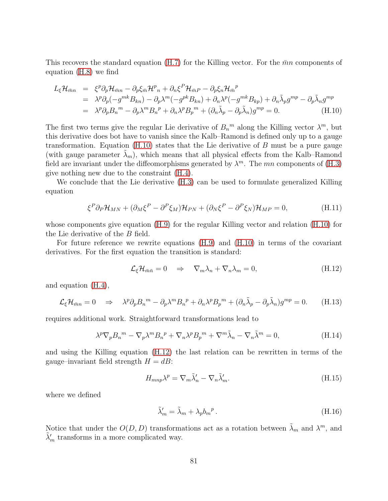This recovers the standard equation [\(H.7\)](#page-79-5) for the Killing vector. For the  $\bar{m}n$  components of equation [\(H.8\)](#page-79-3) we find

<span id="page-80-0"></span>
$$
L_{\xi}\mathcal{H}_{\bar{m}n} = \xi^{p}\partial_{p}\mathcal{H}_{\bar{m}n} - \partial_{p}\xi_{\bar{m}}\mathcal{H}^{p}_{n} + \partial_{n}\xi^{P}\mathcal{H}_{\bar{m}P} - \partial_{p}\xi_{n}\mathcal{H}_{\bar{m}}^{p}
$$
  
\n
$$
= \lambda^{p}\partial_{p}(-g^{mk}B_{kn}) - \partial_{p}\lambda^{m}(-g^{pk}B_{kn}) + \partial_{n}\lambda^{p}(-g^{mk}B_{kp}) + \partial_{n}\tilde{\lambda}_{p}g^{mp} - \partial_{p}\tilde{\lambda}_{n}g^{mp}
$$
  
\n
$$
= \lambda^{p}\partial_{p}B_{n}^{m} - \partial_{p}\lambda^{m}B_{n}^{p} + \partial_{n}\lambda^{p}B_{p}^{m} + (\partial_{n}\tilde{\lambda}_{p} - \partial_{p}\tilde{\lambda}_{n})g^{mp} = 0.
$$
 (H.10)

The first two terms give the regular Lie derivative of  $B_n^m$  along the Killing vector  $\lambda^m$ , but this derivative does bot have to vanish since the Kalb–Ramond is defined only up to a gauge transformation. Equation  $(H.10)$  states that the Lie derivative of  $B$  must be a pure gauge (with gauge parameter  $\lambda_m$ ), which means that all physical effects from the Kalb–Ramond field are invariant under the diffeomorphisms generated by  $\lambda^m$ . The mn components of [\(H.3\)](#page-79-0) give nothing new due to the constraint [\(H.4\)](#page-79-1).

We conclude that the Lie derivative [\(H.3\)](#page-79-0) can be used to formulate generalized Killing equation

$$
\xi^P \partial_P \mathcal{H}_{MN} + (\partial_M \xi^P - \partial^P \xi_M) \mathcal{H}_{PN} + (\partial_N \xi^P - \partial^P \xi_N) \mathcal{H}_{MP} = 0, \tag{H.11}
$$

whose components give equation [\(H.9\)](#page-79-6) for the regular Killing vector and relation [\(H.10\)](#page-80-0) for the Lie derivative of the B field.

For future reference we rewrite equations [\(H.9\)](#page-79-6) and [\(H.10\)](#page-80-0) in terms of the covariant derivatives. For the first equation the transition is standard:

<span id="page-80-1"></span>
$$
\mathcal{L}_{\xi}\mathcal{H}_{\bar{m}\bar{n}} = 0 \quad \Rightarrow \quad \nabla_m \lambda_n + \nabla_n \lambda_m = 0, \tag{H.12}
$$

and equation [\(H.4\)](#page-79-1),

$$
\mathcal{L}_{\xi}\mathcal{H}_{\bar{m}n} = 0 \quad \Rightarrow \quad \lambda^p \partial_p B_n{}^m - \partial_p \lambda^m B_n{}^p + \partial_n \lambda^p B_p{}^m + (\partial_n \tilde{\lambda}_p - \partial_p \tilde{\lambda}_n) g^{mp} = 0. \tag{H.13}
$$

requires additional work. Straightforward transformations lead to

$$
\lambda^p \nabla_p B_n{}^m - \nabla_p \lambda^m B_n{}^p + \nabla_n \lambda^p B_p{}^m + \nabla^m \tilde{\lambda}_n - \nabla_n \tilde{\lambda}^m = 0,
$$
 (H.14)

and using the Killing equation [\(H.12\)](#page-80-1) the last relation can be rewritten in terms of the gauge–invariant field strength  $H = dB$ :

$$
H_{mnp}\lambda^p = \nabla_m \tilde{\lambda}'_n - \nabla_n \tilde{\lambda}'_m.
$$
\n(H.15)

where we defined

$$
\tilde{\lambda}'_m = \tilde{\lambda}_m + \lambda_p b_m{}^p. \tag{H.16}
$$

Notice that under the  $O(D, D)$  transformations act as a rotation between  $\tilde{\lambda}_m$  and  $\lambda^m$ , and  $\tilde{\lambda}'_m$  transforms in a more complicated way.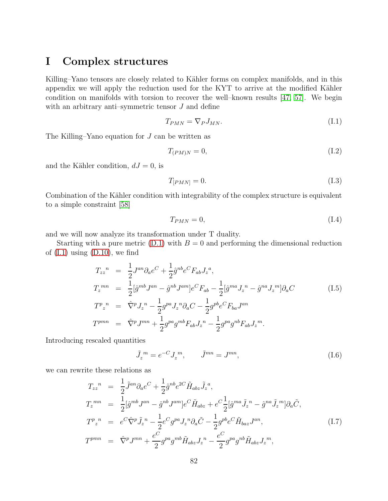# I Complex structures

Killing–Yano tensors are closely related to Kähler forms on complex manifolds, and in this appendix we will apply the reduction used for the KYT to arrive at the modified Kähler condition on manifolds with torsion to recover the well–known results [\[47,](#page-86-6) [57\]](#page-87-0). We begin with an arbitrary anti–symmetric tensor  $J$  and define

<span id="page-81-0"></span>
$$
T_{PMN} = \nabla_P J_{MN}.\tag{I.1}
$$

The Killing–Yano equation for  $J$  can be written as

$$
T_{(PM)N} = 0,\t\t(1.2)
$$

and the Kähler condition,  $dJ = 0$ , is

$$
T_{[PMN]} = 0.\t\t(1.3)
$$

Combination of the Kähler condition with integrability of the complex structure is equivalent to a simple constraint [\[58\]](#page-87-1)

<span id="page-81-1"></span>
$$
T_{PMN} = 0,\t\t(1.4)
$$

and we will now analyze its transformation under T duality.

Starting with a pure metric  $(D.1)$  with  $B = 0$  and performing the dimensional reduction of  $(I.1)$  using  $(D.10)$ , we find

$$
T_{zz}^{\ n} = \frac{1}{2} J^{an} \partial_a e^C + \frac{1}{2} \hat{g}^{nb} e^C F_{ab} J_z^{\ a},
$$
  
\n
$$
T_z^{\ mn} = \frac{1}{2} [\hat{g}^{mb} J^{an} - \hat{g}^{nb} J^{am}] e^C F_{ab} - \frac{1}{2} [\hat{g}^{ma} J_z^{\ n} - \hat{g}^{na} J_z^{\ m}] \partial_a C
$$
  
\n
$$
T_{z}^{\ n} = \hat{\nabla}^p J_z^{\ n} - \frac{1}{2} g^{pa} J_z^{\ n} \partial_a C - \frac{1}{2} g^{pb} e^C F_{ba} J^{an}
$$
  
\n
$$
T_{z}^{\ p} = \hat{\nabla}^p J^{mn} + \frac{1}{2} g^{pa} g^{mb} F_{ab} J_z^{\ n} - \frac{1}{2} g^{pa} g^{nb} F_{ab} J_z^{\ m}.
$$
  
\n(I.5)

Introducing rescaled quantities

$$
\tilde{J}_z^m = e^{-C} J_z^m, \qquad \tilde{J}^{mn} = J^{mn}, \qquad (I.6)
$$

we can rewrite these relations as

$$
T_{zz}^{\ n} = \frac{1}{2} \tilde{J}^{an} \partial_a e^C + \frac{1}{2} \hat{g}^{nb} e^{2C} \tilde{H}_{abz} \tilde{J}_z^{\ a},
$$
  
\n
$$
T_z^{\ mn} = \frac{1}{2} [\hat{g}^{mb} J^{an} - \hat{g}^{nb} J^{am}] e^C \tilde{H}_{abz} + e^C \frac{1}{2} [\hat{g}^{ma} \tilde{J}_z^{\ n} - \hat{g}^{na} \tilde{J}_z^{\ m}] \partial_a \tilde{C},
$$
  
\n
$$
T_{zz}^{\ n} = e^C \hat{\nabla}^p \tilde{J}_z^{\ n} - \frac{1}{2} e^C g^{pa} J_z^{\ n} \partial_a \tilde{C} - \frac{1}{2} g^{pb} e^C \tilde{H}_{baz} J^{an},
$$
  
\n
$$
T_{\ n}^{\ p} = \hat{\nabla}^p J^{mn} + \frac{e^C}{2} g^{pa} g^{mb} \tilde{H}_{abz} J_z^{\ n} - \frac{e^C}{2} g^{pa} g^{nb} \tilde{H}_{abz} J_z^{\ m},
$$
\n(I.7)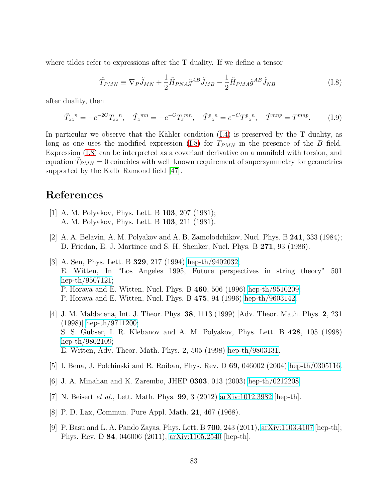where tildes refer to expressions after the T duality. If we define a tensor

<span id="page-82-0"></span>
$$
\tilde{T}_{PMN} \equiv \nabla_P \tilde{J}_{MN} + \frac{1}{2} \tilde{H}_{PNA} \tilde{g}^{AB} \tilde{J}_{MB} - \frac{1}{2} \tilde{H}_{PMA} \tilde{g}^{AB} \tilde{J}_{NB}
$$
\n(1.8)

after duality, then

$$
\tilde{T}_{zz}^{\ n} = -e^{-2C} T_{zz}^{\ n}, \quad \tilde{T}_z^{\ mn} = -e^{-C} T_z^{\ mn}, \quad \tilde{T}^p z^n = e^{-C} T^p z^n, \quad \tilde{T}^{mnp} = T^{mnp}.
$$
 (I.9)

In particular we observe that the Kähler condition  $(I.4)$  is preserved by the T duality, as long as one uses the modified expression [\(I.8\)](#page-82-0) for  $\tilde{T}_{PMN}$  in the presence of the B field. Expression [\(I.8\)](#page-82-0) can be interpreted as a covariant derivative on a manifold with torsion, and equation  $\tilde{T}_{PMN} = 0$  coincides with well–known requirement of supersymmetry for geometries supported by the Kalb–Ramond field [\[47\]](#page-86-6).

## References

- [1] A. M. Polyakov, Phys. Lett. B 103, 207 (1981); A. M. Polyakov, Phys. Lett. B 103, 211 (1981).
- [2] A. A. Belavin, A. M. Polyakov and A. B. Zamolodchikov, Nucl. Phys. B 241, 333 (1984); D. Friedan, E. J. Martinec and S. H. Shenker, Nucl. Phys. B 271, 93 (1986).
- [3] A. Sen, Phys. Lett. B 329, 217 (1994) [hep-th/9402032;](http://arxiv.org/abs/hep-th/9402032) E. Witten, In "Los Angeles 1995, Future perspectives in string theory" 501 [hep-th/9507121;](http://arxiv.org/abs/hep-th/9507121) P. Horava and E. Witten, Nucl. Phys. B 460, 506 (1996) [hep-th/9510209;](http://arxiv.org/abs/hep-th/9510209) P. Horava and E. Witten, Nucl. Phys. B 475, 94 (1996) [hep-th/9603142.](http://arxiv.org/abs/hep-th/9603142)
- [4] J. M. Maldacena, Int. J. Theor. Phys. 38, 1113 (1999) [Adv. Theor. Math. Phys. 2, 231 (1998)] [hep-th/9711200;](http://arxiv.org/abs/hep-th/9711200) S. S. Gubser, I. R. Klebanov and A. M. Polyakov, Phys. Lett. B 428, 105 (1998) [hep-th/9802109;](http://arxiv.org/abs/hep-th/9802109) E. Witten, Adv. Theor. Math. Phys. 2, 505 (1998) [hep-th/9803131.](http://arxiv.org/abs/hep-th/9803131)
- [5] I. Bena, J. Polchinski and R. Roiban, Phys. Rev. D 69, 046002 (2004) [hep-th/0305116.](http://arxiv.org/abs/hep-th/0305116)
- [6] J. A. Minahan and K. Zarembo, JHEP 0303, 013 (2003) [hep-th/0212208.](http://arxiv.org/abs/hep-th/0212208)
- [7] N. Beisert et al., Lett. Math. Phys. 99, 3 (2012) [arXiv:1012.3982](http://arxiv.org/abs/1012.3982) [hep-th].
- [8] P. D. Lax, Commun. Pure Appl. Math. 21, 467 (1968).
- [9] P. Basu and L. A. Pando Zayas, Phys. Lett. B 700, 243 (2011), [arXiv:1103.4107](http://arxiv.org/abs/1103.4107) [hep-th]; Phys. Rev. D 84, 046006 (2011), [arXiv:1105.2540](http://arxiv.org/abs/1105.2540) [hep-th].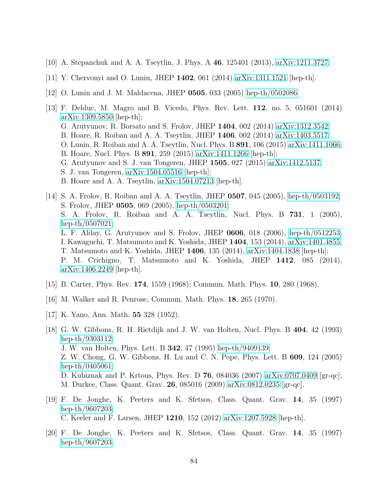- [10] A. Stepanchuk and A. A. Tseytlin, J. Phys. A 46, 125401 (2013), [arXiv:1211.3727.](http://arxiv.org/abs/1211.3727)
- [11] Y. Chervonyi and O. Lunin, JHEP 1402, 061 (2014) [arXiv:1311.1521](http://arxiv.org/abs/1311.1521) [hep-th].
- [12] O. Lunin and J. M. Maldacena, JHEP 0505, 033 (2005) [hep-th/0502086.](http://arxiv.org/abs/hep-th/0502086)
- [13] F. Delduc, M. Magro and B. Vicedo, Phys. Rev. Lett. 112, no. 5, 051601 (2014) [arXiv:1309.5850](http://arxiv.org/abs/1309.5850) [hep-th]; G. Arutyunov, R. Borsato and S. Frolov, JHEP 1404, 002 (2014) [arXiv:1312.3542;](http://arxiv.org/abs/1312.3542) B. Hoare, R. Roiban and A. A. Tseytlin, JHEP 1406, 002 (2014) [arXiv:1403.5517;](http://arxiv.org/abs/1403.5517) O. Lunin, R. Roiban and A. A. Tseytlin, Nucl. Phys. B 891, 106 (2015) [arXiv:1411.1066;](http://arxiv.org/abs/1411.1066) B. Hoare, Nucl. Phys. B 891, 259 (2015) [arXiv:1411.1266](http://arxiv.org/abs/1411.1266) [hep-th]; G. Arutyunov and S. J. van Tongeren, JHEP 1505, 027 (2015) [arXiv:1412.5137;](http://arxiv.org/abs/1412.5137) S. J. van Tongeren, [arXiv:1504.05516](http://arxiv.org/abs/1504.05516) [hep-th]; B. Hoare and A. A. Tseytlin, [arXiv:1504.07213](http://arxiv.org/abs/1504.07213) [hep-th].
- [14] S. A. Frolov, R. Roiban and A. A. Tseytlin, JHEP 0507, 045 (2005), [hep-th/0503192;](http://arxiv.org/abs/hep-th/0503192) S. Frolov, JHEP 0505, 069 (2005), [hep-th/0503201;](http://arxiv.org/abs/hep-th/0503201) S. A. Frolov, R. Roiban and A. A. Tseytlin, Nucl. Phys. B 731, 1 (2005), [hep-th/0507021;](http://arxiv.org/abs/hep-th/0507021) L. F. Alday, G. Arutyunov and S. Frolov, JHEP 0606, 018 (2006), [hep-th/0512253;](http://arxiv.org/abs/hep-th/0512253) I. Kawaguchi, T. Matsumoto and K. Yoshida, JHEP 1404, 153 (2014), [arXiv:1401.4855;](http://arxiv.org/abs/1401.4855) T. Matsumoto and K. Yoshida, JHEP 1406, 135 (2014), [arXiv:1404.1838](http://arxiv.org/abs/1404.1838) [hep-th]; P. M. Crichigno, T. Matsumoto and K. Yoshida, JHEP 1412, 085 (2014), [arXiv:1406.2249](http://arxiv.org/abs/1406.2249) [hep-th].
- [15] B. Carter, Phys. Rev. 174, 1559 (1968); Commun. Math. Phys. 10, 280 (1968).
- [16] M. Walker and R. Penrose, Commun. Math. Phys. 18, 265 (1970).
- [17] K. Yano, Ann. Math. 55 328 (1952).
- [18] G. W. Gibbons, R. H. Rietdijk and J. W. van Holten, Nucl. Phys. B 404, 42 (1993) [hep-th/9303112;](http://arxiv.org/abs/hep-th/9303112) J. W. van Holten, Phys. Lett. B 342, 47 (1995) [hep-th/9409139;](http://arxiv.org/abs/hep-th/9409139) Z. W. Chong, G. W. Gibbons, H. Lu and C. N. Pope, Phys. Lett. B 609, 124 (2005) [hep-th/0405061;](http://arxiv.org/abs/hep-th/0405061) D. Kubiznak and P. Krtous, Phys. Rev. D 76, 084036 (2007) [arXiv:0707.0409](http://arxiv.org/abs/0707.0409) [gr-qc]; M. Durkee, Class. Quant. Grav. 26, 085016 (2009) [arXiv:0812.0235](http://arxiv.org/abs/0812.0235) [gr-qc].
- [19] F. De Jonghe, K. Peeters and K. Sfetsos, Class. Quant. Grav. 14, 35 (1997) [hep-th/9607203;](http://arxiv.org/abs/hep-th/9607203) C. Keeler and F. Larsen, JHEP 1210, 152 (2012) [arXiv:1207.5928](http://arxiv.org/abs/1207.5928) [hep-th].
- [20] F. De Jonghe, K. Peeters and K. Sfetsos, Class. Quant. Grav. 14, 35 (1997) [hep-th/9607203.](http://arxiv.org/abs/hep-th/9607203)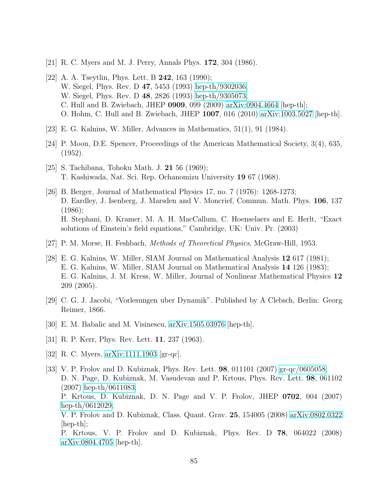- <span id="page-84-0"></span>[21] R. C. Myers and M. J. Perry, Annals Phys. 172, 304 (1986).
- [22] A. A. Tseytlin, Phys. Lett. B **242**, 163 (1990); W. Siegel, Phys. Rev. D 47, 5453 (1993) [hep-th/9302036;](http://arxiv.org/abs/hep-th/9302036) W. Siegel, Phys. Rev. D 48, 2826 (1993) [hep-th/9305073;](http://arxiv.org/abs/hep-th/9305073) C. Hull and B. Zwiebach, JHEP 0909, 099 (2009) [arXiv:0904.4664](http://arxiv.org/abs/0904.4664) [hep-th]; O. Hohm, C. Hull and B. Zwiebach, JHEP 1007, 016 (2010) [arXiv:1003.5027](http://arxiv.org/abs/1003.5027) [hep-th].
- [23] E. G. Kalnins, W. Miller, Advances in Mathematics, 51(1), 91 (1984).
- [24] P. Moon, D.E. Spencer, Proceedings of the American Mathematical Society, 3(4), 635, (1952).
- [25] S. Tachibana, Tohoku Math. J. 21 56 (1969); T. Kashiwada, Nat. Sci. Rep. Ochanomizu University 19 67 (1968).
- [26] B. Berger, Journal of Mathematical Physics 17, no. 7 (1976): 1268-1273; D. Eardley, J. Isenberg, J. Marsden and V. Moncrief, Commun. Math. Phys. 106, 137 (1986); H. Stephani, D. Kramer, M. A. H. MacCallum, C. Hoenselaers and E. Herlt, "Exact solutions of Einstein's field equations," Cambridge, UK: Univ. Pr. (2003)
- [27] P. M. Morse, H. Feshbach, Methods of Theoretical Physics, McGraw-Hill, 1953.
- [28] E. G. Kalnins, W. Miller, SIAM Journal on Mathematical Analysis 12 617 (1981); E. G. Kalnins, W. Miller, SIAM Journal on Mathematical Analysis 14 126 (1983); E. G. Kalnins, J. M. Kress, W. Miller, Journal of Nonlinear Mathematical Physics 12 209 (2005).
- [29] C. G. J. Jacobi, "Vorlesungen uber Dynamik". Published by A Clebsch, Berlin: Georg Reimer, 1866.
- [30] E. M. Babalic and M. Visinescu, [arXiv:1505.03976](http://arxiv.org/abs/1505.03976) [hep-th].
- [31] R. P. Kerr, Phys. Rev. Lett. **11**, 237 (1963).
- [32] R. C. Myers, [arXiv:1111.1903](http://arxiv.org/abs/1111.1903) [gr-qc].
- [33] V. P. Frolov and D. Kubiznak, Phys. Rev. Lett. 98, 011101 (2007) [gr-qc/0605058;](http://arxiv.org/abs/gr-qc/0605058) D. N. Page, D. Kubiznak, M. Vasudevan and P. Krtous, Phys. Rev. Lett. 98, 061102 (2007) [hep-th/0611083;](http://arxiv.org/abs/hep-th/0611083) P. Krtous, D. Kubiznak, D. N. Page and V. P. Frolov, JHEP 0702, 004 (2007) [hep-th/0612029;](http://arxiv.org/abs/hep-th/0612029) V. P. Frolov and D. Kubiznak, Class. Quant. Grav. 25, 154005 (2008) [arXiv:0802.0322](http://arxiv.org/abs/0802.0322)  $[hep-th]$ ; P. Krtous, V. P. Frolov and D. Kubiznak, Phys. Rev. D 78, 064022 (2008) [arXiv:0804.4705](http://arxiv.org/abs/0804.4705) [hep-th].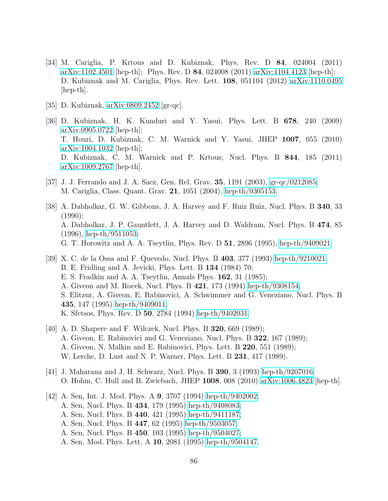- [34] M. Cariglia, P. Krtous and D. Kubiznak, Phys. Rev. D 84, 024004 (2011) [arXiv:1102.4501](http://arxiv.org/abs/1102.4501) [hep-th]; Phys. Rev. D 84, 024008 (2011) [arXiv:1104.4123](http://arxiv.org/abs/1104.4123) [hep-th]; D. Kubiznak and M. Cariglia, Phys. Rev. Lett. 108, 051104 (2012) [arXiv:1110.0495](http://arxiv.org/abs/1110.0495)  $\vert \text{hep-th} \vert$ .
- [35] D. Kubiznak, [arXiv:0809.2452](http://arxiv.org/abs/0809.2452) [gr-qc].
- [36] D. Kubiznak, H. K. Kunduri and Y. Yasui, Phys. Lett. B 678, 240 (2009) [arXiv:0905.0722](http://arxiv.org/abs/0905.0722) [hep-th]; T. Houri, D. Kubiznak, C. M. Warnick and Y. Yasui, JHEP 1007, 055 (2010) [arXiv:1004.1032](http://arxiv.org/abs/1004.1032) [hep-th]; D. Kubiznak, C. M. Warnick and P. Krtous, Nucl. Phys. B 844, 185 (2011) [arXiv:1009.2767](http://arxiv.org/abs/1009.2767) [hep-th].
- [37] J. J. Ferrando and J. A. Saez, Gen. Rel. Grav. 35, 1191 (2003), [gr-qc/0212085;](http://arxiv.org/abs/gr-qc/0212085) M. Cariglia, Class. Quant. Grav. 21, 1051 (2004), [hep-th/0305153.](http://arxiv.org/abs/hep-th/0305153)
- [38] A. Dabholkar, G. W. Gibbons, J. A. Harvey and F. Ruiz Ruiz, Nucl. Phys. B 340, 33 (1990); A. Dabholkar, J. P. Gauntlett, J. A. Harvey and D. Waldram, Nucl. Phys. B 474, 85 (1996), [hep-th/9511053;](http://arxiv.org/abs/hep-th/9511053) G. T. Horowitz and A. A. Tseytlin, Phys. Rev. D 51, 2896 (1995), [hep-th/9409021.](http://arxiv.org/abs/hep-th/9409021)
- [39] X. C. de la Ossa and F. Quevedo, Nucl. Phys. B 403, 377 (1993) [hep-th/9210021;](http://arxiv.org/abs/hep-th/9210021) B. E. Fridling and A. Jevicki, Phys. Lett. B 134 (1984) 70; E. S. Fradkin and A. A. Tseytlin, Annals Phys. 162, 31 (1985); A. Giveon and M. Rocek, Nucl. Phys. B 421, 173 (1994) [hep-th/9308154;](http://arxiv.org/abs/hep-th/9308154) S. Elitzur, A. Giveon, E. Rabinovici, A. Schwimmer and G. Veneziano, Nucl. Phys. B 435, 147 (1995) [hep-th/9409011;](http://arxiv.org/abs/hep-th/9409011) K. Sfetsos, Phys. Rev. D 50, 2784 (1994) [hep-th/9402031.](http://arxiv.org/abs/hep-th/9402031)
- <span id="page-85-0"></span>[40] A. D. Shapere and F. Wilczek, Nucl. Phys. B 320, 669 (1989); A. Giveon, E. Rabinovici and G. Veneziano, Nucl. Phys. B 322, 167 (1989); A. Giveon, N. Malkin and E. Rabinovici, Phys. Lett. B 220, 551 (1989); W. Lerche, D. Lust and N. P. Warner, Phys. Lett. B 231, 417 (1989).
- <span id="page-85-1"></span>[41] J. Maharana and J. H. Schwarz, Nucl. Phys. B 390, 3 (1993) [hep-th/9207016;](http://arxiv.org/abs/hep-th/9207016) O. Hohm, C. Hull and B. Zwiebach, JHEP 1008, 008 (2010) [arXiv:1006.4823](http://arxiv.org/abs/1006.4823) [hep-th].
- [42] A. Sen, Int. J. Mod. Phys. A 9, 3707 (1994) [hep-th/9402002;](http://arxiv.org/abs/hep-th/9402002) A. Sen, Nucl. Phys. B 434, 179 (1995) [hep-th/9408083;](http://arxiv.org/abs/hep-th/9408083) A. Sen, Nucl. Phys. B 440, 421 (1995) [hep-th/9411187;](http://arxiv.org/abs/hep-th/9411187) A. Sen, Nucl. Phys. B 447, 62 (1995) [hep-th/9503057;](http://arxiv.org/abs/hep-th/9503057) A. Sen, Nucl. Phys. B 450, 103 (1995) [hep-th/9504027;](http://arxiv.org/abs/hep-th/9504027) A. Sen, Mod. Phys. Lett. A 10, 2081 (1995) [hep-th/9504147.](http://arxiv.org/abs/hep-th/9504147)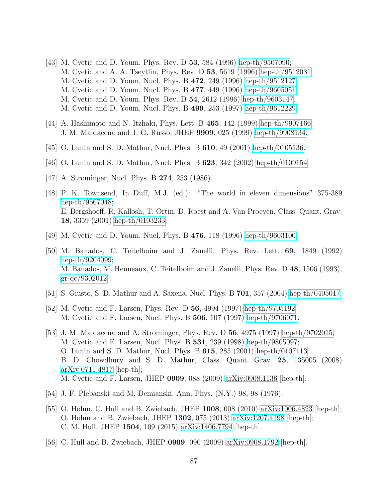- [43] M. Cvetic and D. Youm, Phys. Rev. D 53, 584 (1996) [hep-th/9507090;](http://arxiv.org/abs/hep-th/9507090) M. Cvetic and A. A. Tseytlin, Phys. Rev. D 53, 5619 (1996) [hep-th/9512031;](http://arxiv.org/abs/hep-th/9512031) M. Cvetic and D. Youm, Nucl. Phys. B 472, 249 (1996) [hep-th/9512127;](http://arxiv.org/abs/hep-th/9512127) M. Cvetic and D. Youm, Nucl. Phys. B 477, 449 (1996) [hep-th/9605051;](http://arxiv.org/abs/hep-th/9605051) M. Cvetic and D. Youm, Phys. Rev. D 54, 2612 (1996) [hep-th/9603147;](http://arxiv.org/abs/hep-th/9603147) M. Cvetic and D. Youm, Nucl. Phys. B 499, 253 (1997) [hep-th/9612229.](http://arxiv.org/abs/hep-th/9612229)
- <span id="page-86-2"></span>[44] A. Hashimoto and N. Itzhaki, Phys. Lett. B 465, 142 (1999) [hep-th/9907166;](http://arxiv.org/abs/hep-th/9907166) J. M. Maldacena and J. G. Russo, JHEP 9909, 025 (1999) [hep-th/9908134.](http://arxiv.org/abs/hep-th/9908134)
- [45] O. Lunin and S. D. Mathur, Nucl. Phys. B 610, 49 (2001) [hep-th/0105136.](http://arxiv.org/abs/hep-th/0105136)
- <span id="page-86-6"></span>[46] O. Lunin and S. D. Mathur, Nucl. Phys. B 623, 342 (2002) [hep-th/0109154.](http://arxiv.org/abs/hep-th/0109154)
- [47] A. Strominger, Nucl. Phys. B **274**, 253 (1986).
- [48] P. K. Townsend, In Duff, M.J. (ed.): "The world in eleven dimensions" 375-389 [hep-th/9507048;](http://arxiv.org/abs/hep-th/9507048) E. Bergshoeff, R. Kallosh, T. Ortin, D. Roest and A. Van Proeyen, Class. Quant. Grav. 18, 3359 (2001) [hep-th/0103233.](http://arxiv.org/abs/hep-th/0103233)
- <span id="page-86-1"></span>[49] M. Cvetic and D. Youm, Nucl. Phys. B 476, 118 (1996) [hep-th/9603100.](http://arxiv.org/abs/hep-th/9603100)
- [50] M. Banados, C. Teitelboim and J. Zanelli, Phys. Rev. Lett. 69, 1849 (1992) [hep-th/9204099;](http://arxiv.org/abs/hep-th/9204099) M. Banados, M. Henneaux, C. Teitelboim and J. Zanelli, Phys. Rev. D 48, 1506 (1993), [gr-qc/9302012.](http://arxiv.org/abs/gr-qc/9302012)
- <span id="page-86-0"></span>[51] S. Giusto, S. D. Mathur and A. Saxena, Nucl. Phys. B 701, 357 (2004) [hep-th/0405017.](http://arxiv.org/abs/hep-th/0405017)
- [52] M. Cvetic and F. Larsen, Phys. Rev. D 56, 4994 (1997) [hep-th/9705192;](http://arxiv.org/abs/hep-th/9705192) M. Cvetic and F. Larsen, Nucl. Phys. B 506, 107 (1997) [hep-th/9706071.](http://arxiv.org/abs/hep-th/9706071)
- [53] J. M. Maldacena and A. Strominger, Phys. Rev. D 56, 4975 (1997) [hep-th/9702015;](http://arxiv.org/abs/hep-th/9702015) M. Cvetic and F. Larsen, Nucl. Phys. B 531, 239 (1998) [hep-th/9805097;](http://arxiv.org/abs/hep-th/9805097) O. Lunin and S. D. Mathur, Nucl. Phys. B 615, 285 (2001) [hep-th/0107113;](http://arxiv.org/abs/hep-th/0107113) B. D. Chowdhury and S. D. Mathur, Class. Quant. Grav. 25, 135005 (2008) [arXiv:0711.4817](http://arxiv.org/abs/0711.4817) [hep-th]; M. Cvetic and F. Larsen, JHEP 0909, 088 (2009) [arXiv:0908.1136](http://arxiv.org/abs/0908.1136) [hep-th].
- <span id="page-86-4"></span><span id="page-86-3"></span>[54] J. F. Plebanski and M. Demianski, Ann. Phys. (N.Y.) 98, 98 (1976).
- [55] O. Hohm, C. Hull and B. Zwiebach, JHEP 1008, 008 (2010) [arXiv:1006.4823](http://arxiv.org/abs/1006.4823) [hep-th]; O. Hohm and B. Zwiebach, JHEP 1302, 075 (2013) [arXiv:1207.4198](http://arxiv.org/abs/1207.4198) [hep-th]; C. M. Hull, JHEP 1504, 109 (2015) [arXiv:1406.7794](http://arxiv.org/abs/1406.7794) [hep-th].
- <span id="page-86-5"></span>[56] C. Hull and B. Zwiebach, JHEP 0909, 090 (2009) [arXiv:0908.1792](http://arxiv.org/abs/0908.1792) [hep-th].